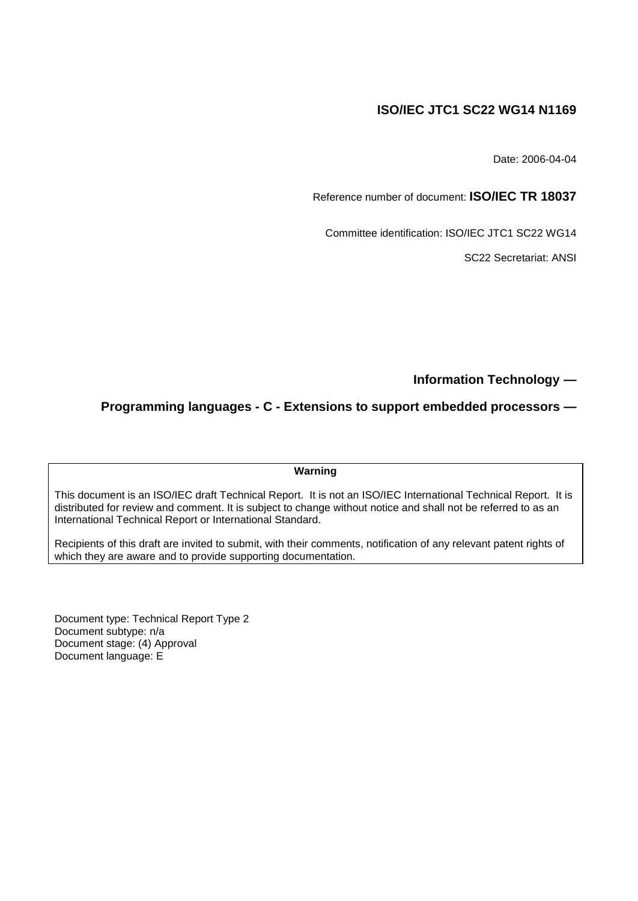## **ISO/IEC JTC1 SC22 WG14 N1169**

Date: 2006-04-04

Reference number of document: **ISO/IEC TR 18037**

Committee identification: ISO/IEC JTC1 SC22 WG14

SC22 Secretariat: ANSI

**Information Technology —**

**Programming languages - C - Extensions to support embedded processors —**

**Warning**

This document is an ISO/IEC draft Technical Report. It is not an ISO/IEC International Technical Report. It is distributed for review and comment. It is subject to change without notice and shall not be referred to as an International Technical Report or International Standard.

Recipients of this draft are invited to submit, with their comments, notification of any relevant patent rights of which they are aware and to provide supporting documentation.

Document type: Technical Report Type 2 Document subtype: n/a Document stage: (4) Approval Document language: E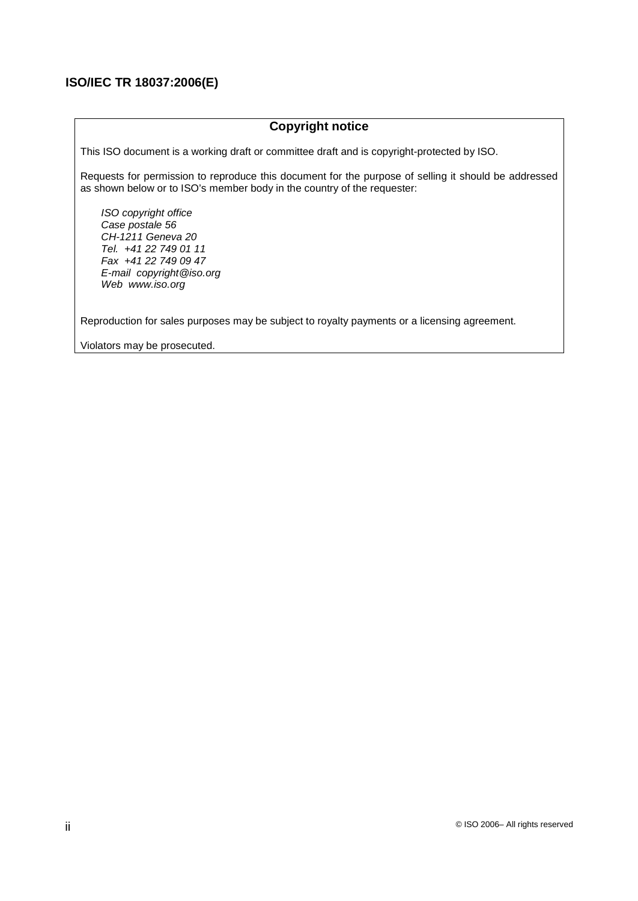## **Copyright notice**

This ISO document is a working draft or committee draft and is copyright-protected by ISO.

Requests for permission to reproduce this document for the purpose of selling it should be addressed as shown below or to ISO's member body in the country of the requester:

ISO copyright office Case postale 56 CH-1211 Geneva 20 Tel. +41 22 749 01 11 Fax +41 22 749 09 47 E-mail copyright@iso.org Web www.iso.org

Reproduction for sales purposes may be subject to royalty payments or a licensing agreement.

Violators may be prosecuted.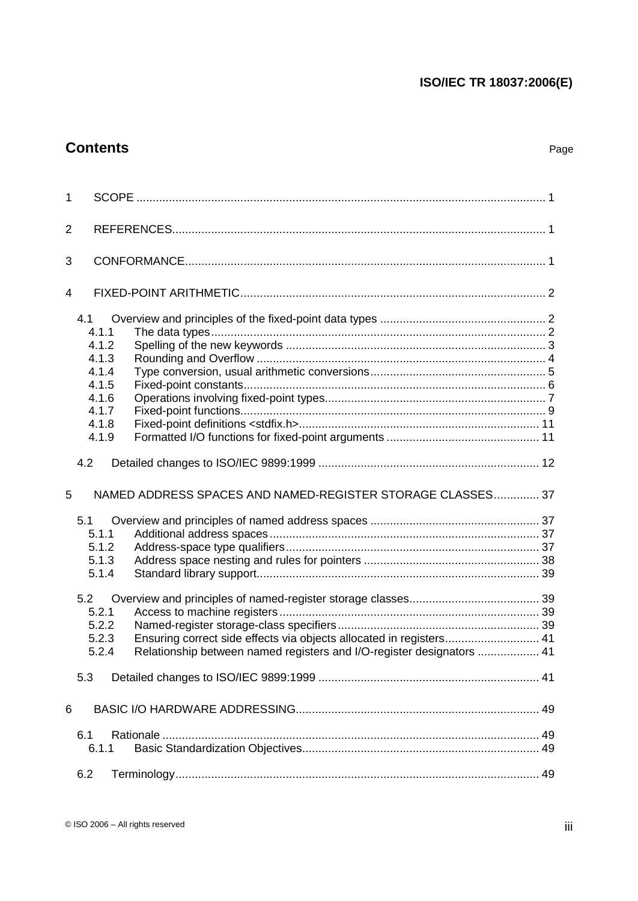# **Contents** Page

| 1              |                                                                                                                                                                                |  |
|----------------|--------------------------------------------------------------------------------------------------------------------------------------------------------------------------------|--|
| $\overline{2}$ |                                                                                                                                                                                |  |
| 3              |                                                                                                                                                                                |  |
| 4              |                                                                                                                                                                                |  |
|                | 4.1<br>4.1.1<br>4.1.2<br>4.1.3<br>4.1.4<br>4.1.5<br>4.1.6<br>4.1.7<br>4.1.8<br>4.1.9<br>4.2                                                                                    |  |
|                |                                                                                                                                                                                |  |
| 5              | NAMED ADDRESS SPACES AND NAMED-REGISTER STORAGE CLASSES 37                                                                                                                     |  |
|                | 5.1<br>5.1.1<br>5.1.2<br>5.1.3<br>5.1.4<br>5.2<br>5.2.1                                                                                                                        |  |
|                | 5.2.2<br>5.2.3<br>Ensuring correct side effects via objects allocated in registers 41<br>Relationship between named registers and I/O-register designators  41<br>5.2.4<br>5.3 |  |
| 6              |                                                                                                                                                                                |  |
|                | 6.1<br>6.1.1<br>6.2                                                                                                                                                            |  |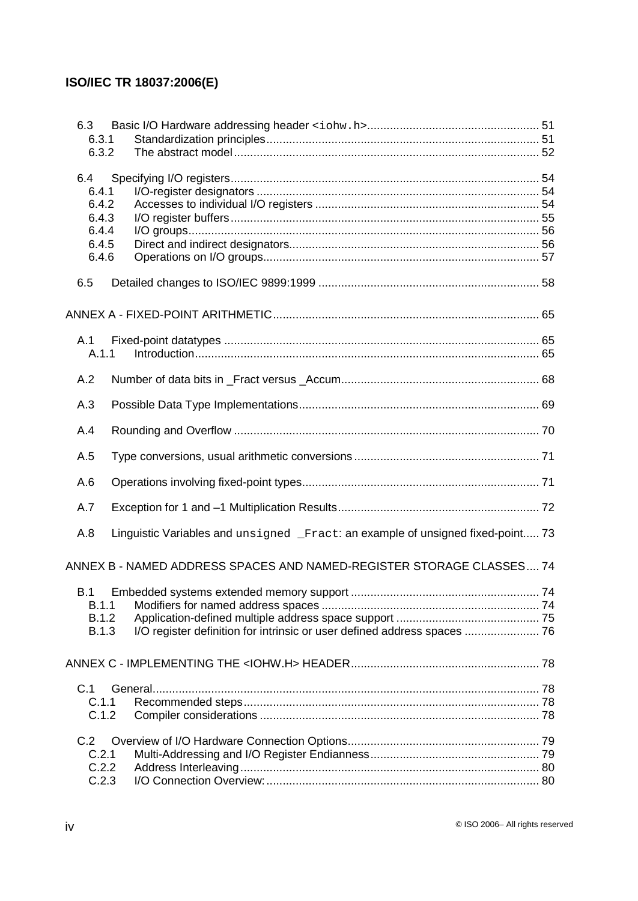| 6.3          |                                                                                 |  |
|--------------|---------------------------------------------------------------------------------|--|
| 6.3.1        |                                                                                 |  |
| 6.3.2        |                                                                                 |  |
| 6.4          |                                                                                 |  |
| 6.4.1        |                                                                                 |  |
| 6.4.2        |                                                                                 |  |
| 6.4.3        |                                                                                 |  |
| 6.4.4        |                                                                                 |  |
| 6.4.5        |                                                                                 |  |
| 6.4.6        |                                                                                 |  |
| 6.5          |                                                                                 |  |
|              |                                                                                 |  |
|              |                                                                                 |  |
| A.1<br>A.1.1 |                                                                                 |  |
|              |                                                                                 |  |
| A.2          |                                                                                 |  |
| A.3          |                                                                                 |  |
| A.4          |                                                                                 |  |
| A.5          |                                                                                 |  |
| A.6          |                                                                                 |  |
| A.7          |                                                                                 |  |
| A.8          | Linguistic Variables and unsigned _Fract: an example of unsigned fixed-point 73 |  |
|              | ANNEX B - NAMED ADDRESS SPACES AND NAMED-REGISTER STORAGE CLASSES 74            |  |
| B.1          |                                                                                 |  |
| B.1.1        |                                                                                 |  |
| <b>B.1.2</b> |                                                                                 |  |
| <b>B.1.3</b> | I/O register definition for intrinsic or user defined address spaces  76        |  |
|              |                                                                                 |  |
| C.1          |                                                                                 |  |
| C.1.1        |                                                                                 |  |
| C.1.2        |                                                                                 |  |
| C.2          |                                                                                 |  |
| C.2.1        |                                                                                 |  |
| C.2.2        |                                                                                 |  |
| C.2.3        |                                                                                 |  |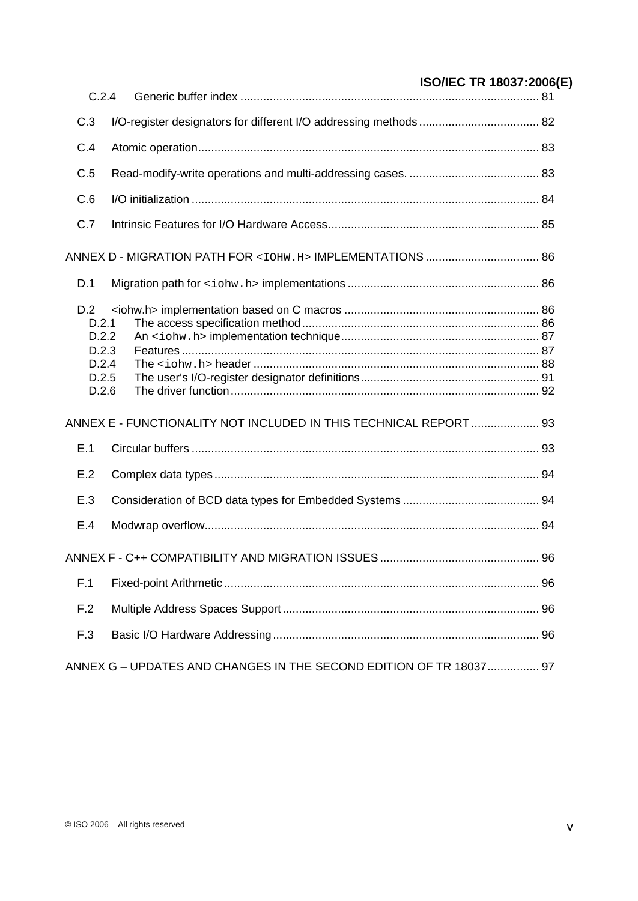| C.2.4                                                     |                                                                    | <b>UUUILU IIN IUUUI LEUUU</b> |
|-----------------------------------------------------------|--------------------------------------------------------------------|-------------------------------|
| C.3                                                       |                                                                    |                               |
| C.4                                                       |                                                                    |                               |
| C.5                                                       |                                                                    |                               |
| C.6                                                       |                                                                    |                               |
| C.7                                                       |                                                                    |                               |
|                                                           |                                                                    |                               |
| D.1                                                       |                                                                    |                               |
| D.2<br>D.2.1<br>D.2.2<br>D.2.3<br>D.2.4<br>D.2.5<br>D.2.6 |                                                                    |                               |
|                                                           | ANNEX E - FUNCTIONALITY NOT INCLUDED IN THIS TECHNICAL REPORT  93  |                               |
| E.1                                                       |                                                                    |                               |
| E.2                                                       |                                                                    |                               |
| E.3                                                       |                                                                    |                               |
| E.4                                                       |                                                                    |                               |
|                                                           |                                                                    |                               |
| F.1                                                       |                                                                    |                               |
| F.2                                                       |                                                                    |                               |
| F.3                                                       |                                                                    |                               |
|                                                           | ANNEX G - UPDATES AND CHANGES IN THE SECOND EDITION OF TR 18037 97 |                               |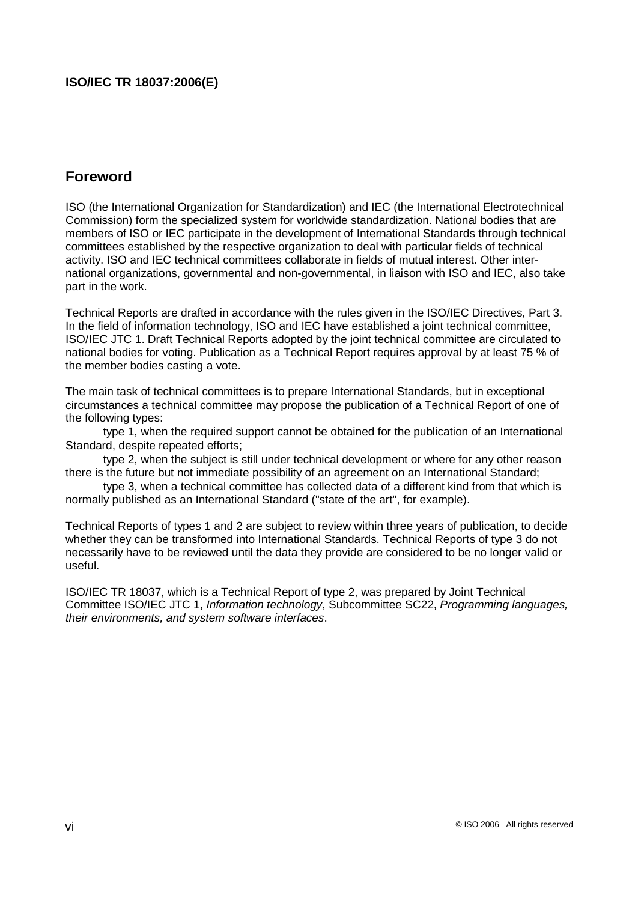# **Foreword**

ISO (the International Organization for Standardization) and IEC (the International Electrotechnical Commission) form the specialized system for worldwide standardization. National bodies that are members of ISO or IEC participate in the development of International Standards through technical committees established by the respective organization to deal with particular fields of technical activity. ISO and IEC technical committees collaborate in fields of mutual interest. Other international organizations, governmental and non-governmental, in liaison with ISO and IEC, also take part in the work.

Technical Reports are drafted in accordance with the rules given in the ISO/IEC Directives, Part 3. In the field of information technology, ISO and IEC have established a joint technical committee, ISO/IEC JTC 1. Draft Technical Reports adopted by the joint technical committee are circulated to national bodies for voting. Publication as a Technical Report requires approval by at least 75 % of the member bodies casting a vote.

The main task of technical committees is to prepare International Standards, but in exceptional circumstances a technical committee may propose the publication of a Technical Report of one of the following types:

 type 1, when the required support cannot be obtained for the publication of an International Standard, despite repeated efforts;

 type 2, when the subject is still under technical development or where for any other reason there is the future but not immediate possibility of an agreement on an International Standard;

 type 3, when a technical committee has collected data of a different kind from that which is normally published as an International Standard ("state of the art", for example).

Technical Reports of types 1 and 2 are subject to review within three years of publication, to decide whether they can be transformed into International Standards. Technical Reports of type 3 do not necessarily have to be reviewed until the data they provide are considered to be no longer valid or useful.

ISO/IEC TR 18037, which is a Technical Report of type 2, was prepared by Joint Technical Committee ISO/IEC JTC 1, Information technology, Subcommittee SC22, Programming languages, their environments, and system software interfaces.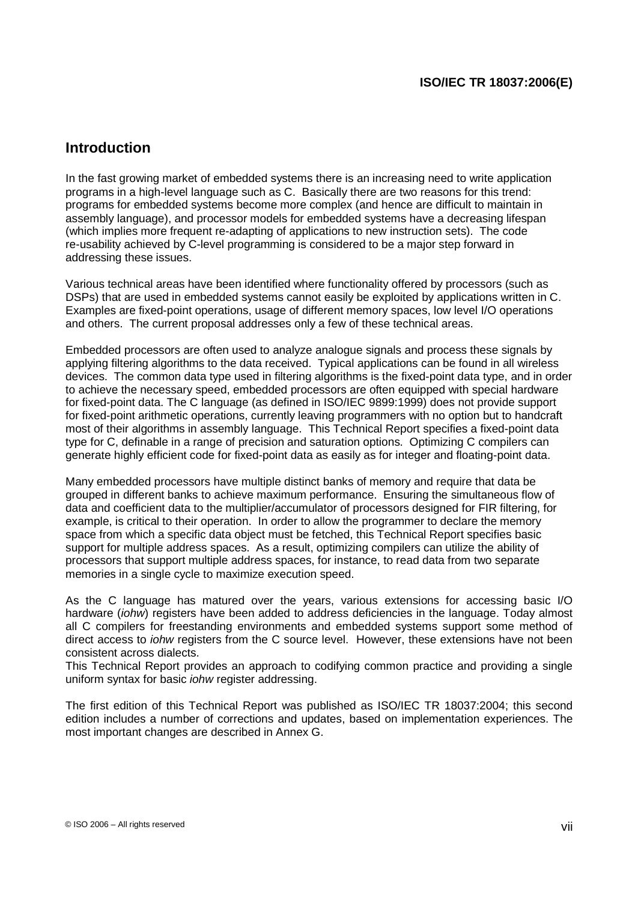## **Introduction**

In the fast growing market of embedded systems there is an increasing need to write application programs in a high-level language such as C. Basically there are two reasons for this trend: programs for embedded systems become more complex (and hence are difficult to maintain in assembly language), and processor models for embedded systems have a decreasing lifespan (which implies more frequent re-adapting of applications to new instruction sets). The code re-usability achieved by C-level programming is considered to be a major step forward in addressing these issues.

Various technical areas have been identified where functionality offered by processors (such as DSPs) that are used in embedded systems cannot easily be exploited by applications written in C. Examples are fixed-point operations, usage of different memory spaces, low level I/O operations and others. The current proposal addresses only a few of these technical areas.

Embedded processors are often used to analyze analogue signals and process these signals by applying filtering algorithms to the data received. Typical applications can be found in all wireless devices. The common data type used in filtering algorithms is the fixed-point data type, and in order to achieve the necessary speed, embedded processors are often equipped with special hardware for fixed-point data. The C language (as defined in ISO/IEC 9899:1999) does not provide support for fixed-point arithmetic operations, currently leaving programmers with no option but to handcraft most of their algorithms in assembly language. This Technical Report specifies a fixed-point data type for C, definable in a range of precision and saturation options. Optimizing C compilers can generate highly efficient code for fixed-point data as easily as for integer and floating-point data.

Many embedded processors have multiple distinct banks of memory and require that data be grouped in different banks to achieve maximum performance. Ensuring the simultaneous flow of data and coefficient data to the multiplier/accumulator of processors designed for FIR filtering, for example, is critical to their operation. In order to allow the programmer to declare the memory space from which a specific data object must be fetched, this Technical Report specifies basic support for multiple address spaces. As a result, optimizing compilers can utilize the ability of processors that support multiple address spaces, for instance, to read data from two separate memories in a single cycle to maximize execution speed.

As the C language has matured over the years, various extensions for accessing basic I/O hardware (*iohw*) registers have been added to address deficiencies in the language. Today almost all C compilers for freestanding environments and embedded systems support some method of direct access to *johw* registers from the C source level. However, these extensions have not been consistent across dialects.

This Technical Report provides an approach to codifying common practice and providing a single uniform syntax for basic *johw* register addressing.

The first edition of this Technical Report was published as ISO/IEC TR 18037:2004; this second edition includes a number of corrections and updates, based on implementation experiences. The most important changes are described in Annex G.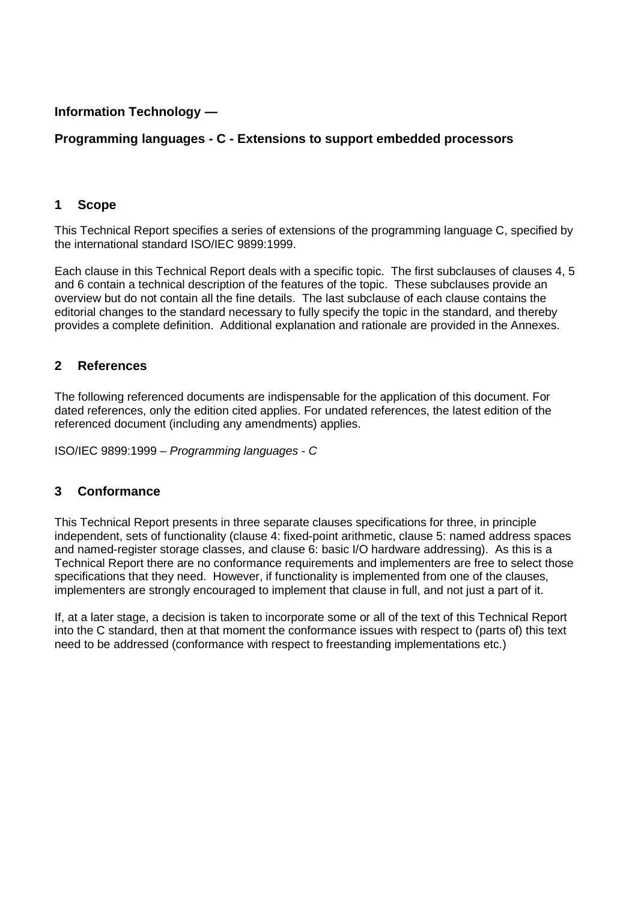## **Information Technology —**

## **Programming languages - C - Extensions to support embedded processors**

## **1 Scope**

This Technical Report specifies a series of extensions of the programming language C, specified by the international standard ISO/IEC 9899:1999.

Each clause in this Technical Report deals with a specific topic. The first subclauses of clauses 4, 5 and 6 contain a technical description of the features of the topic. These subclauses provide an overview but do not contain all the fine details. The last subclause of each clause contains the editorial changes to the standard necessary to fully specify the topic in the standard, and thereby provides a complete definition. Additional explanation and rationale are provided in the Annexes.

## **2 References**

The following referenced documents are indispensable for the application of this document. For dated references, only the edition cited applies. For undated references, the latest edition of the referenced document (including any amendments) applies.

ISO/IEC 9899:1999 – Programming languages - C

## **3 Conformance**

This Technical Report presents in three separate clauses specifications for three, in principle independent, sets of functionality (clause 4: fixed-point arithmetic, clause 5: named address spaces and named-register storage classes, and clause 6: basic I/O hardware addressing). As this is a Technical Report there are no conformance requirements and implementers are free to select those specifications that they need. However, if functionality is implemented from one of the clauses, implementers are strongly encouraged to implement that clause in full, and not just a part of it.

If, at a later stage, a decision is taken to incorporate some or all of the text of this Technical Report into the C standard, then at that moment the conformance issues with respect to (parts of) this text need to be addressed (conformance with respect to freestanding implementations etc.)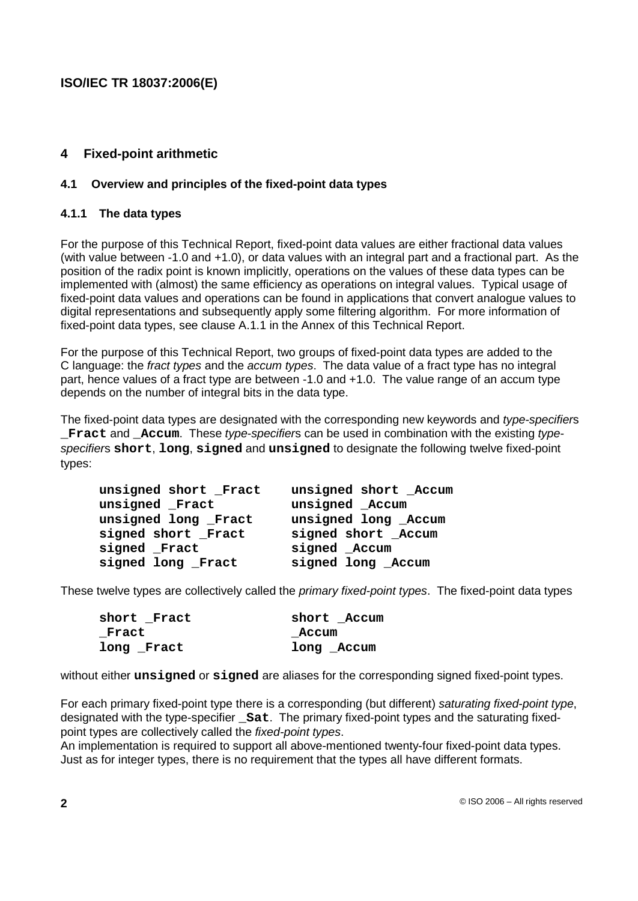## **4 Fixed-point arithmetic**

## **4.1 Overview and principles of the fixed-point data types**

## **4.1.1 The data types**

For the purpose of this Technical Report, fixed-point data values are either fractional data values (with value between -1.0 and +1.0), or data values with an integral part and a fractional part. As the position of the radix point is known implicitly, operations on the values of these data types can be implemented with (almost) the same efficiency as operations on integral values. Typical usage of fixed-point data values and operations can be found in applications that convert analogue values to digital representations and subsequently apply some filtering algorithm. For more information of fixed-point data types, see clause A.1.1 in the Annex of this Technical Report.

For the purpose of this Technical Report, two groups of fixed-point data types are added to the C language: the fract types and the accum types. The data value of a fract type has no integral part, hence values of a fract type are between -1.0 and +1.0. The value range of an accum type depends on the number of integral bits in the data type.

The fixed-point data types are designated with the corresponding new keywords and type-specifiers **\_Fract** and **\_Accum**. These type-specifiers can be used in combination with the existing typespecifiers **short**, **long**, **signed** and **unsigned** to designate the following twelve fixed-point types:

| unsigned short Fract | unsigned short Accum |
|----------------------|----------------------|
| unsigned Fract       | unsigned _Accum      |
| unsigned long Fract  | unsigned long _Accum |
| signed short Fract   | signed short _Accum  |
| signed Fract         | signed Accum         |
| signed long Fract    | signed long _Accum   |

These twelve types are collectively called the *primary fixed-point types*. The fixed-point data types

| short Fract | short Accum |
|-------------|-------------|
| _Fract      | Accum       |
| long _Fract | long Accum  |

without either **unsigned** or **signed** are aliases for the corresponding signed fixed-point types.

For each primary fixed-point type there is a corresponding (but different) saturating fixed-point type, designated with the type-specifier **\_Sat**. The primary fixed-point types and the saturating fixedpoint types are collectively called the fixed-point types.

An implementation is required to support all above-mentioned twenty-four fixed-point data types. Just as for integer types, there is no requirement that the types all have different formats.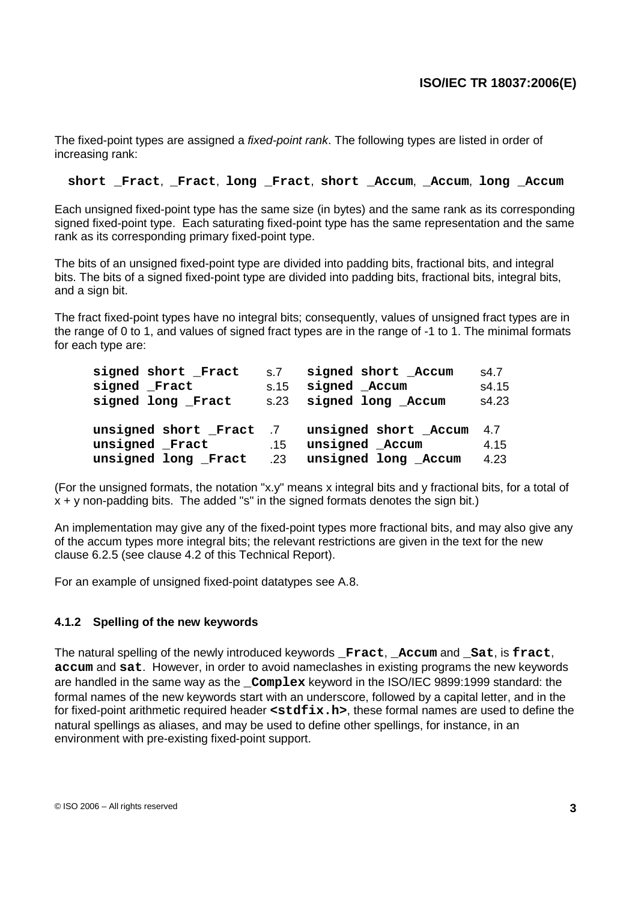The fixed-point types are assigned a *fixed-point rank*. The following types are listed in order of increasing rank:

#### **short \_Fract**, **\_Fract**, **long \_Fract**, **short \_Accum**, **\_Accum**, **long \_Accum**

Each unsigned fixed-point type has the same size (in bytes) and the same rank as its corresponding signed fixed-point type. Each saturating fixed-point type has the same representation and the same rank as its corresponding primary fixed-point type.

The bits of an unsigned fixed-point type are divided into padding bits, fractional bits, and integral bits. The bits of a signed fixed-point type are divided into padding bits, fractional bits, integral bits, and a sign bit.

The fract fixed-point types have no integral bits; consequently, values of unsigned fract types are in the range of 0 to 1, and values of signed fract types are in the range of -1 to 1. The minimal formats for each type are:

| signed short Fract  | S.7  | signed short Accum                          | s4.7  |
|---------------------|------|---------------------------------------------|-------|
| signed Fract        | s.15 | signed Accum                                | s4.15 |
| signed long Fract   |      | s.23 signed long Accum                      | s4.23 |
|                     |      | unsigned short Fract 7 unsigned short Accum | 4.7   |
| unsigned Fract      | .15  | unsigned Accum                              | 4.15  |
| unsigned long Fract |      | .23 unsigned long Accum                     | 4.23  |

(For the unsigned formats, the notation "x.y" means x integral bits and y fractional bits, for a total of  $x + y$  non-padding bits. The added "s" in the signed formats denotes the sign bit.)

An implementation may give any of the fixed-point types more fractional bits, and may also give any of the accum types more integral bits; the relevant restrictions are given in the text for the new clause 6.2.5 (see clause 4.2 of this Technical Report).

For an example of unsigned fixed-point datatypes see A.8.

## **4.1.2 Spelling of the new keywords**

The natural spelling of the newly introduced keywords **\_Fract**, **\_Accum** and **\_Sat**, is **fract**, **accum** and **sat**. However, in order to avoid nameclashes in existing programs the new keywords are handled in the same way as the **\_Complex** keyword in the ISO/IEC 9899:1999 standard: the formal names of the new keywords start with an underscore, followed by a capital letter, and in the for fixed-point arithmetic required header **<stdfix.h>**, these formal names are used to define the natural spellings as aliases, and may be used to define other spellings, for instance, in an environment with pre-existing fixed-point support.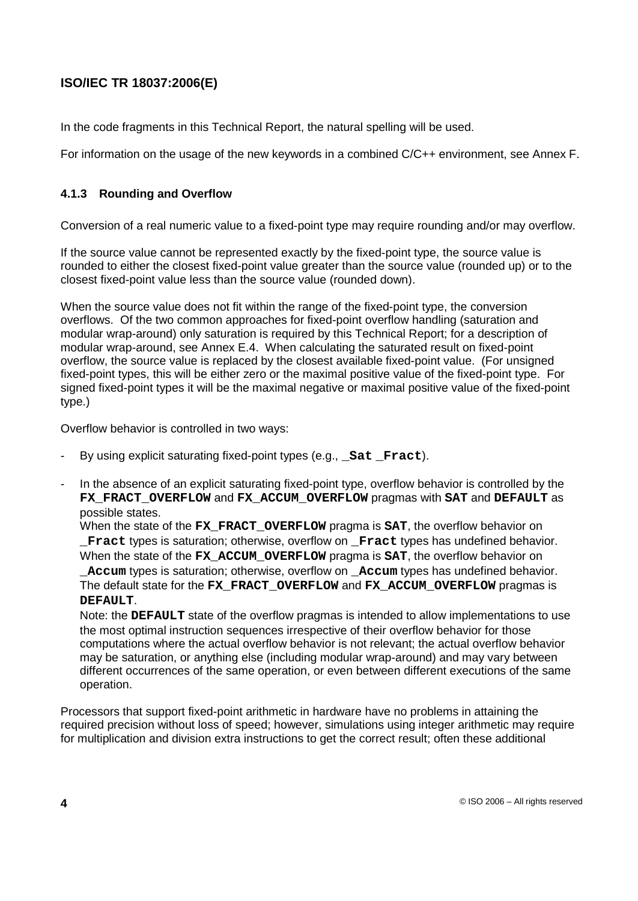In the code fragments in this Technical Report, the natural spelling will be used.

For information on the usage of the new keywords in a combined C/C++ environment, see Annex F.

## **4.1.3 Rounding and Overflow**

Conversion of a real numeric value to a fixed-point type may require rounding and/or may overflow.

If the source value cannot be represented exactly by the fixed-point type, the source value is rounded to either the closest fixed-point value greater than the source value (rounded up) or to the closest fixed-point value less than the source value (rounded down).

When the source value does not fit within the range of the fixed-point type, the conversion overflows. Of the two common approaches for fixed-point overflow handling (saturation and modular wrap-around) only saturation is required by this Technical Report; for a description of modular wrap-around, see Annex E.4. When calculating the saturated result on fixed-point overflow, the source value is replaced by the closest available fixed-point value. (For unsigned fixed-point types, this will be either zero or the maximal positive value of the fixed-point type. For signed fixed-point types it will be the maximal negative or maximal positive value of the fixed-point type.)

Overflow behavior is controlled in two ways:

- By using explicit saturating fixed-point types (e.g., **Sat Fract**).
- In the absence of an explicit saturating fixed-point type, overflow behavior is controlled by the **FX\_FRACT\_OVERFLOW** and **FX\_ACCUM\_OVERFLOW** pragmas with **SAT** and **DEFAULT** as possible states.

When the state of the **FX\_FRACT\_OVERFLOW** pragma is **SAT**, the overflow behavior on **Fract** types is saturation; otherwise, overflow on **Fract** types has undefined behavior. When the state of the **FX\_ACCUM\_OVERFLOW** pragma is **SAT**, the overflow behavior on **\_Accum** types is saturation; otherwise, overflow on **\_Accum** types has undefined behavior. The default state for the **FX\_FRACT\_OVERFLOW** and **FX\_ACCUM\_OVERFLOW** pragmas is **DEFAULT**.

Note: the **DEFAULT** state of the overflow pragmas is intended to allow implementations to use the most optimal instruction sequences irrespective of their overflow behavior for those computations where the actual overflow behavior is not relevant; the actual overflow behavior may be saturation, or anything else (including modular wrap-around) and may vary between different occurrences of the same operation, or even between different executions of the same operation.

Processors that support fixed-point arithmetic in hardware have no problems in attaining the required precision without loss of speed; however, simulations using integer arithmetic may require for multiplication and division extra instructions to get the correct result; often these additional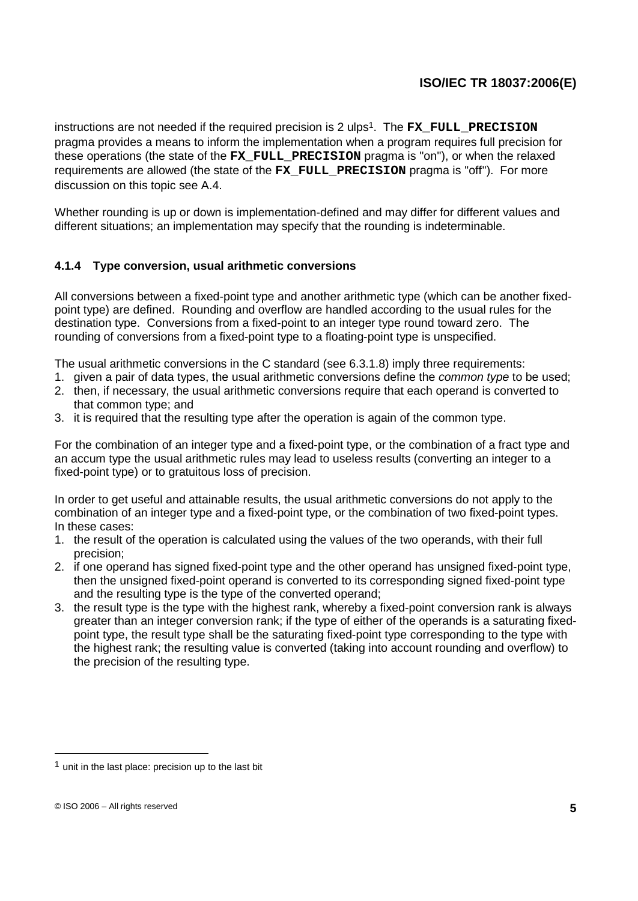instructions are not needed if the required precision is 2 ulps <sup>1</sup>. The **FX\_FULL\_PRECISION** pragma provides a means to inform the implementation when a program requires full precision for these operations (the state of the **FX\_FULL\_PRECISION** pragma is ''on''), or when the relaxed requirements are allowed (the state of the **FX\_FULL\_PRECISION** pragma is ''off''). For more discussion on this topic see A.4.

Whether rounding is up or down is implementation-defined and may differ for different values and different situations; an implementation may specify that the rounding is indeterminable.

## **4.1.4 Type conversion, usual arithmetic conversions**

All conversions between a fixed-point type and another arithmetic type (which can be another fixedpoint type) are defined. Rounding and overflow are handled according to the usual rules for the destination type. Conversions from a fixed-point to an integer type round toward zero. The rounding of conversions from a fixed-point type to a floating-point type is unspecified.

The usual arithmetic conversions in the C standard (see 6.3.1.8) imply three requirements:

- 1. given a pair of data types, the usual arithmetic conversions define the *common type* to be used;
- 2. then, if necessary, the usual arithmetic conversions require that each operand is converted to that common type; and
- 3. it is required that the resulting type after the operation is again of the common type.

For the combination of an integer type and a fixed-point type, or the combination of a fract type and an accum type the usual arithmetic rules may lead to useless results (converting an integer to a fixed-point type) or to gratuitous loss of precision.

In order to get useful and attainable results, the usual arithmetic conversions do not apply to the combination of an integer type and a fixed-point type, or the combination of two fixed-point types. In these cases:

- 1. the result of the operation is calculated using the values of the two operands, with their full precision;
- 2. if one operand has signed fixed-point type and the other operand has unsigned fixed-point type, then the unsigned fixed-point operand is converted to its corresponding signed fixed-point type and the resulting type is the type of the converted operand;
- 3. the result type is the type with the highest rank, whereby a fixed-point conversion rank is always greater than an integer conversion rank; if the type of either of the operands is a saturating fixedpoint type, the result type shall be the saturating fixed-point type corresponding to the type with the highest rank; the resulting value is converted (taking into account rounding and overflow) to the precision of the resulting type.

unit in the last place: precision up to the last bit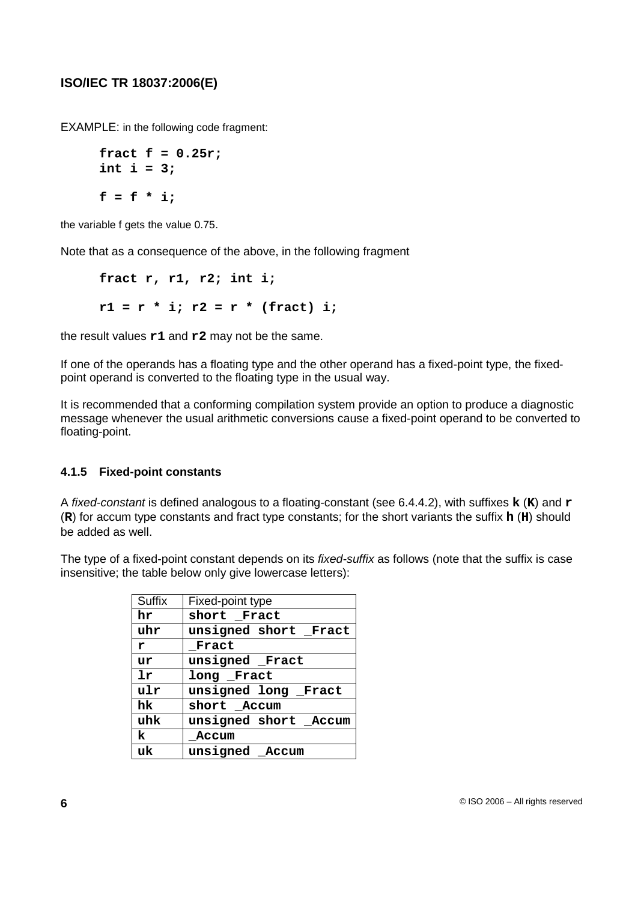EXAMPLE: in the following code fragment:

```
fract f = 0.25r;
int i = 3;
f = f * i;
```
the variable f gets the value 0.75.

Note that as a consequence of the above, in the following fragment

**fract r, r1, r2; int i;**  $r1 = r * i; r2 = r * (fract) i;$ 

the result values **r1** and **r2** may not be the same.

If one of the operands has a floating type and the other operand has a fixed-point type, the fixedpoint operand is converted to the floating type in the usual way.

It is recommended that a conforming compilation system provide an option to produce a diagnostic message whenever the usual arithmetic conversions cause a fixed-point operand to be converted to floating-point.

## **4.1.5 Fixed-point constants**

A fixed-constant is defined analogous to a floating-constant (see 6.4.4.2), with suffixes **k** (**K**) and **r** (**R**) for accum type constants and fract type constants; for the short variants the suffix **h** (**H**) should be added as well.

The type of a fixed-point constant depends on its *fixed-suffix* as follows (note that the suffix is case insensitive; the table below only give lowercase letters):

| <b>Suffix</b> | Fixed-point type      |
|---------------|-----------------------|
| hr            | short Fract           |
| uhr           | unsigned short Fract  |
| r             | Fract                 |
| ur            | unsigned Fract        |
| 1r            | long Fract            |
| ulr           | unsigned long Fract   |
| hk.           | short Accum           |
| uhk           | unsigned short _Accum |
| k             | Accum                 |
| uk            | unsigned Accum        |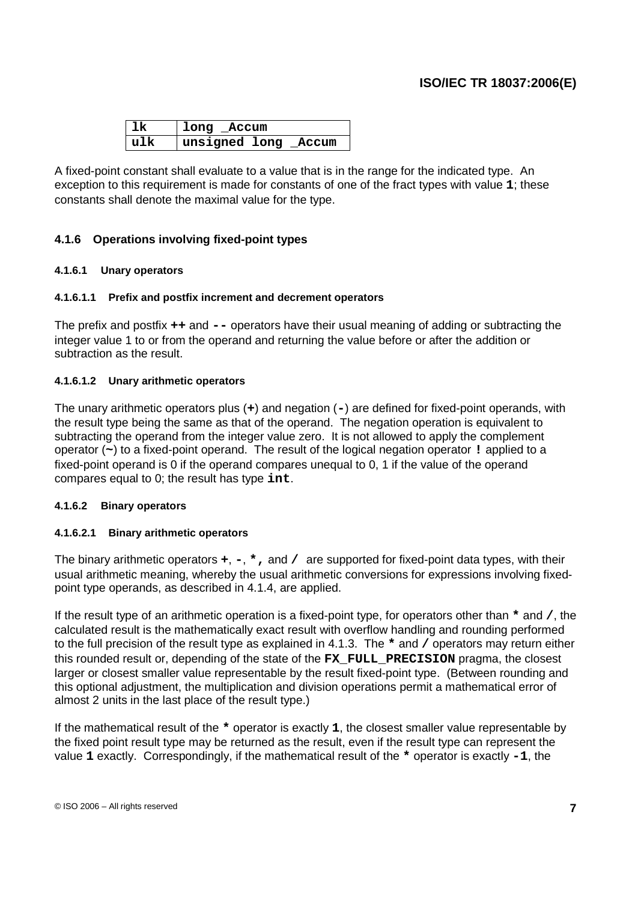| 1k    | long Accum           |
|-------|----------------------|
| l u1k | unsigned long _Accum |

A fixed-point constant shall evaluate to a value that is in the range for the indicated type. An exception to this requirement is made for constants of one of the fract types with value **1**; these constants shall denote the maximal value for the type.

## **4.1.6 Operations involving fixed-point types**

## **4.1.6.1 Unary operators**

#### **4.1.6.1.1 Prefix and postfix increment and decrement operators**

The prefix and postfix **++** and **--** operators have their usual meaning of adding or subtracting the integer value 1 to or from the operand and returning the value before or after the addition or subtraction as the result.

#### **4.1.6.1.2 Unary arithmetic operators**

The unary arithmetic operators plus (**+**) and negation (**-**) are defined for fixed-point operands, with the result type being the same as that of the operand. The negation operation is equivalent to subtracting the operand from the integer value zero. It is not allowed to apply the complement operator (**~**) to a fixed-point operand. The result of the logical negation operator **!** applied to a fixed-point operand is 0 if the operand compares unequal to 0, 1 if the value of the operand compares equal to 0; the result has type **int**.

#### **4.1.6.2 Binary operators**

## **4.1.6.2.1 Binary arithmetic operators**

The binary arithmetic operators **+**, **-**, **\*,** and **/** are supported for fixed-point data types, with their usual arithmetic meaning, whereby the usual arithmetic conversions for expressions involving fixedpoint type operands, as described in 4.1.4, are applied.

If the result type of an arithmetic operation is a fixed-point type, for operators other than **\*** and **/**, the calculated result is the mathematically exact result with overflow handling and rounding performed to the full precision of the result type as explained in 4.1.3. The **\*** and **/** operators may return either this rounded result or, depending of the state of the **FX\_FULL\_PRECISION** pragma, the closest larger or closest smaller value representable by the result fixed-point type. (Between rounding and this optional adjustment, the multiplication and division operations permit a mathematical error of almost 2 units in the last place of the result type.)

If the mathematical result of the **\*** operator is exactly **1**, the closest smaller value representable by the fixed point result type may be returned as the result, even if the result type can represent the value **1** exactly. Correspondingly, if the mathematical result of the **\*** operator is exactly **-1**, the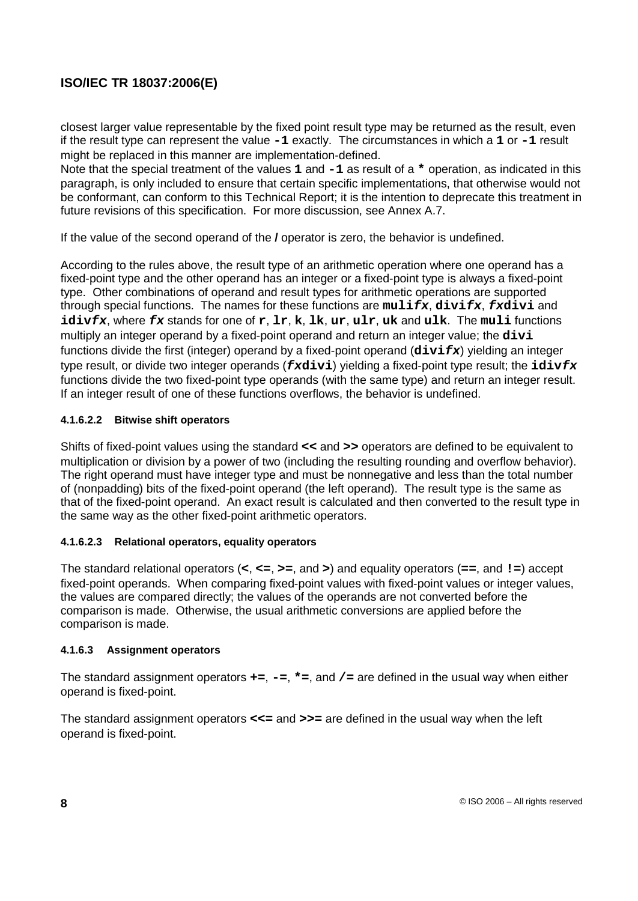closest larger value representable by the fixed point result type may be returned as the result, even if the result type can represent the value **-1** exactly. The circumstances in which a **1** or **-1** result might be replaced in this manner are implementation-defined.

Note that the special treatment of the values **1** and **-1** as result of a **\*** operation, as indicated in this paragraph, is only included to ensure that certain specific implementations, that otherwise would not be conformant, can conform to this Technical Report; it is the intention to deprecate this treatment in future revisions of this specification. For more discussion, see Annex A.7.

If the value of the second operand of the **/** operator is zero, the behavior is undefined.

According to the rules above, the result type of an arithmetic operation where one operand has a fixed-point type and the other operand has an integer or a fixed-point type is always a fixed-point type. Other combinations of operand and result types for arithmetic operations are supported through special functions. The names for these functions are **mulifx**, **divifx**, **fxdivi** and **idivfx**, where **fx** stands for one of **r**, **lr**, **k**, **lk**, **ur**, **ulr**, **uk** and **ulk**. The **muli** functions multiply an integer operand by a fixed-point operand and return an integer value; the **divi** functions divide the first (integer) operand by a fixed-point operand (**divifx**) yielding an integer type result, or divide two integer operands (**fxdivi**) yielding a fixed-point type result; the **idivfx** functions divide the two fixed-point type operands (with the same type) and return an integer result. If an integer result of one of these functions overflows, the behavior is undefined.

## **4.1.6.2.2 Bitwise shift operators**

Shifts of fixed-point values using the standard **<<** and **>>** operators are defined to be equivalent to multiplication or division by a power of two (including the resulting rounding and overflow behavior). The right operand must have integer type and must be nonnegative and less than the total number of (nonpadding) bits of the fixed-point operand (the left operand). The result type is the same as that of the fixed-point operand. An exact result is calculated and then converted to the result type in the same way as the other fixed-point arithmetic operators.

## **4.1.6.2.3 Relational operators, equality operators**

The standard relational operators (**<**, **<=**, **>=**, and **>**) and equality operators (**==**, and **!=**) accept fixed-point operands. When comparing fixed-point values with fixed-point values or integer values, the values are compared directly; the values of the operands are not converted before the comparison is made. Otherwise, the usual arithmetic conversions are applied before the comparison is made.

## **4.1.6.3 Assignment operators**

The standard assignment operators **+=**, **-=**, **\*=**, and **/=** are defined in the usual way when either operand is fixed-point.

The standard assignment operators **<<=** and **>>=** are defined in the usual way when the left operand is fixed-point.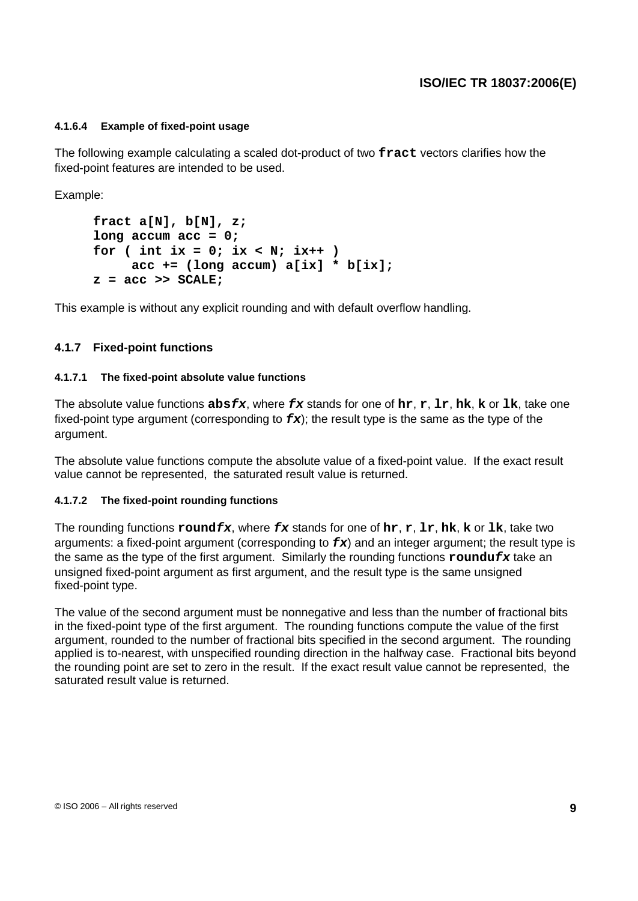#### **4.1.6.4 Example of fixed-point usage**

The following example calculating a scaled dot-product of two **fract** vectors clarifies how the fixed-point features are intended to be used.

Example:

```
fract a[N], b[N], z;
long accum acc = 0;
for ( int ix = 0; ix < N; ix++ )
     acc += (long accum) a[ix] * b[ix];
z = acc >> SCALE;
```
This example is without any explicit rounding and with default overflow handling.

## **4.1.7 Fixed-point functions**

#### **4.1.7.1 The fixed-point absolute value functions**

The absolute value functions **absfx**, where **fx** stands for one of **hr**, **r**, **lr**, **hk**, **k** or **lk**, take one fixed-point type argument (corresponding to  $f\mathbf{x}$ ); the result type is the same as the type of the argument.

The absolute value functions compute the absolute value of a fixed-point value. If the exact result value cannot be represented, the saturated result value is returned.

#### **4.1.7.2 The fixed-point rounding functions**

The rounding functions **roundfx**, where **fx** stands for one of **hr**, **r**, **lr**, **hk**, **k** or **lk**, take two arguments: a fixed-point argument (corresponding to **fx**) and an integer argument; the result type is the same as the type of the first argument. Similarly the rounding functions **roundufx** take an unsigned fixed-point argument as first argument, and the result type is the same unsigned fixed-point type.

The value of the second argument must be nonnegative and less than the number of fractional bits in the fixed-point type of the first argument. The rounding functions compute the value of the first argument, rounded to the number of fractional bits specified in the second argument. The rounding applied is to-nearest, with unspecified rounding direction in the halfway case. Fractional bits beyond the rounding point are set to zero in the result. If the exact result value cannot be represented, the saturated result value is returned.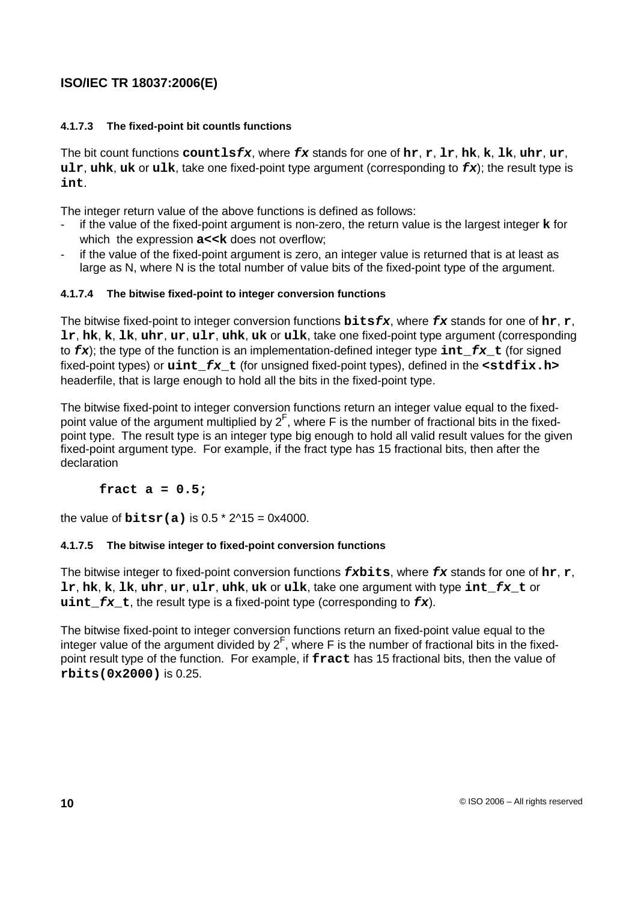## **4.1.7.3 The fixed-point bit countls functions**

The bit count functions **countlsfx**, where **fx** stands for one of **hr**, **r**, **lr**, **hk**, **k**, **lk**, **uhr**, **ur**, **ulr**, **uhk**, **uk** or **ulk**, take one fixed-point type argument (corresponding to **fx**); the result type is **int**.

The integer return value of the above functions is defined as follows:

- if the value of the fixed-point argument is non-zero, the return value is the largest integer **k** for which the expression  $a$  << k does not overflow;
- if the value of the fixed-point argument is zero, an integer value is returned that is at least as large as N, where N is the total number of value bits of the fixed-point type of the argument.

## **4.1.7.4 The bitwise fixed-point to integer conversion functions**

The bitwise fixed-point to integer conversion functions **bitsfx**, where **fx** stands for one of **hr**, **r**, **lr**, **hk**, **k**, **lk**, **uhr**, **ur**, **ulr**, **uhk**, **uk** or **ulk**, take one fixed-point type argument (corresponding to **fx**); the type of the function is an implementation-defined integer type **int\_fx\_t** (for signed fixed-point types) or **uint\_fx\_t** (for unsigned fixed-point types), defined in the **<stdfix.h>** headerfile, that is large enough to hold all the bits in the fixed-point type.

The bitwise fixed-point to integer conversion functions return an integer value equal to the fixedpoint value of the argument multiplied by  $2^F$ , where F is the number of fractional bits in the fixedpoint type. The result type is an integer type big enough to hold all valid result values for the given fixed-point argument type. For example, if the fract type has 15 fractional bits, then after the declaration

## **fract a = 0.5;**

the value of  $bitsr(a)$  is  $0.5 * 2^1/15 = 0 \times 4000$ .

## **4.1.7.5 The bitwise integer to fixed-point conversion functions**

The bitwise integer to fixed-point conversion functions **fxbits**, where **fx** stands for one of **hr**, **r**, **lr**, **hk**, **k**, **lk**, **uhr**, **ur**, **ulr**, **uhk**, **uk** or **ulk**, take one argument with type **int\_fx\_t** or  $\textbf{uint}$  **fx t**, the result type is a fixed-point type (corresponding to  $\textbf{fx}$ ).

The bitwise fixed-point to integer conversion functions return an fixed-point value equal to the integer value of the argument divided by  $2^F$ , where F is the number of fractional bits in the fixedpoint result type of the function. For example, if **fract** has 15 fractional bits, then the value of **rbits(0x2000)** is 0.25.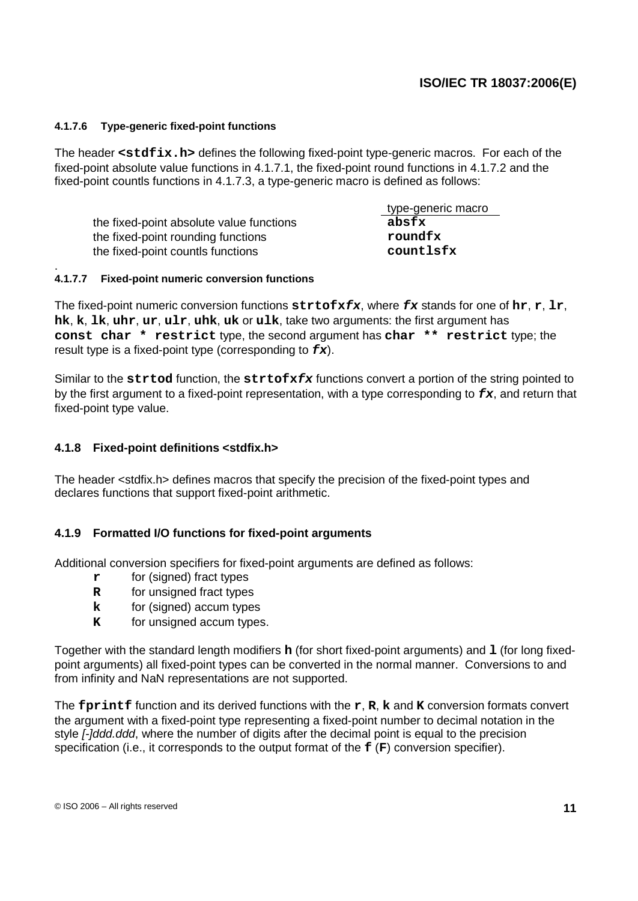#### **4.1.7.6 Type-generic fixed-point functions**

The header **<stdfix.h>** defines the following fixed-point type-generic macros. For each of the fixed-point absolute value functions in 4.1.7.1, the fixed-point round functions in 4.1.7.2 and the fixed-point countls functions in 4.1.7.3, a type-generic macro is defined as follows:

the fixed-point absolute value functions **absfx** the fixed-point rounding functions **roundfx** the fixed-point countls functions **countlsfx**

type-generic macro

#### . **4.1.7.7 Fixed-point numeric conversion functions**

The fixed-point numeric conversion functions **strtofxfx**, where **fx** stands for one of **hr**, **r**, **lr**, **hk**, **k**, **lk**, **uhr**, **ur**, **ulr**, **uhk**, **uk** or **ulk**, take two arguments: the first argument has **const char \* restrict** type, the second argument has **char \*\* restrict** type; the result type is a fixed-point type (corresponding to **fx**).

Similar to the **strtod** function, the **strtofxfx** functions convert a portion of the string pointed to by the first argument to a fixed-point representation, with a type corresponding to **fx**, and return that fixed-point type value.

## **4.1.8 Fixed-point definitions <stdfix.h>**

The header <stdfix.h> defines macros that specify the precision of the fixed-point types and declares functions that support fixed-point arithmetic.

## **4.1.9 Formatted I/O functions for fixed-point arguments**

Additional conversion specifiers for fixed-point arguments are defined as follows:

- **r** for (signed) fract types
- **R** for unsigned fract types
- **k** for (signed) accum types
- **K** for unsigned accum types.

Together with the standard length modifiers **h** (for short fixed-point arguments) and **l** (for long fixedpoint arguments) all fixed-point types can be converted in the normal manner. Conversions to and from infinity and NaN representations are not supported.

The **fprintf** function and its derived functions with the **r**, **R**, **k** and **K** conversion formats convert the argument with a fixed-point type representing a fixed-point number to decimal notation in the style *[-]ddd.ddd*, where the number of digits after the decimal point is equal to the precision specification (i.e., it corresponds to the output format of the **f** (**F**) conversion specifier).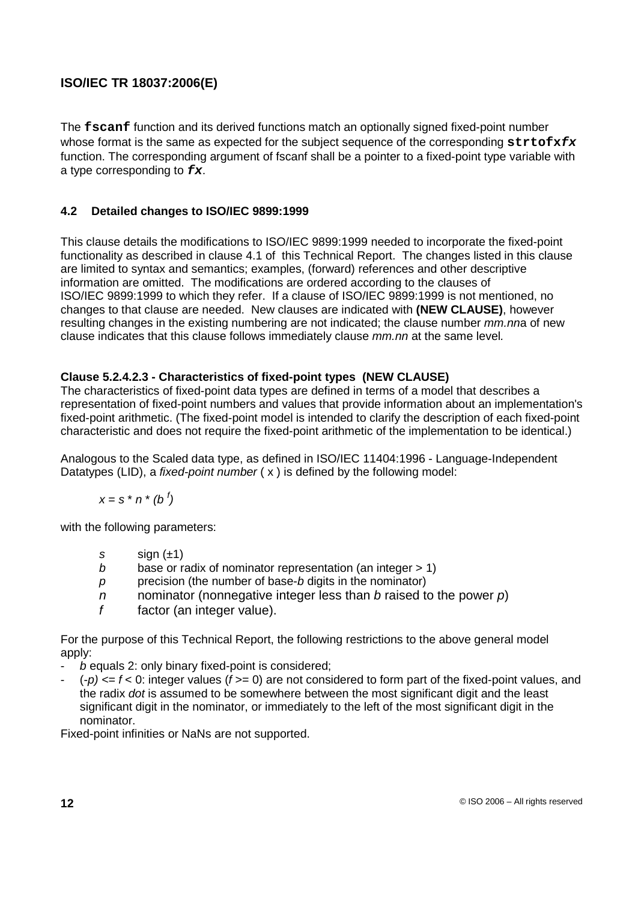The **fscanf** function and its derived functions match an optionally signed fixed-point number whose format is the same as expected for the subject sequence of the corresponding strtofxfx function. The corresponding argument of fscanf shall be a pointer to a fixed-point type variable with a type corresponding to **fx**.

## **4.2 Detailed changes to ISO/IEC 9899:1999**

This clause details the modifications to ISO/IEC 9899:1999 needed to incorporate the fixed-point functionality as described in clause 4.1 of this Technical Report. The changes listed in this clause are limited to syntax and semantics; examples, (forward) references and other descriptive information are omitted. The modifications are ordered according to the clauses of ISO/IEC 9899:1999 to which they refer. If a clause of ISO/IEC 9899:1999 is not mentioned, no changes to that clause are needed. New clauses are indicated with **(NEW CLAUSE)**, however resulting changes in the existing numbering are not indicated; the clause number *mm.nn*a of new clause indicates that this clause follows immediately clause mm.nn at the same level.

## **Clause 5.2.4.2.3 - Characteristics of fixed-point types (NEW CLAUSE)**

The characteristics of fixed-point data types are defined in terms of a model that describes a representation of fixed-point numbers and values that provide information about an implementation's fixed-point arithmetic. (The fixed-point model is intended to clarify the description of each fixed-point characteristic and does not require the fixed-point arithmetic of the implementation to be identical.)

Analogous to the Scaled data type, as defined in ISO/IEC 11404:1996 - Language-Independent Datatypes (LID), a *fixed-point number*  $(x)$  is defined by the following model:

$$
x = s * n * (b')
$$

with the following parameters:

- s  $sign(\pm 1)$
- b base or radix of nominator representation (an integer  $> 1$ )
- $p$  precision (the number of base-b digits in the nominator)
- n nominator (nonnegative integer less than b raised to the power  $p$ )
- $f$  factor (an integer value).

For the purpose of this Technical Report, the following restrictions to the above general model apply:

- $b$  equals 2: only binary fixed-point is considered:
- $(-p) \leq f \leq 0$ : integer values ( $f \geq 0$ ) are not considered to form part of the fixed-point values, and the radix dot is assumed to be somewhere between the most significant digit and the least significant digit in the nominator, or immediately to the left of the most significant digit in the nominator.

Fixed-point infinities or NaNs are not supported.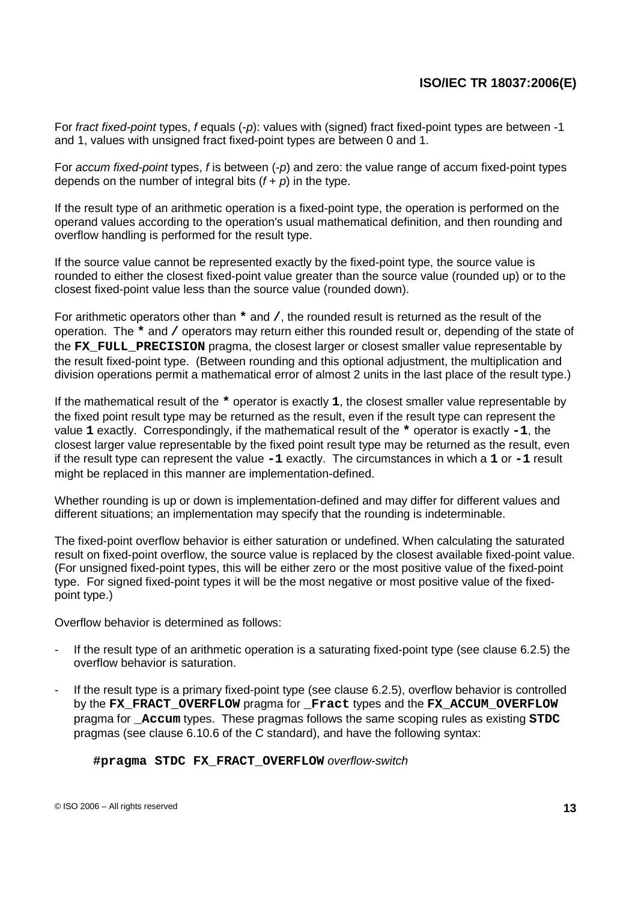For fract fixed-point types, f equals (-p): values with (signed) fract fixed-point types are between -1 and 1, values with unsigned fract fixed-point types are between 0 and 1.

For *accum fixed-point* types, f is between (-p) and zero: the value range of accum fixed-point types depends on the number of integral bits  $(f + p)$  in the type.

If the result type of an arithmetic operation is a fixed-point type, the operation is performed on the operand values according to the operation's usual mathematical definition, and then rounding and overflow handling is performed for the result type.

If the source value cannot be represented exactly by the fixed-point type, the source value is rounded to either the closest fixed-point value greater than the source value (rounded up) or to the closest fixed-point value less than the source value (rounded down).

For arithmetic operators other than **\*** and **/**, the rounded result is returned as the result of the operation. The **\*** and **/** operators may return either this rounded result or, depending of the state of the **FX** FULL PRECISION pragma, the closest larger or closest smaller value representable by the result fixed-point type. (Between rounding and this optional adjustment, the multiplication and division operations permit a mathematical error of almost 2 units in the last place of the result type.)

If the mathematical result of the **\*** operator is exactly **1**, the closest smaller value representable by the fixed point result type may be returned as the result, even if the result type can represent the value **1** exactly. Correspondingly, if the mathematical result of the **\*** operator is exactly **-1**, the closest larger value representable by the fixed point result type may be returned as the result, even if the result type can represent the value **-1** exactly. The circumstances in which a **1** or **-1** result might be replaced in this manner are implementation-defined.

Whether rounding is up or down is implementation-defined and may differ for different values and different situations; an implementation may specify that the rounding is indeterminable.

The fixed-point overflow behavior is either saturation or undefined. When calculating the saturated result on fixed-point overflow, the source value is replaced by the closest available fixed-point value. (For unsigned fixed-point types, this will be either zero or the most positive value of the fixed-point type. For signed fixed-point types it will be the most negative or most positive value of the fixedpoint type.)

Overflow behavior is determined as follows:

- If the result type of an arithmetic operation is a saturating fixed-point type (see clause 6.2.5) the overflow behavior is saturation.
- If the result type is a primary fixed-point type (see clause 6.2.5), overflow behavior is controlled by the **FX\_FRACT\_OVERFLOW** pragma for **\_Fract** types and the **FX\_ACCUM\_OVERFLOW** pragma for **\_Accum** types. These pragmas follows the same scoping rules as existing **STDC** pragmas (see clause 6.10.6 of the C standard), and have the following syntax:

**#pragma STDC FX\_FRACT\_OVERFLOW** overflow-switch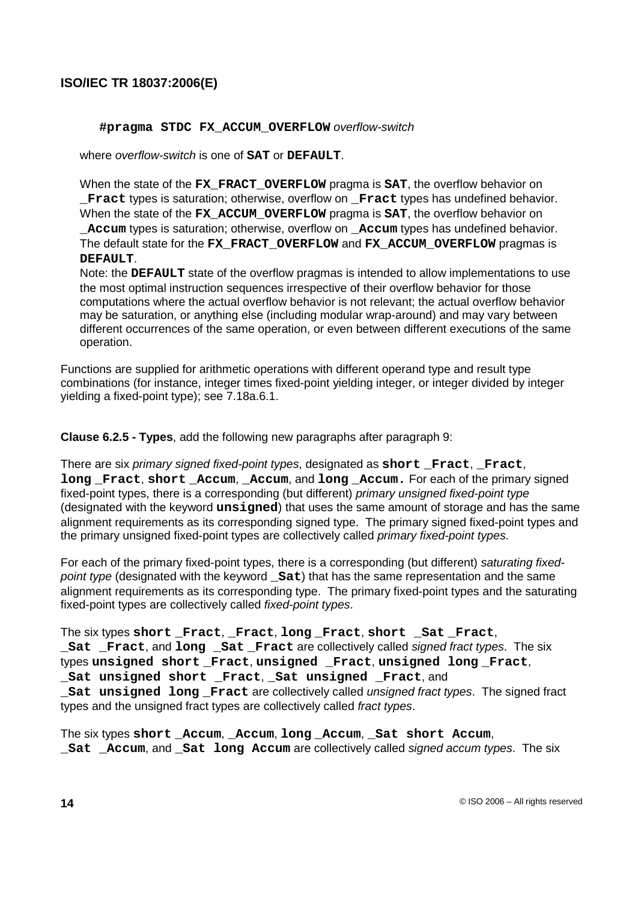#### **#pragma STDC FX\_ACCUM\_OVERFLOW** overflow-switch

where overflow-switch is one of **SAT** or **DEFAULT**.

When the state of the **FX\_FRACT\_OVERFLOW** pragma is **SAT**, the overflow behavior on **\_Fract** types is saturation; otherwise, overflow on **\_Fract** types has undefined behavior. When the state of the **FX\_ACCUM\_OVERFLOW** pragma is **SAT**, the overflow behavior on **\_Accum** types is saturation; otherwise, overflow on **\_Accum** types has undefined behavior. The default state for the **FX\_FRACT\_OVERFLOW** and **FX\_ACCUM\_OVERFLOW** pragmas is **DEFAULT**.

Note: the **DEFAULT** state of the overflow pragmas is intended to allow implementations to use the most optimal instruction sequences irrespective of their overflow behavior for those computations where the actual overflow behavior is not relevant; the actual overflow behavior may be saturation, or anything else (including modular wrap-around) and may vary between different occurrences of the same operation, or even between different executions of the same operation.

Functions are supplied for arithmetic operations with different operand type and result type combinations (for instance, integer times fixed-point yielding integer, or integer divided by integer yielding a fixed-point type); see 7.18a.6.1.

**Clause 6.2.5 - Types**, add the following new paragraphs after paragraph 9:

There are six primary signed fixed-point types, designated as short **Fract**, **Fract**, **long Fract**, **short Accum**, **Accum**, and **long Accum.** For each of the primary signed fixed-point types, there is a corresponding (but different) primary unsigned fixed-point type (designated with the keyword **unsigned**) that uses the same amount of storage and has the same alignment requirements as its corresponding signed type. The primary signed fixed-point types and the primary unsigned fixed-point types are collectively called *primary fixed-point types*.

For each of the primary fixed-point types, there is a corresponding (but different) saturating fixedpoint type (designated with the keyword **\_Sat**) that has the same representation and the same alignment requirements as its corresponding type. The primary fixed-point types and the saturating fixed-point types are collectively called fixed-point types.

The six types **short \_Fract**, **\_Fract**, **long \_Fract**, **short \_Sat \_Fract**, **\_Sat \_Fract**, and **long \_Sat \_Fract** are collectively called signed fract types. The six types **unsigned short \_Fract**, **unsigned \_Fract**, **unsigned long \_Fract**, **\_Sat unsigned short \_Fract**, **\_Sat unsigned \_Fract**, and **\_Sat unsigned long \_Fract** are collectively called unsigned fract types. The signed fract types and the unsigned fract types are collectively called fract types.

The six types **short \_Accum**, **\_Accum**, **long \_Accum**, **\_Sat short Accum**, **\_Sat \_Accum**, and **\_Sat long Accum** are collectively called signed accum types. The six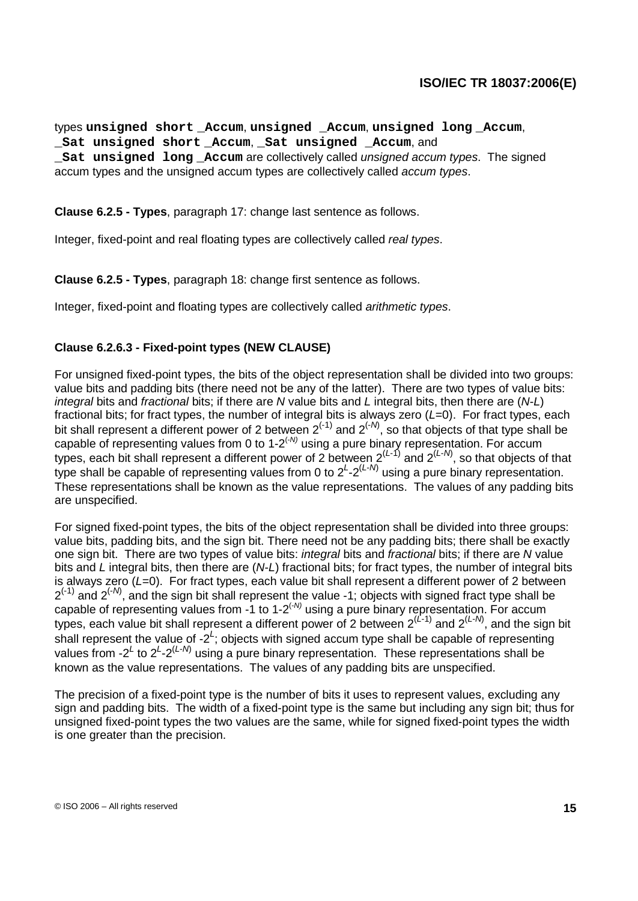types **unsigned short \_Accum**, **unsigned \_Accum**, **unsigned long \_Accum**, **\_Sat unsigned short \_Accum**, **\_Sat unsigned \_Accum**, and **\_Sat unsigned long \_Accum** are collectively called unsigned accum types. The signed accum types and the unsigned accum types are collectively called accum types.

**Clause 6.2.5 - Types**, paragraph 17: change last sentence as follows.

Integer, fixed-point and real floating types are collectively called real types.

**Clause 6.2.5 - Types**, paragraph 18: change first sentence as follows.

Integer, fixed-point and floating types are collectively called arithmetic types.

## **Clause 6.2.6.3 - Fixed-point types (NEW CLAUSE)**

For unsigned fixed-point types, the bits of the object representation shall be divided into two groups: value bits and padding bits (there need not be any of the latter). There are two types of value bits: integral bits and fractional bits; if there are N value bits and L integral bits, then there are  $(N-L)$ fractional bits; for fract types, the number of integral bits is always zero  $(L=0)$ . For fract types, each bit shall represent a different power of 2 between  $2^{(-1)}$  and  $2^{(-N)}$ , so that objects of that type shall be capable of representing values from 0 to 1-2<sup> $(-N)$ </sup> using a pure binary representation. For accum types, each bit shall represent a different power of 2 between  $2^{(L-1)}$  and  $2^{(L-N)}$ , so that objects of that type shall be capable of representing values from 0 to  $2^{L} \text{-} 2^{(L-N)}$  using a pure binary representation. These representations shall be known as the value representations. The values of any padding bits are unspecified.

For signed fixed-point types, the bits of the object representation shall be divided into three groups: value bits, padding bits, and the sign bit. There need not be any padding bits; there shall be exactly one sign bit. There are two types of value bits: *integral* bits and *fractional* bits; if there are N value bits and L integral bits, then there are  $(N-L)$  fractional bits; for fract types, the number of integral bits is always zero  $(L=0)$ . For fract types, each value bit shall represent a different power of 2 between  $2^{(-1)}$  and  $2^{(-N)}$ , and the sign bit shall represent the value -1; objects with signed fract type shall be capable of representing values from -1 to 1-2<sup> $(-N)$ </sup> using a pure binary representation. For accum types, each value bit shall represent a different power of 2 between  $2^{(L-1)}$  and  $2^{(L-N)}$ , and the sign bit shall represent the value of  $-2^L$ ; objects with signed accum type shall be capable of representing values from -2<sup>L</sup> to 2<sup>L</sup>-2<sup>(L-N)</sup> using a pure binary representation. These representations shall be known as the value representations. The values of any padding bits are unspecified.

The precision of a fixed-point type is the number of bits it uses to represent values, excluding any sign and padding bits. The width of a fixed-point type is the same but including any sign bit; thus for unsigned fixed-point types the two values are the same, while for signed fixed-point types the width is one greater than the precision.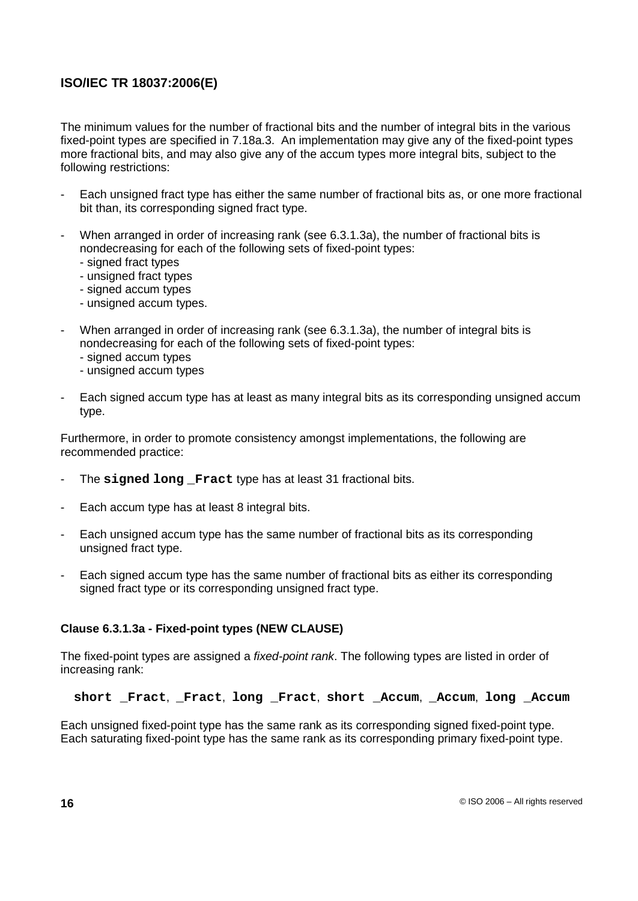The minimum values for the number of fractional bits and the number of integral bits in the various fixed-point types are specified in 7.18a.3. An implementation may give any of the fixed-point types more fractional bits, and may also give any of the accum types more integral bits, subject to the following restrictions:

- Each unsigned fract type has either the same number of fractional bits as, or one more fractional bit than, its corresponding signed fract type.
- When arranged in order of increasing rank (see 6.3.1.3a), the number of fractional bits is nondecreasing for each of the following sets of fixed-point types:
	- signed fract types
	- unsigned fract types
	- signed accum types
	- unsigned accum types.
- When arranged in order of increasing rank (see 6.3.1.3a), the number of integral bits is nondecreasing for each of the following sets of fixed-point types:
	- signed accum types
	- unsigned accum types
- Each signed accum type has at least as many integral bits as its corresponding unsigned accum type.

Furthermore, in order to promote consistency amongst implementations, the following are recommended practice:

- The **signed long \_Fract** type has at least 31 fractional bits.
- Each accum type has at least 8 integral bits.
- Each unsigned accum type has the same number of fractional bits as its corresponding unsigned fract type.
- Each signed accum type has the same number of fractional bits as either its corresponding signed fract type or its corresponding unsigned fract type.

## **Clause 6.3.1.3a - Fixed-point types (NEW CLAUSE)**

The fixed-point types are assigned a fixed-point rank. The following types are listed in order of increasing rank:

**short \_Fract**, **\_Fract**, **long \_Fract**, **short \_Accum**, **\_Accum**, **long \_Accum**

Each unsigned fixed-point type has the same rank as its corresponding signed fixed-point type. Each saturating fixed-point type has the same rank as its corresponding primary fixed-point type.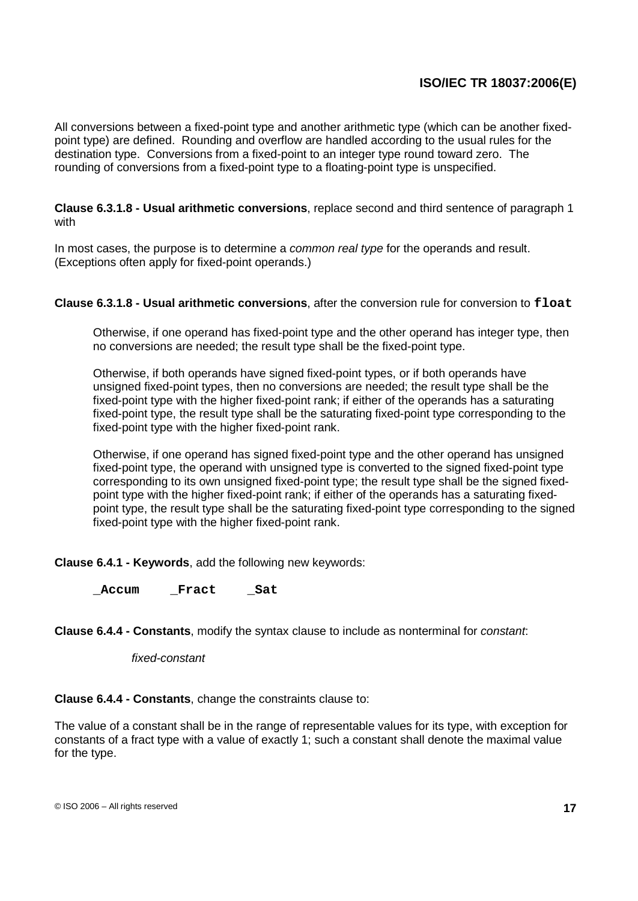All conversions between a fixed-point type and another arithmetic type (which can be another fixedpoint type) are defined. Rounding and overflow are handled according to the usual rules for the destination type. Conversions from a fixed-point to an integer type round toward zero. The rounding of conversions from a fixed-point type to a floating-point type is unspecified.

## **Clause 6.3.1.8 - Usual arithmetic conversions**, replace second and third sentence of paragraph 1 with

In most cases, the purpose is to determine a *common real type* for the operands and result. (Exceptions often apply for fixed-point operands.)

## **Clause 6.3.1.8 - Usual arithmetic conversions**, after the conversion rule for conversion to **float**

Otherwise, if one operand has fixed-point type and the other operand has integer type, then no conversions are needed; the result type shall be the fixed-point type.

Otherwise, if both operands have signed fixed-point types, or if both operands have unsigned fixed-point types, then no conversions are needed; the result type shall be the fixed-point type with the higher fixed-point rank; if either of the operands has a saturating fixed-point type, the result type shall be the saturating fixed-point type corresponding to the fixed-point type with the higher fixed-point rank.

Otherwise, if one operand has signed fixed-point type and the other operand has unsigned fixed-point type, the operand with unsigned type is converted to the signed fixed-point type corresponding to its own unsigned fixed-point type; the result type shall be the signed fixedpoint type with the higher fixed-point rank; if either of the operands has a saturating fixedpoint type, the result type shall be the saturating fixed-point type corresponding to the signed fixed-point type with the higher fixed-point rank.

**Clause 6.4.1 - Keywords**, add the following new keywords:

**\_Accum \_Fract \_Sat**

**Clause 6.4.4 - Constants**, modify the syntax clause to include as nonterminal for constant:

#### fixed-constant

**Clause 6.4.4 - Constants**, change the constraints clause to:

The value of a constant shall be in the range of representable values for its type, with exception for constants of a fract type with a value of exactly 1; such a constant shall denote the maximal value for the type.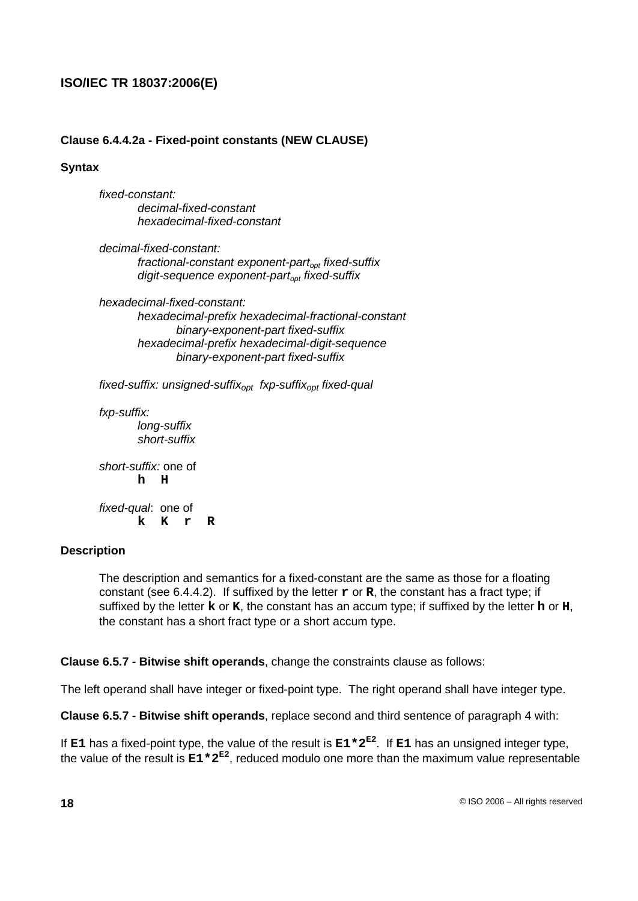## **Clause 6.4.4.2a - Fixed-point constants (NEW CLAUSE)**

## **Syntax**

fixed-constant: decimal-fixed-constant hexadecimal-fixed-constant

decimal-fixed-constant: fractional-constant exponent-part<sub>opt</sub> fixed-suffix digit-sequence exponent-part<sub>opt</sub> fixed-suffix

hexadecimal-fixed-constant: hexadecimal-prefix hexadecimal-fractional-constant binary-exponent-part fixed-suffix hexadecimal-prefix hexadecimal-digit-sequence binary-exponent-part fixed-suffix

fixed-suffix: unsigned-suffix<sub>opt</sub> fxp-suffix<sub>opt</sub> fixed-qual

fxp-suffix: long-suffix short-suffix

short-suffix: one of **h H** fixed-qual: one of **k K r R**

## **Description**

The description and semantics for a fixed-constant are the same as those for a floating constant (see 6.4.4.2). If suffixed by the letter **r** or **R**, the constant has a fract type; if suffixed by the letter **k** or **K**, the constant has an accum type; if suffixed by the letter **h** or **H**, the constant has a short fract type or a short accum type.

**Clause 6.5.7 - Bitwise shift operands**, change the constraints clause as follows:

The left operand shall have integer or fixed-point type. The right operand shall have integer type.

**Clause 6.5.7 - Bitwise shift operands**, replace second and third sentence of paragraph 4 with:

If **E1** has a fixed-point type, the value of the result is **E1\*2 E2** . If **E1** has an unsigned integer type, the value of the result is  $E1 * 2^{E2}$ , reduced modulo one more than the maximum value representable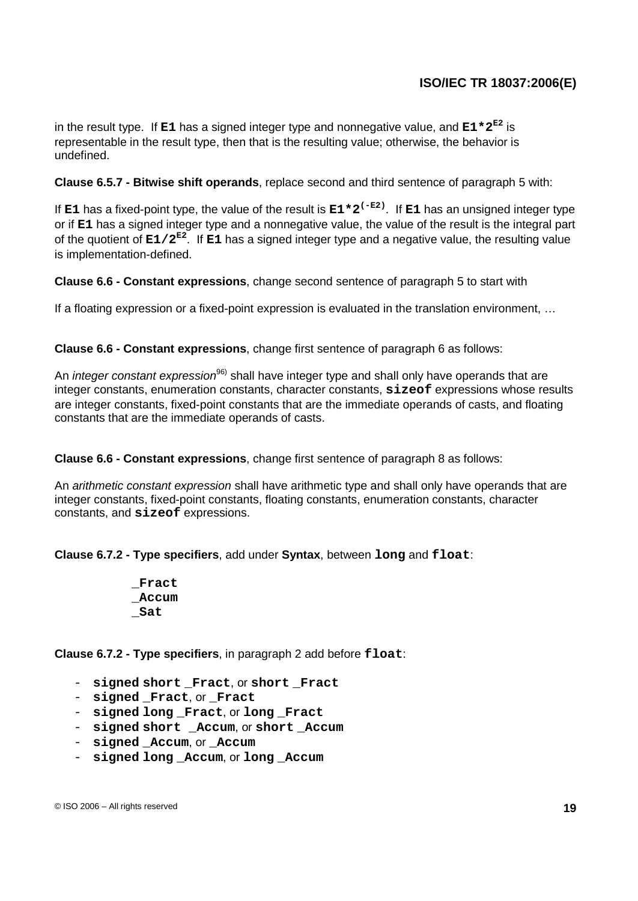in the result type. If **E1** has a signed integer type and nonnegative value, and **E1\*2 E2** is representable in the result type, then that is the resulting value; otherwise, the behavior is undefined.

**Clause 6.5.7 - Bitwise shift operands**, replace second and third sentence of paragraph 5 with:

If **E1** has a fixed-point type, the value of the result is **E1\*2 (-E2)** . If **E1** has an unsigned integer type or if **E1** has a signed integer type and a nonnegative value, the value of the result is the integral part of the quotient of **E1/2 E2** . If **E1** has a signed integer type and a negative value, the resulting value is implementation-defined.

**Clause 6.6 - Constant expressions**, change second sentence of paragraph 5 to start with

If a floating expression or a fixed-point expression is evaluated in the translation environment, …

**Clause 6.6 - Constant expressions**, change first sentence of paragraph 6 as follows:

An *integer constant expression<sup>96)</sup>* shall have integer type and shall only have operands that are integer constants, enumeration constants, character constants, **sizeof** expressions whose results are integer constants, fixed-point constants that are the immediate operands of casts, and floating constants that are the immediate operands of casts.

**Clause 6.6 - Constant expressions**, change first sentence of paragraph 8 as follows:

An arithmetic constant expression shall have arithmetic type and shall only have operands that are integer constants, fixed-point constants, floating constants, enumeration constants, character constants, and **sizeof** expressions.

**Clause 6.7.2 - Type specifiers**, add under **Syntax**, between **long** and **float**:

**\_Fract \_Accum \_Sat**

**Clause 6.7.2 - Type specifiers**, in paragraph 2 add before **float**:

- **signed short \_Fract**, or **short \_Fract**
- **signed Fract**, or **Fract**
- **signed long \_Fract**, or **long \_Fract**
- **signed short \_Accum**, or **short \_Accum**
- **signed \_Accum**, or **\_Accum**
- signed long Accum, or long Accum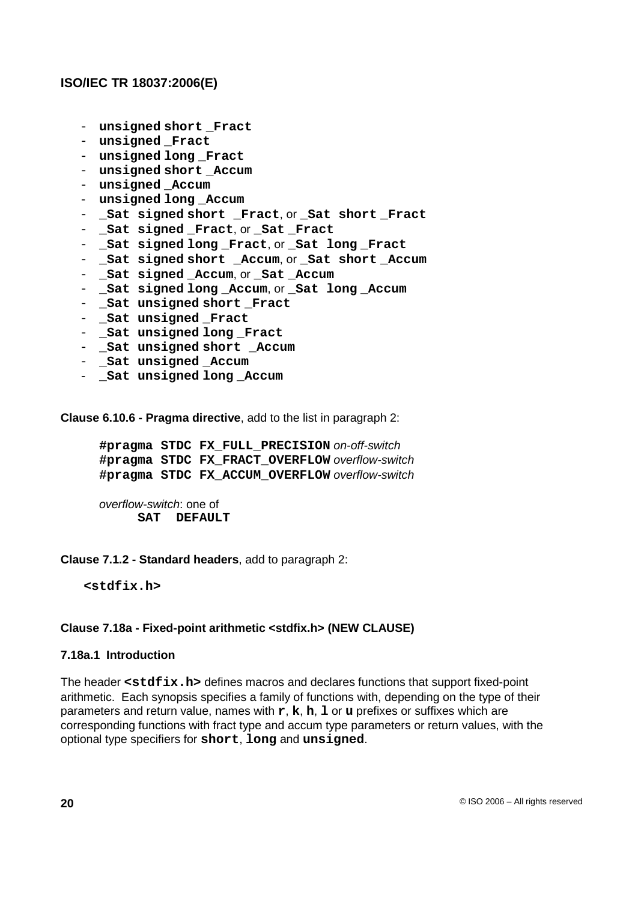- unsigned short **Fract**
- unsigned **Fract**
- **unsigned long \_Fract**
- unsigned short Accum
- unsigned **Accum**
- unsigned long Accum
- **\_Sat signed short \_Fract**, or **\_Sat short \_Fract**
- **\_Sat signed \_Fract**, or **\_Sat \_Fract**
- **\_Sat signed long \_Fract**, or **\_Sat long \_Fract**
- **\_Sat signed short \_Accum**, or **\_Sat short \_Accum**
- **\_Sat signed \_Accum**, or **\_Sat \_Accum**
- **\_Sat signed long \_Accum**, or **\_Sat long \_Accum**
- **\_Sat unsigned short \_Fract**
- **\_Sat unsigned \_Fract**
- **\_Sat unsigned long \_Fract**
- **\_Sat unsigned short \_Accum**
- **\_Sat unsigned \_Accum**
- **\_Sat unsigned long \_Accum**

**Clause 6.10.6 - Pragma directive**, add to the list in paragraph 2:

**#pragma STDC FX\_FULL\_PRECISION** on-off-switch **#pragma STDC FX\_FRACT\_OVERFLOW** overflow-switch **#pragma STDC FX\_ACCUM\_OVERFLOW** overflow-switch

overflow-switch: one of **SAT DEFAULT**

#### **Clause 7.1.2 - Standard headers**, add to paragraph 2:

**<stdfix.h>**

## **Clause 7.18a - Fixed-point arithmetic <stdfix.h> (NEW CLAUSE)**

#### **7.18a.1 Introduction**

The header **<stdfix.h>** defines macros and declares functions that support fixed-point arithmetic. Each synopsis specifies a family of functions with, depending on the type of their parameters and return value, names with **r**, **k**, **h**, **l** or **u** prefixes or suffixes which are corresponding functions with fract type and accum type parameters or return values, with the optional type specifiers for **short**, **long** and **unsigned**.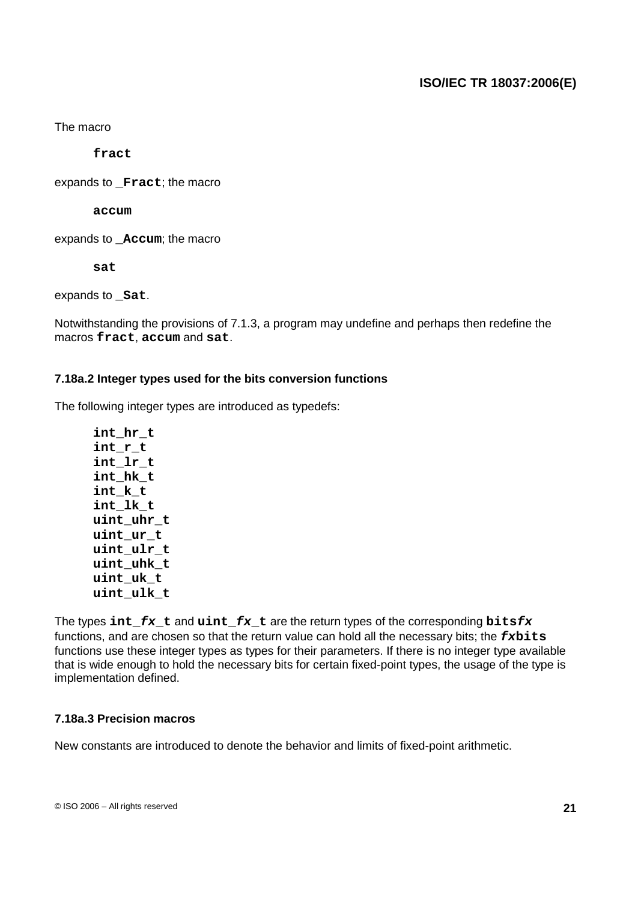The macro

**fract**

expands to **Fract**; the macro

**accum**

expands to **\_Accum**; the macro

**sat**

expands to **\_Sat**.

Notwithstanding the provisions of 7.1.3, a program may undefine and perhaps then redefine the macros **fract**, **accum** and **sat**.

## **7.18a.2 Integer types used for the bits conversion functions**

The following integer types are introduced as typedefs:

**int\_hr\_t int\_r\_t int\_lr\_t int\_hk\_t int\_k\_t int\_lk\_t uint\_uhr\_t uint\_ur\_t uint\_ulr\_t uint\_uhk\_t uint\_uk\_t uint\_ulk\_t**

The types **int\_fx\_t** and **uint\_fx\_t** are the return types of the corresponding **bitsfx** functions, and are chosen so that the return value can hold all the necessary bits; the **fxbits** functions use these integer types as types for their parameters. If there is no integer type available that is wide enough to hold the necessary bits for certain fixed-point types, the usage of the type is implementation defined.

## **7.18a.3 Precision macros**

New constants are introduced to denote the behavior and limits of fixed-point arithmetic.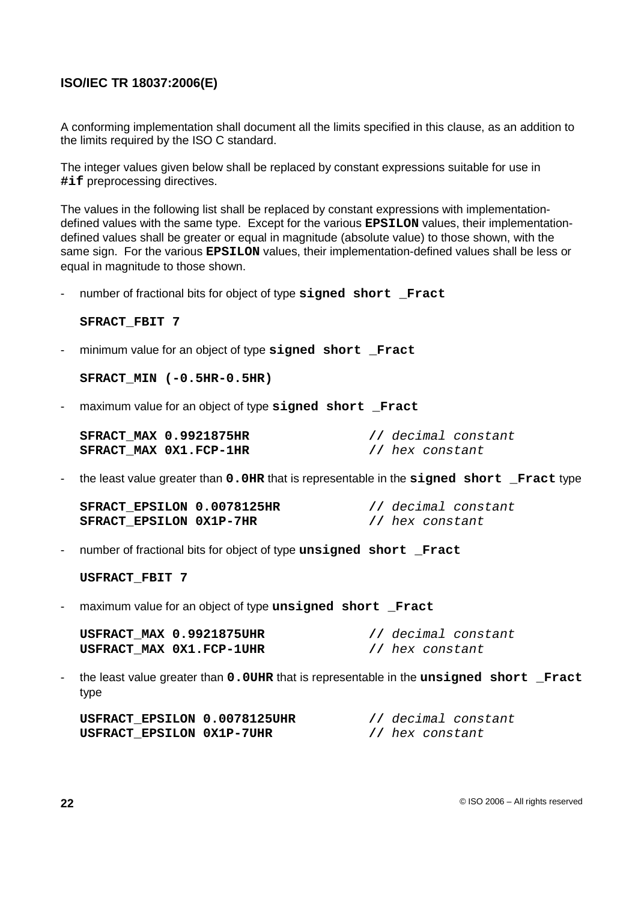A conforming implementation shall document all the limits specified in this clause, as an addition to the limits required by the ISO C standard.

The integer values given below shall be replaced by constant expressions suitable for use in **#if** preprocessing directives.

The values in the following list shall be replaced by constant expressions with implementationdefined values with the same type. Except for the various **EPSILON** values, their implementationdefined values shall be greater or equal in magnitude (absolute value) to those shown, with the same sign. For the various **EPSILON** values, their implementation-defined values shall be less or equal in magnitude to those shown.

- number of fractional bits for object of type **signed short \_Fract**

**SFRACT\_FBIT 7**

- minimum value for an object of type **signed short \_Fract**

**SFRACT\_MIN (-0.5HR-0.5HR)**

- maximum value for an object of type **signed short \_Fract**

| <b>SFRACT MAX 0.9921875HR</b> | // decimal constant |
|-------------------------------|---------------------|
| SFRACT MAX 0X1.FCP-1HR        | // hex constant     |

- the least value greater than **0.0HR** that is representable in the **signed short \_Fract** type

| SFRACT EPSILON 0.0078125HR     |  |                 | // decimal constant |
|--------------------------------|--|-----------------|---------------------|
| <b>SFRACT EPSILON 0X1P-7HR</b> |  | // hex constant |                     |

- number of fractional bits for object of type **unsigned short \_Fract**

**USFRACT\_FBIT 7**

- maximum value for an object of type **unsigned short \_Fract**

| USFRACT MAX 0.9921875UHR |                 | // decimal constant |
|--------------------------|-----------------|---------------------|
| USFRACT MAX 0X1.FCP-1UHR | // hex constant |                     |

- the least value greater than **0.0UHR** that is representable in the **unsigned short \_Fract** type

| USFRACT EPSILON 0.0078125UHR |  |                 | // decimal constant |
|------------------------------|--|-----------------|---------------------|
| USFRACT EPSILON 0X1P-7UHR    |  | // hex constant |                     |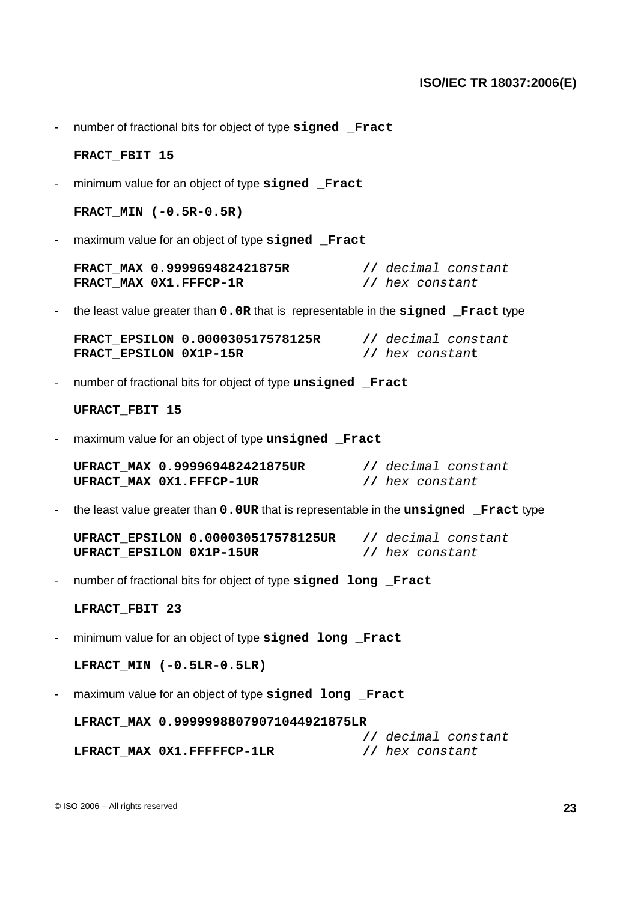- number of fractional bits for object of type **signed \_Fract**

#### **FRACT\_FBIT 15**

- minimum value for an object of type **signed \_Fract**

**FRACT\_MIN (-0.5R-0.5R)**

- maximum value for an object of type **signed \_Fract**

| FRACT MAX 0.999969482421875R |                 | // decimal constant |
|------------------------------|-----------------|---------------------|
| FRACT MAX 0X1.FFFCP-1R       | // hex constant |                     |

- the least value greater than **0.0R** that is representable in the **signed \_Fract** type

**FRACT\_EPSILON 0.000030517578125R //** decimal constant **FRACT\_EPSILON 0X1P-15R //** hex constan**t**

- number of fractional bits for object of type **unsigned \_Fract**

**UFRACT\_FBIT 15**

- maximum value for an object of type **unsigned \_Fract**

**UFRACT\_MAX 0.999969482421875UR //** decimal constant **UFRACT\_MAX 0X1.FFFCP-1UR //** hex constant

- the least value greater than **0.0UR** that is representable in the **unsigned \_Fract** type

**UFRACT\_EPSILON 0.000030517578125UR //** decimal constant **UFRACT\_EPSILON 0X1P-15UR //** hex constant

- number of fractional bits for object of type **signed long \_Fract**

#### **LFRACT\_FBIT 23**

- minimum value for an object of type **signed long \_Fract**

**LFRACT\_MIN (-0.5LR-0.5LR)**

- maximum value for an object of type **signed long \_Fract**

**LFRACT\_MAX 0.99999988079071044921875LR**

**//** decimal constant **LFRACT\_MAX 0X1.FFFFFCP-1LR //** hex constant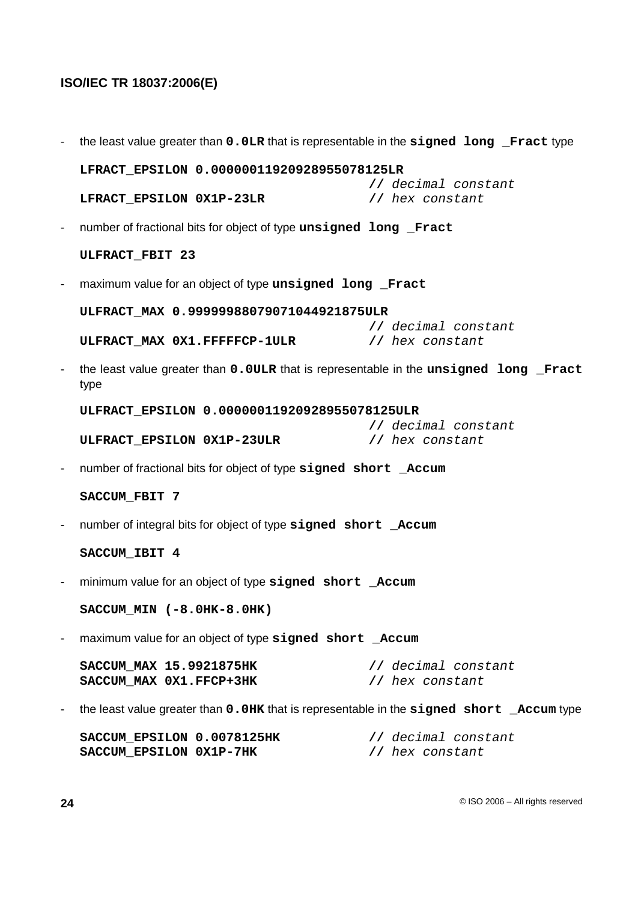|                          | the least value greater than 0.0LR that is representable in the signed long Fract type          |
|--------------------------|-------------------------------------------------------------------------------------------------|
|                          | LFRACT EPSILON 0.00000011920928955078125LR                                                      |
|                          | // decimal constant<br>LFRACT_EPSILON 0X1P-23LR<br>// hex constant                              |
|                          | number of fractional bits for object of type unsigned long Fract                                |
|                          | ULFRACT FBIT 23                                                                                 |
|                          | maximum value for an object of type unsigned long Fract                                         |
|                          | ULFRACT_MAX 0.99999988079071044921875ULR                                                        |
|                          | // decimal constant<br>ULFRACT_MAX 0X1.FFFFFCP-1ULR<br>// hex constant                          |
|                          | the least value greater than 0.0ULR that is representable in the unsigned long Fract<br>type    |
|                          | ULFRACT_EPSILON 0.00000011920928955078125ULR<br>// decimal constant                             |
|                          | ULFRACT_EPSILON 0X1P-23ULR<br>// hex constant                                                   |
|                          | number of fractional bits for object of type signed short _Accum                                |
|                          | SACCUM FBIT 7                                                                                   |
|                          | number of integral bits for object of type signed short _Accum                                  |
|                          | SACCUM IBIT 4                                                                                   |
| $\overline{\phantom{a}}$ | minimum value for an object of type signed short _Accum                                         |
|                          | SACCUM_MIN (-8.0HK-8.0HK)                                                                       |
|                          | maximum value for an object of type signed short _Accum                                         |
|                          | SACCUM_MAX 15.9921875HK<br>// decimal constant<br>SACCUM MAX 0X1.FFCP+3HK<br>// hex constant    |
|                          | the least value greater than 0.0HK that is representable in the signed short _Accum type        |
|                          | SACCUM EPSILON 0.0078125HK<br>// decimal constant<br>SACCUM_EPSILON 0X1P-7HK<br>// hex constant |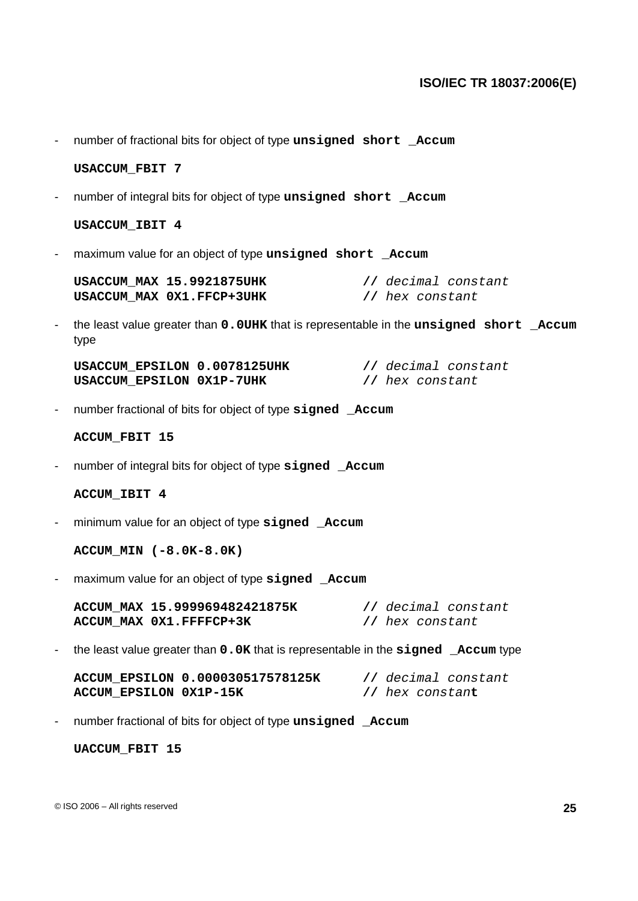- number of fractional bits for object of type **unsigned short \_Accum**

#### **USACCUM\_FBIT 7**

- number of integral bits for object of type **unsigned short \_Accum**

#### **USACCUM\_IBIT 4**

- maximum value for an object of type **unsigned short \_Accum**

| USACCUM MAX 15.9921875UHK | // decimal constant |
|---------------------------|---------------------|
| USACCUM MAX 0X1.FFCP+3UHK | // hex constant     |

- the least value greater than **0.0UHK** that is representable in the **unsigned short \_Accum** type

| USACCUM EPSILON 0.0078125UHK | // decimal constant |
|------------------------------|---------------------|
| USACCUM EPSILON 0X1P-7UHK    | // hex constant     |

- number fractional of bits for object of type **signed \_Accum**

#### **ACCUM\_FBIT 15**

- number of integral bits for object of type **signed \_Accum**

#### **ACCUM\_IBIT 4**

- minimum value for an object of type **signed \_Accum**

**ACCUM\_MIN (-8.0K-8.0K)**

- maximum value for an object of type **signed \_Accum**

|                         | ACCUM MAX 15.999969482421875K |                 | // decimal constant |
|-------------------------|-------------------------------|-----------------|---------------------|
| ACCUM MAX 0X1.FFFFCP+3K |                               | // hex constant |                     |

- the least value greater than **0.0K** that is representable in the **signed \_Accum** type

**ACCUM\_EPSILON 0.000030517578125K //** decimal constant **ACCUM\_EPSILON 0X1P-15K //** hex constan**t**

- number fractional of bits for object of type **unsigned \_Accum**

**UACCUM\_FBIT 15**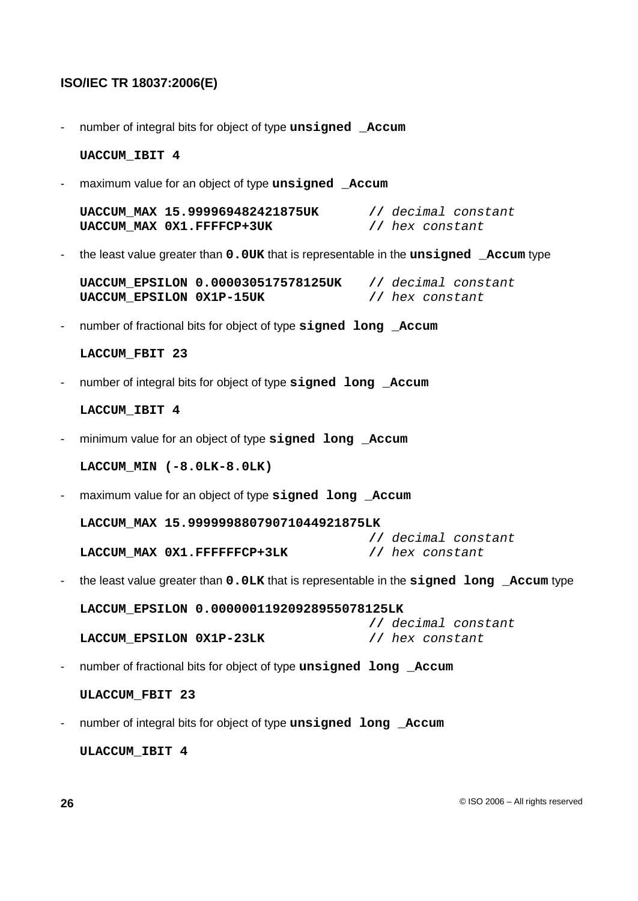- number of integral bits for object of type **unsigned \_Accum**

#### **UACCUM\_IBIT 4**

- maximum value for an object of type **unsigned \_Accum**

**UACCUM\_MAX 15.999969482421875UK //** decimal constant **UACCUM\_MAX 0X1.FFFFCP+3UK //** hex constant

- the least value greater than **0.0UK** that is representable in the **unsigned \_Accum** type

**UACCUM\_EPSILON 0.000030517578125UK //** decimal constant **UACCUM\_EPSILON 0X1P-15UK //** hex constant

- number of fractional bits for object of type **signed long \_Accum**

```
LACCUM_FBIT 23
```
- number of integral bits for object of type **signed long \_Accum**

```
LACCUM_IBIT 4
```
- minimum value for an object of type **signed long \_Accum**

**LACCUM\_MIN (-8.0LK-8.0LK)**

- maximum value for an object of type **signed long \_Accum**

**LACCUM\_MAX 15.99999988079071044921875LK**

**//** decimal constant **LACCUM\_MAX 0X1.FFFFFFCP+3LK //** hex constant

- the least value greater than **0.0LK** that is representable in the **signed long \_Accum** type

**LACCUM\_EPSILON 0.00000011920928955078125LK //** decimal constant **LACCUM\_EPSILON 0X1P-23LK //** hex constant

- number of fractional bits for object of type **unsigned long \_Accum**

**ULACCUM\_FBIT 23**

- number of integral bits for object of type **unsigned long \_Accum**

**ULACCUM\_IBIT 4**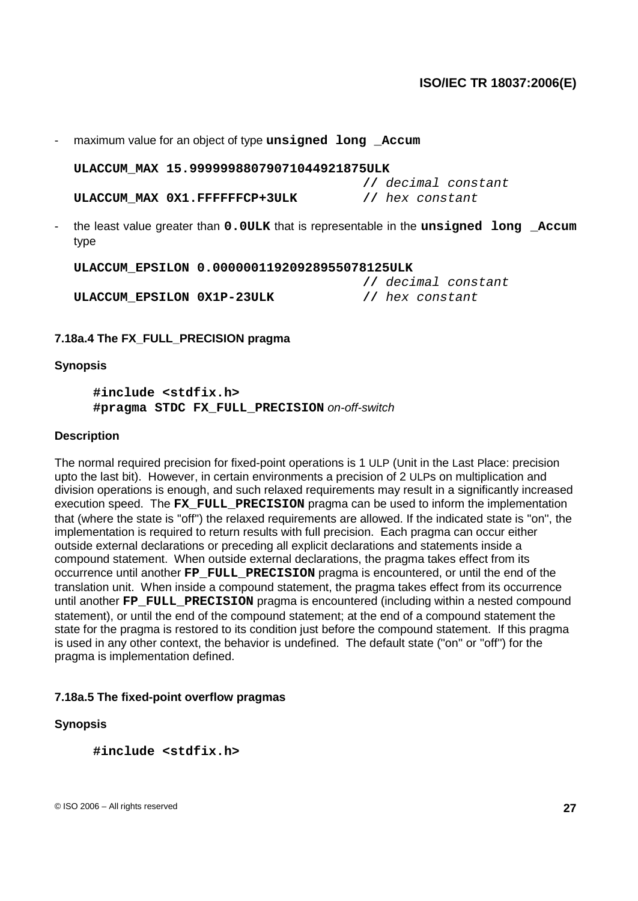- maximum value for an object of type **unsigned long \_Accum**

**ULACCUM\_MAX 15.99999988079071044921875ULK**

**//** decimal constant **ULACCUM\_MAX 0X1.FFFFFFCP+3ULK //** hex constant

- the least value greater than **0.0ULK** that is representable in the **unsigned long \_Accum** type

**ULACCUM\_EPSILON 0.00000011920928955078125ULK**

**ULACCUM\_EPSILON 0X1P-23ULK //** hex constant

**//** decimal constant

## **7.18a.4 The FX\_FULL\_PRECISION pragma**

#### **Synopsis**

**#include <stdfix.h> #pragma STDC FX\_FULL\_PRECISION** on-off-switch

#### **Description**

The normal required precision for fixed-point operations is 1 ULP (Unit in the Last Place: precision upto the last bit). However, in certain environments a precision of 2 ULPs on multiplication and division operations is enough, and such relaxed requirements may result in a significantly increased execution speed. The **FX\_FULL\_PRECISION** pragma can be used to inform the implementation that (where the state is ''off'') the relaxed requirements are allowed. If the indicated state is ''on'', the implementation is required to return results with full precision. Each pragma can occur either outside external declarations or preceding all explicit declarations and statements inside a compound statement. When outside external declarations, the pragma takes effect from its occurrence until another **FP\_FULL\_PRECISION** pragma is encountered, or until the end of the translation unit. When inside a compound statement, the pragma takes effect from its occurrence until another **FP\_FULL\_PRECISION** pragma is encountered (including within a nested compound statement), or until the end of the compound statement; at the end of a compound statement the state for the pragma is restored to its condition just before the compound statement. If this pragma is used in any other context, the behavior is undefined. The default state (''on'' or ''off'') for the pragma is implementation defined.

## **7.18a.5 The fixed-point overflow pragmas**

#### **Synopsis**

**#include <stdfix.h>**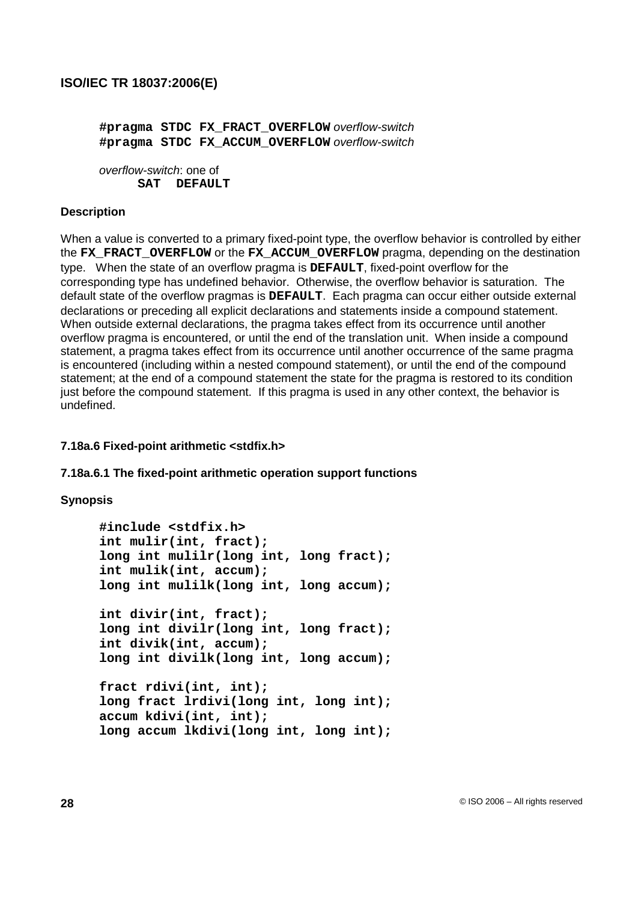**#pragma STDC FX\_FRACT\_OVERFLOW** overflow-switch **#pragma STDC FX\_ACCUM\_OVERFLOW** overflow-switch

overflow-switch: one of SAT **DEFAULT** 

#### **Description**

When a value is converted to a primary fixed-point type, the overflow behavior is controlled by either the **FX\_FRACT\_OVERFLOW** or the **FX\_ACCUM\_OVERFLOW** pragma, depending on the destination type. When the state of an overflow pragma is **DEFAULT**, fixed-point overflow for the corresponding type has undefined behavior. Otherwise, the overflow behavior is saturation. The default state of the overflow pragmas is **DEFAULT**. Each pragma can occur either outside external declarations or preceding all explicit declarations and statements inside a compound statement. When outside external declarations, the pragma takes effect from its occurrence until another overflow pragma is encountered, or until the end of the translation unit. When inside a compound statement, a pragma takes effect from its occurrence until another occurrence of the same pragma is encountered (including within a nested compound statement), or until the end of the compound statement; at the end of a compound statement the state for the pragma is restored to its condition just before the compound statement. If this pragma is used in any other context, the behavior is undefined.

#### **7.18a.6 Fixed-point arithmetic <stdfix.h>**

#### **7.18a.6.1 The fixed-point arithmetic operation support functions**

#### **Synopsis**

**#include <stdfix.h> int mulir(int, fract); long int mulilr(long int, long fract); int mulik(int, accum); long int mulilk(long int, long accum); int divir(int, fract); long int divilr(long int, long fract); int divik(int, accum); long int divilk(long int, long accum); fract rdivi(int, int); long fract lrdivi(long int, long int); accum kdivi(int, int); long accum lkdivi(long int, long int);**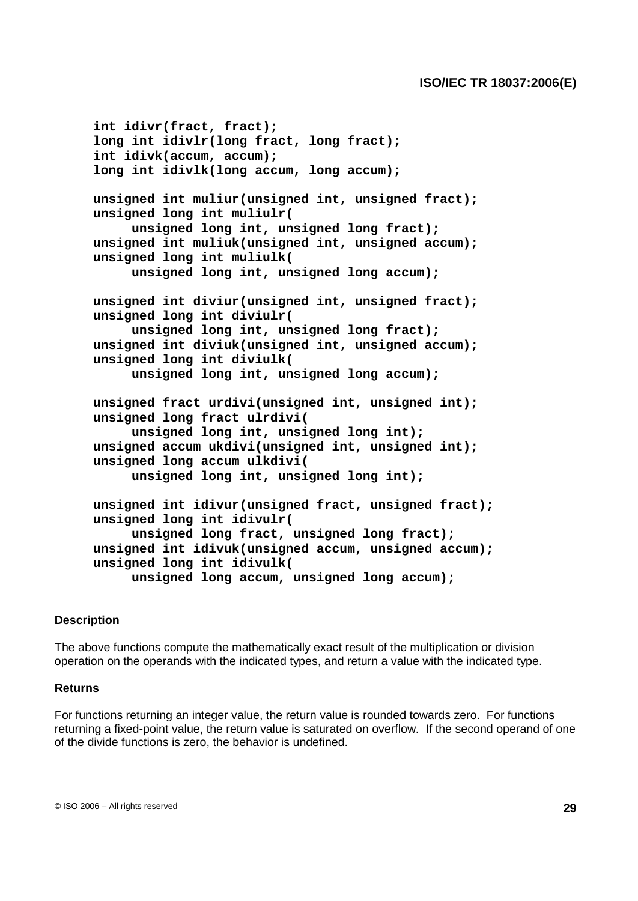**int idivr(fract, fract); long int idivlr(long fract, long fract); int idivk(accum, accum); long int idivlk(long accum, long accum); unsigned int muliur(unsigned int, unsigned fract); unsigned long int muliulr( unsigned long int, unsigned long fract); unsigned int muliuk(unsigned int, unsigned accum); unsigned long int muliulk( unsigned long int, unsigned long accum); unsigned int diviur(unsigned int, unsigned fract); unsigned long int diviulr( unsigned long int, unsigned long fract); unsigned int diviuk(unsigned int, unsigned accum); unsigned long int diviulk( unsigned long int, unsigned long accum); unsigned fract urdivi(unsigned int, unsigned int); unsigned long fract ulrdivi( unsigned long int, unsigned long int); unsigned accum ukdivi(unsigned int, unsigned int); unsigned long accum ulkdivi( unsigned long int, unsigned long int); unsigned int idivur(unsigned fract, unsigned fract); unsigned long int idivulr( unsigned long fract, unsigned long fract); unsigned int idivuk(unsigned accum, unsigned accum); unsigned long int idivulk( unsigned long accum, unsigned long accum);**

#### **Description**

The above functions compute the mathematically exact result of the multiplication or division operation on the operands with the indicated types, and return a value with the indicated type.

#### **Returns**

For functions returning an integer value, the return value is rounded towards zero. For functions returning a fixed-point value, the return value is saturated on overflow. If the second operand of one of the divide functions is zero, the behavior is undefined.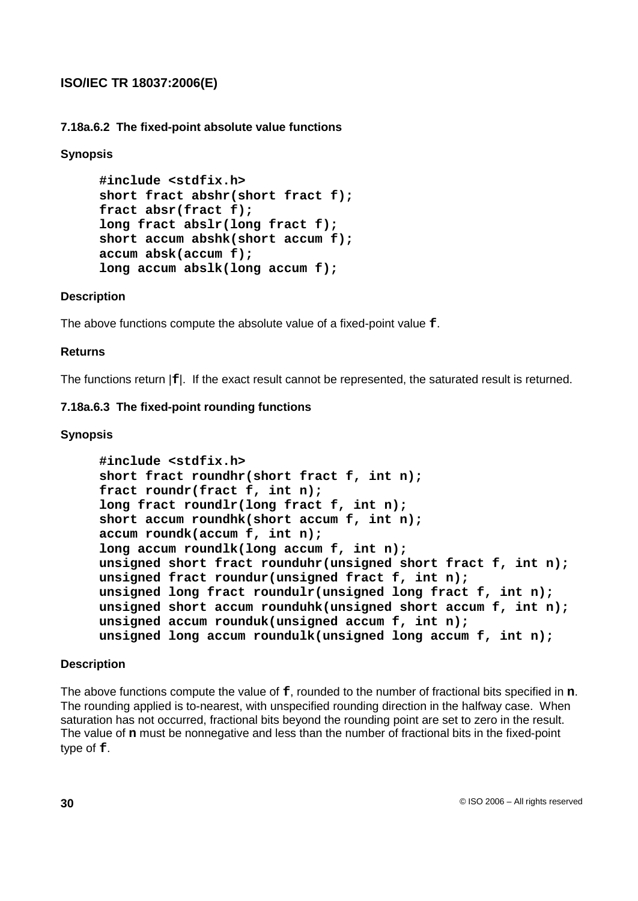**7.18a.6.2 The fixed-point absolute value functions**

## **Synopsis**

```
#include <stdfix.h>
short fract abshr(short fract f);
fract absr(fract f);
long fract abslr(long fract f);
short accum abshk(short accum f);
accum absk(accum f);
long accum abslk(long accum f);
```
### **Description**

The above functions compute the absolute value of a fixed-point value **f**.

### **Returns**

The functions return |**f**|. If the exact result cannot be represented, the saturated result is returned.

### **7.18a.6.3 The fixed-point rounding functions**

### **Synopsis**

```
#include <stdfix.h>
short fract roundhr(short fract f, int n);
fract roundr(fract f, int n);
long fract roundlr(long fract f, int n);
short accum roundhk(short accum f, int n);
accum roundk(accum f, int n);
long accum roundlk(long accum f, int n);
unsigned short fract rounduhr(unsigned short fract f, int n);
unsigned fract roundur(unsigned fract f, int n);
unsigned long fract roundulr(unsigned long fract f, int n);
unsigned short accum rounduhk(unsigned short accum f, int n);
unsigned accum rounduk(unsigned accum f, int n);
unsigned long accum roundulk(unsigned long accum f, int n);
```
### **Description**

The above functions compute the value of **f**, rounded to the number of fractional bits specified in **n**. The rounding applied is to-nearest, with unspecified rounding direction in the halfway case. When saturation has not occurred, fractional bits beyond the rounding point are set to zero in the result. The value of **n** must be nonnegative and less than the number of fractional bits in the fixed-point type of **f**.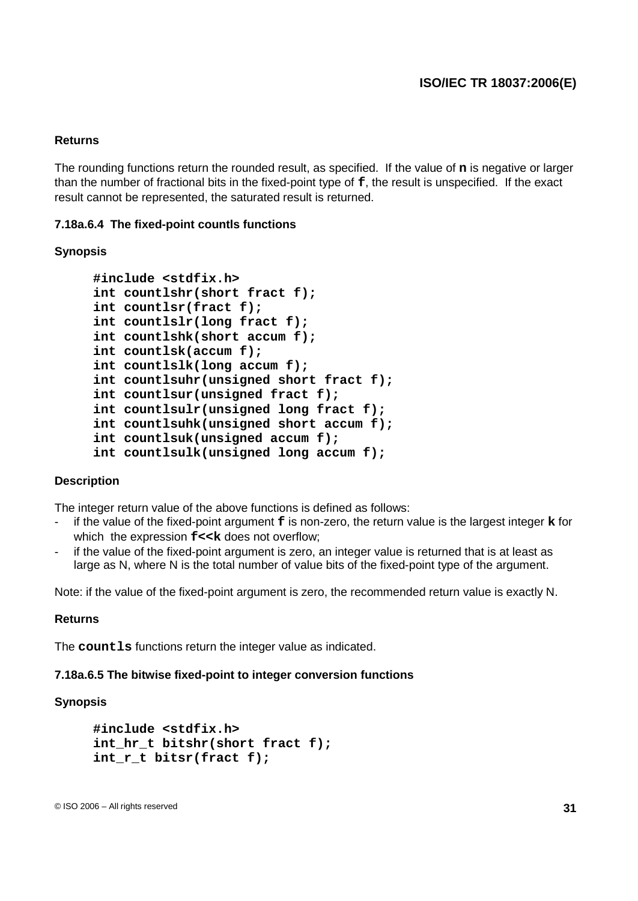#### **Returns**

The rounding functions return the rounded result, as specified. If the value of **n** is negative or larger than the number of fractional bits in the fixed-point type of **f**, the result is unspecified. If the exact result cannot be represented, the saturated result is returned.

#### **7.18a.6.4 The fixed-point countls functions**

#### **Synopsis**

```
#include <stdfix.h>
int countlshr(short fract f);
int countlsr(fract f);
int countlslr(long fract f);
int countlshk(short accum f);
int countlsk(accum f);
int countlslk(long accum f);
int countlsuhr(unsigned short fract f);
int countlsur(unsigned fract f);
int countlsulr(unsigned long fract f);
int countlsuhk(unsigned short accum f);
int countlsuk(unsigned accum f);
int countlsulk(unsigned long accum f);
```
#### **Description**

The integer return value of the above functions is defined as follows:

- if the value of the fixed-point argument **f** is non-zero, the return value is the largest integer **k** for which the expression  $f \ll k$  does not overflow:
- if the value of the fixed-point argument is zero, an integer value is returned that is at least as large as N, where N is the total number of value bits of the fixed-point type of the argument.

Note: if the value of the fixed-point argument is zero, the recommended return value is exactly N.

#### **Returns**

The **countls** functions return the integer value as indicated.

#### **7.18a.6.5 The bitwise fixed-point to integer conversion functions**

```
#include <stdfix.h>
int_hr_t bitshr(short fract f);
int_r_t bitsr(fract f);
```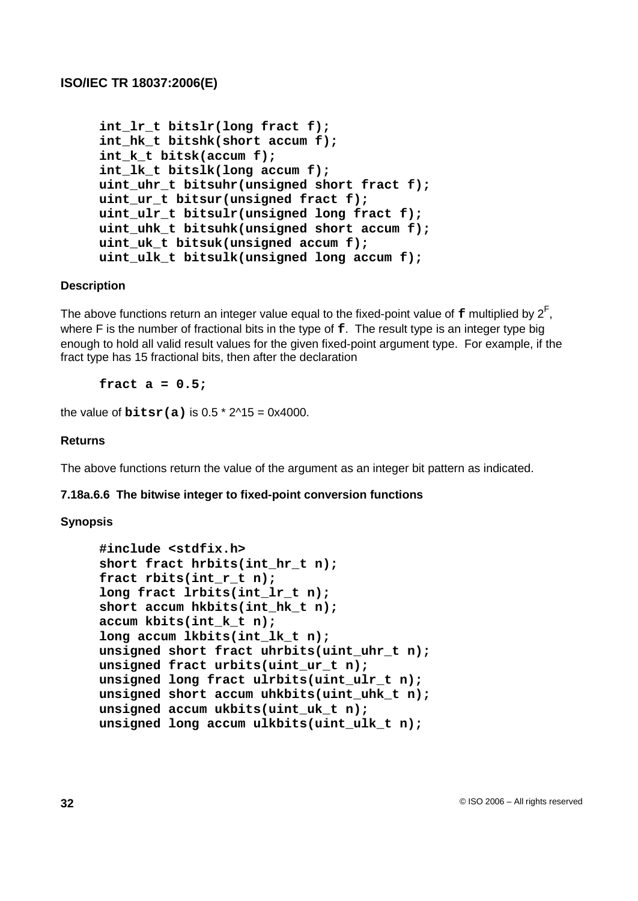```
int_lr_t bitslr(long fract f);
int_hk_t bitshk(short accum f);
int_k_t bitsk(accum f);
int_lk_t bitslk(long accum f);
uint_uhr_t bitsuhr(unsigned short fract f);
uint_ur_t bitsur(unsigned fract f);
uint_ulr_t bitsulr(unsigned long fract f);
uint_uhk_t bitsuhk(unsigned short accum f);
uint_uk_t bitsuk(unsigned accum f);
uint_ulk_t bitsulk(unsigned long accum f);
```
### **Description**

The above functions return an integer value equal to the fixed-point value of  $\texttt{f}$  multiplied by  $2^{\textsf{F}},$ where F is the number of fractional bits in the type of **f**. The result type is an integer type big enough to hold all valid result values for the given fixed-point argument type. For example, if the fract type has 15 fractional bits, then after the declaration

**fract a = 0.5;**

the value of  $\text{bitsr(a)}$  is 0.5  $*$  2 $\text{A}$ 15 = 0x4000.

#### **Returns**

The above functions return the value of the argument as an integer bit pattern as indicated.

#### **7.18a.6.6 The bitwise integer to fixed-point conversion functions**

```
#include <stdfix.h>
short fract hrbits(int_hr_t n);
fract rbits(int_r_t n);
long fract lrbits(int_lr_t n);
short accum hkbits(int_hk_t n);
accum kbits(int_k_t n);
long accum lkbits(int_lk_t n);
unsigned short fract uhrbits(uint_uhr_t n);
unsigned fract urbits(uint_ur_t n);
unsigned long fract ulrbits(uint_ulr_t n);
unsigned short accum uhkbits(uint_uhk_t n);
unsigned accum ukbits(uint_uk_t n);
unsigned long accum ulkbits(uint_ulk_t n);
```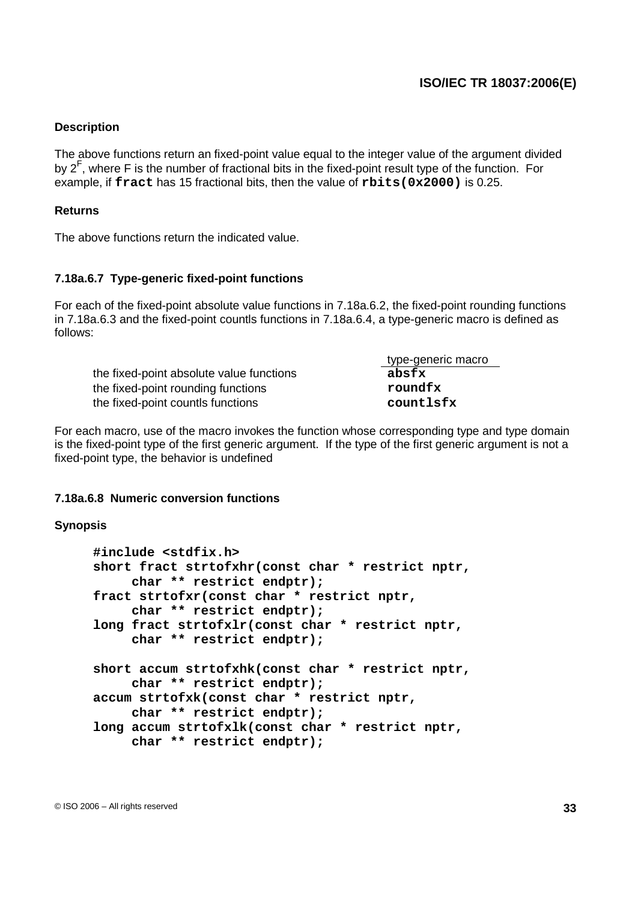#### **Description**

The above functions return an fixed-point value equal to the integer value of the argument divided by 2<sup>F</sup>, where F is the number of fractional bits in the fixed-point result type of the function. For example, if **fract** has 15 fractional bits, then the value of **rbits(0x2000)** is 0.25.

#### **Returns**

The above functions return the indicated value.

### **7.18a.6.7 Type-generic fixed-point functions**

For each of the fixed-point absolute value functions in 7.18a.6.2, the fixed-point rounding functions in 7.18a.6.3 and the fixed-point countls functions in 7.18a.6.4, a type-generic macro is defined as follows:

|                                          | type-generic macro |
|------------------------------------------|--------------------|
| the fixed-point absolute value functions | absfx              |
| the fixed-point rounding functions       | roundfx            |
| the fixed-point countls functions        | countlsfx          |

For each macro, use of the macro invokes the function whose corresponding type and type domain is the fixed-point type of the first generic argument. If the type of the first generic argument is not a fixed-point type, the behavior is undefined

#### **7.18a.6.8 Numeric conversion functions**

```
#include <stdfix.h>
short fract strtofxhr(const char * restrict nptr,
     char ** restrict endptr);
fract strtofxr(const char * restrict nptr,
    char ** restrict endptr);
long fract strtofxlr(const char * restrict nptr,
    char ** restrict endptr);
short accum strtofxhk(const char * restrict nptr,
    char ** restrict endptr);
accum strtofxk(const char * restrict nptr,
    char ** restrict endptr);
long accum strtofxlk(const char * restrict nptr,
    char ** restrict endptr);
```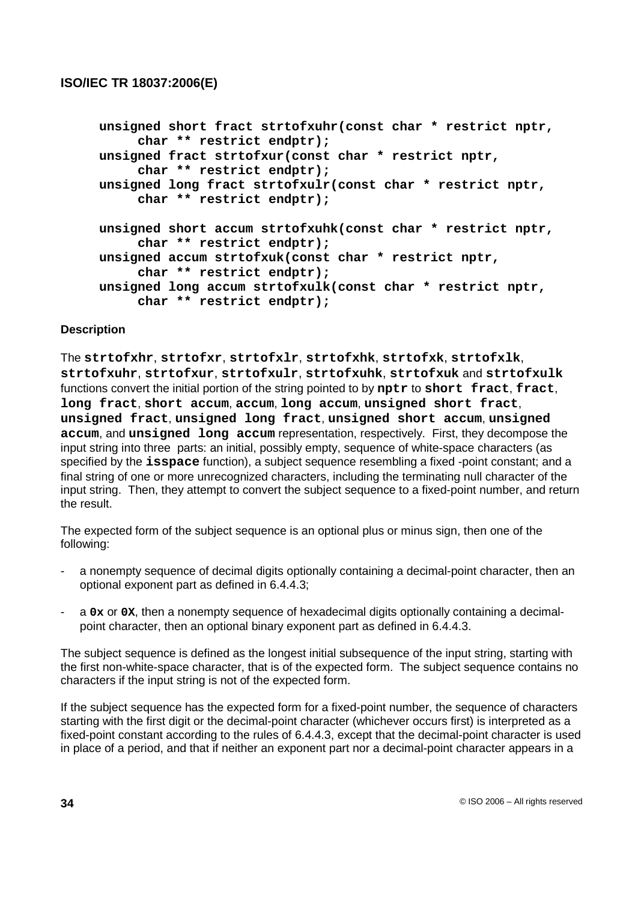```
unsigned short fract strtofxuhr(const char * restrict nptr,
     char ** restrict endptr);
unsigned fract strtofxur(const char * restrict nptr,
     char ** restrict endptr);
unsigned long fract strtofxulr(const char * restrict nptr,
     char ** restrict endptr);
unsigned short accum strtofxuhk(const char * restrict nptr,
     char ** restrict endptr);
unsigned accum strtofxuk(const char * restrict nptr,
     char ** restrict endptr);
unsigned long accum strtofxulk(const char * restrict nptr,
     char ** restrict endptr);
```
### **Description**

The **strtofxhr**, **strtofxr**, **strtofxlr**, **strtofxhk**, **strtofxk**, **strtofxlk**, **strtofxuhr**, **strtofxur**, **strtofxulr**, **strtofxuhk**, **strtofxuk** and **strtofxulk** functions convert the initial portion of the string pointed to by **nptr** to **short fract**, **fract**, **long fract**, **short accum**, **accum**, **long accum**, **unsigned short fract**, **unsigned fract**, **unsigned long fract**, **unsigned short accum**, **unsigned accum**, and **unsigned long accum** representation, respectively. First, they decompose the input string into three parts: an initial, possibly empty, sequence of white-space characters (as specified by the **isspace** function), a subject sequence resembling a fixed -point constant; and a final string of one or more unrecognized characters, including the terminating null character of the input string. Then, they attempt to convert the subject sequence to a fixed-point number, and return the result.

The expected form of the subject sequence is an optional plus or minus sign, then one of the following:

- a nonempty sequence of decimal digits optionally containing a decimal-point character, then an optional exponent part as defined in 6.4.4.3;
- a **0x** or **0X**, then a nonempty sequence of hexadecimal digits optionally containing a decimalpoint character, then an optional binary exponent part as defined in 6.4.4.3.

The subject sequence is defined as the longest initial subsequence of the input string, starting with the first non-white-space character, that is of the expected form. The subject sequence contains no characters if the input string is not of the expected form.

If the subject sequence has the expected form for a fixed-point number, the sequence of characters starting with the first digit or the decimal-point character (whichever occurs first) is interpreted as a fixed-point constant according to the rules of 6.4.4.3, except that the decimal-point character is used in place of a period, and that if neither an exponent part nor a decimal-point character appears in a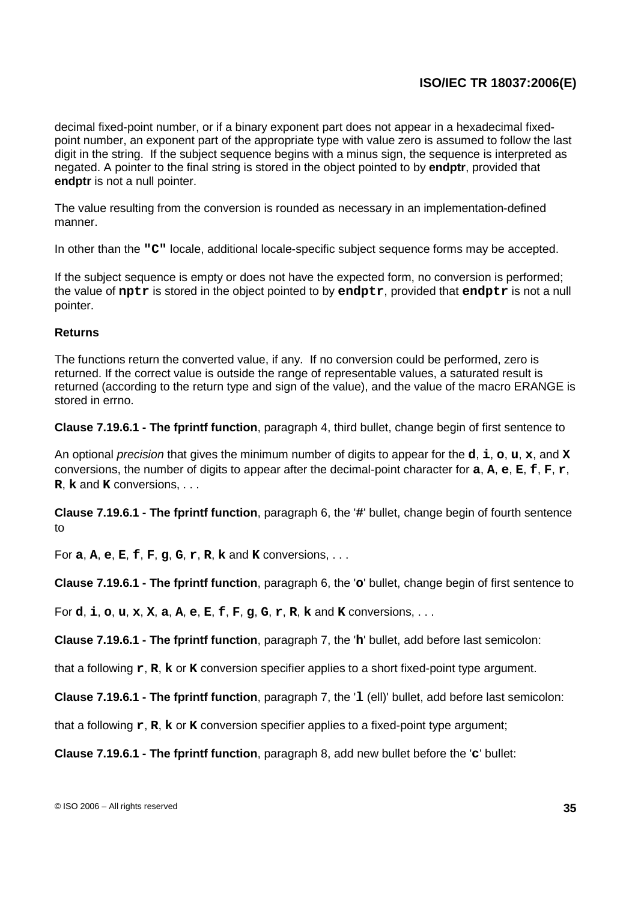decimal fixed-point number, or if a binary exponent part does not appear in a hexadecimal fixedpoint number, an exponent part of the appropriate type with value zero is assumed to follow the last digit in the string. If the subject sequence begins with a minus sign, the sequence is interpreted as negated. A pointer to the final string is stored in the object pointed to by **endptr**, provided that **endptr** is not a null pointer.

The value resulting from the conversion is rounded as necessary in an implementation-defined manner.

In other than the **"C"** locale, additional locale-specific subject sequence forms may be accepted.

If the subject sequence is empty or does not have the expected form, no conversion is performed; the value of **nptr** is stored in the object pointed to by **endptr**, provided that **endptr** is not a null pointer.

#### **Returns**

The functions return the converted value, if any. If no conversion could be performed, zero is returned. If the correct value is outside the range of representable values, a saturated result is returned (according to the return type and sign of the value), and the value of the macro ERANGE is stored in errno.

**Clause 7.19.6.1 - The fprintf function**, paragraph 4, third bullet, change begin of first sentence to

An optional precision that gives the minimum number of digits to appear for the **d**, **i**, **o**, **u**, **x**, and **X** conversions, the number of digits to appear after the decimal-point character for **a**, **A**, **e**, **E**, **f**, **F**, **r**, **R**, **k** and **K** conversions, . . .

**Clause 7.19.6.1 - The fprintf function**, paragraph 6, the '**#**' bullet, change begin of fourth sentence to

For **a**, **A**, **e**, **E**, **f**, **F**, **g**, **G**, **r**, **R**, **k** and **K** conversions, . . .

**Clause 7.19.6.1 - The fprintf function**, paragraph 6, the '**o**' bullet, change begin of first sentence to

For **d**, **i**, **o**, **u**, **x**, **X**, **a**, **A**, **e**, **E**, **f**, **F**, **g**, **G**, **r**, **R**, **k** and **K** conversions, . . .

**Clause 7.19.6.1 - The fprintf function**, paragraph 7, the '**h**' bullet, add before last semicolon:

that a following **r**, **R**, **k** or **K** conversion specifier applies to a short fixed-point type argument.

**Clause 7.19.6.1 - The fprintf function**, paragraph 7, the '**l** (ell)' bullet, add before last semicolon:

that a following **r**, **R**, **k** or **K** conversion specifier applies to a fixed-point type argument;

**Clause 7.19.6.1 - The fprintf function**, paragraph 8, add new bullet before the '**c**' bullet: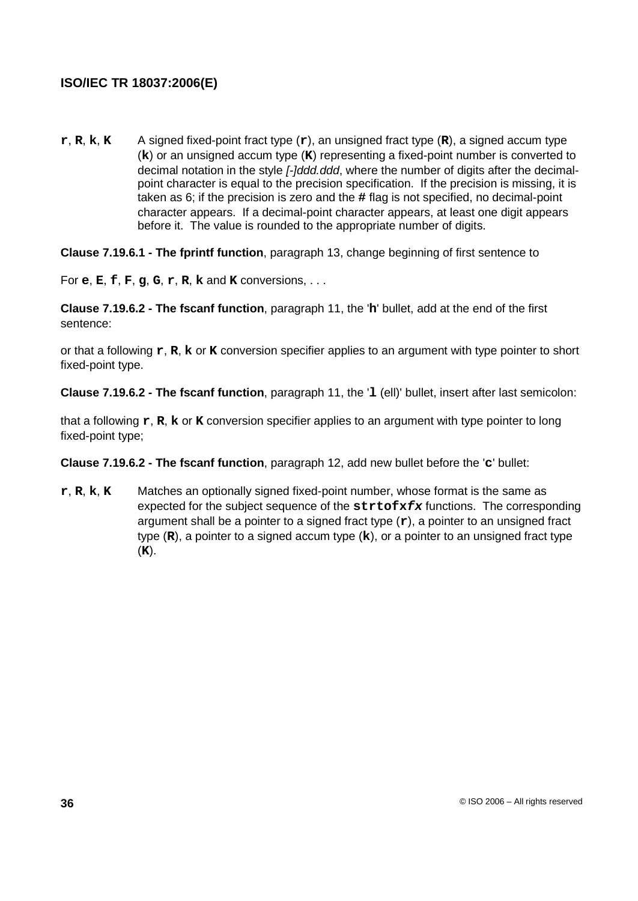**r**, **R**, **k**, **K** A signed fixed-point fract type (**r**), an unsigned fract type (**R**), a signed accum type (**k**) or an unsigned accum type (**K**) representing a fixed-point number is converted to decimal notation in the style [-]ddd.ddd, where the number of digits after the decimalpoint character is equal to the precision specification. If the precision is missing, it is taken as 6; if the precision is zero and the **#** flag is not specified, no decimal-point character appears. If a decimal-point character appears, at least one digit appears before it. The value is rounded to the appropriate number of digits.

**Clause 7.19.6.1 - The fprintf function**, paragraph 13, change beginning of first sentence to

For **e**, **E**, **f**, **F**, **g**, **G**, **r**, **R**, **k** and **K** conversions, . . .

**Clause 7.19.6.2 - The fscanf function**, paragraph 11, the '**h**' bullet, add at the end of the first sentence:

or that a following **r**, **R**, **k** or **K** conversion specifier applies to an argument with type pointer to short fixed-point type.

**Clause 7.19.6.2 - The fscanf function**, paragraph 11, the '**l** (ell)' bullet, insert after last semicolon:

that a following **r**, **R**, **k** or **K** conversion specifier applies to an argument with type pointer to long fixed-point type;

**Clause 7.19.6.2 - The fscanf function**, paragraph 12, add new bullet before the '**c**' bullet:

**r**, **R**, **k**, **K** Matches an optionally signed fixed-point number, whose format is the same as expected for the subject sequence of the **strtofxfx** functions. The corresponding argument shall be a pointer to a signed fract type (**r**), a pointer to an unsigned fract type (**R**), a pointer to a signed accum type (**k**), or a pointer to an unsigned fract type (**K**).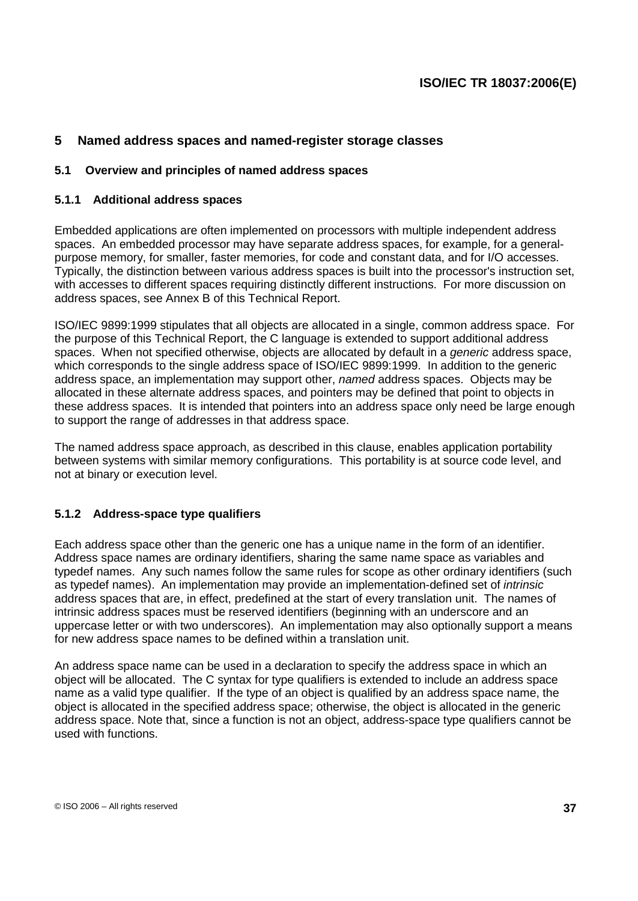## **5 Named address spaces and named-register storage classes**

### **5.1 Overview and principles of named address spaces**

### **5.1.1 Additional address spaces**

Embedded applications are often implemented on processors with multiple independent address spaces. An embedded processor may have separate address spaces, for example, for a generalpurpose memory, for smaller, faster memories, for code and constant data, and for I/O accesses. Typically, the distinction between various address spaces is built into the processor's instruction set, with accesses to different spaces requiring distinctly different instructions. For more discussion on address spaces, see Annex B of this Technical Report.

ISO/IEC 9899:1999 stipulates that all objects are allocated in a single, common address space. For the purpose of this Technical Report, the C language is extended to support additional address spaces. When not specified otherwise, objects are allocated by default in a *generic* address space, which corresponds to the single address space of ISO/IEC 9899:1999. In addition to the generic address space, an implementation may support other, named address spaces. Objects may be allocated in these alternate address spaces, and pointers may be defined that point to objects in these address spaces. It is intended that pointers into an address space only need be large enough to support the range of addresses in that address space.

The named address space approach, as described in this clause, enables application portability between systems with similar memory configurations. This portability is at source code level, and not at binary or execution level.

## **5.1.2 Address-space type qualifiers**

Each address space other than the generic one has a unique name in the form of an identifier. Address space names are ordinary identifiers, sharing the same name space as variables and typedef names. Any such names follow the same rules for scope as other ordinary identifiers (such as typedef names). An implementation may provide an implementation-defined set of intrinsic address spaces that are, in effect, predefined at the start of every translation unit. The names of intrinsic address spaces must be reserved identifiers (beginning with an underscore and an uppercase letter or with two underscores). An implementation may also optionally support a means for new address space names to be defined within a translation unit.

An address space name can be used in a declaration to specify the address space in which an object will be allocated. The C syntax for type qualifiers is extended to include an address space name as a valid type qualifier. If the type of an object is qualified by an address space name, the object is allocated in the specified address space; otherwise, the object is allocated in the generic address space. Note that, since a function is not an object, address-space type qualifiers cannot be used with functions.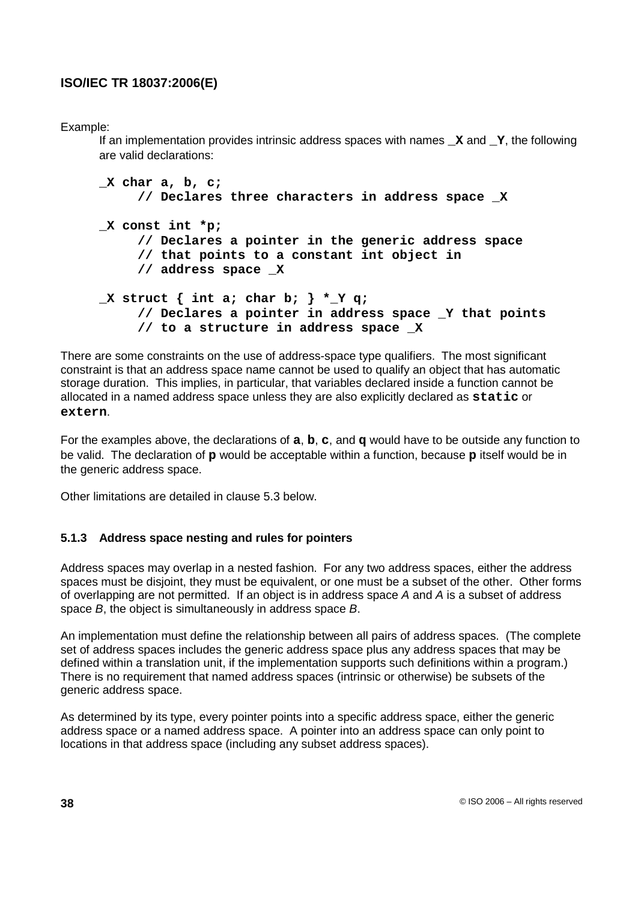Example:

If an implementation provides intrinsic address spaces with names **\_X** and **\_Y**, the following are valid declarations:

```
_X char a, b, c;
     // Declares three characters in address space _X
_X const int *p;
     // Declares a pointer in the generic address space
     // that points to a constant int object in
     // address space _X
_X struct { int a; char b; } *_Y q;
     // Declares a pointer in address space _Y that points
     // to a structure in address space _X
```
There are some constraints on the use of address-space type qualifiers. The most significant constraint is that an address space name cannot be used to qualify an object that has automatic storage duration. This implies, in particular, that variables declared inside a function cannot be allocated in a named address space unless they are also explicitly declared as **static** or **extern**.

For the examples above, the declarations of **a**, **b**, **c**, and **q** would have to be outside any function to be valid. The declaration of **p** would be acceptable within a function, because **p** itself would be in the generic address space.

Other limitations are detailed in clause 5.3 below.

## **5.1.3 Address space nesting and rules for pointers**

Address spaces may overlap in a nested fashion. For any two address spaces, either the address spaces must be disjoint, they must be equivalent, or one must be a subset of the other. Other forms of overlapping are not permitted. If an object is in address space A and A is a subset of address space B, the object is simultaneously in address space B.

An implementation must define the relationship between all pairs of address spaces. (The complete set of address spaces includes the generic address space plus any address spaces that may be defined within a translation unit, if the implementation supports such definitions within a program.) There is no requirement that named address spaces (intrinsic or otherwise) be subsets of the generic address space.

As determined by its type, every pointer points into a specific address space, either the generic address space or a named address space. A pointer into an address space can only point to locations in that address space (including any subset address spaces).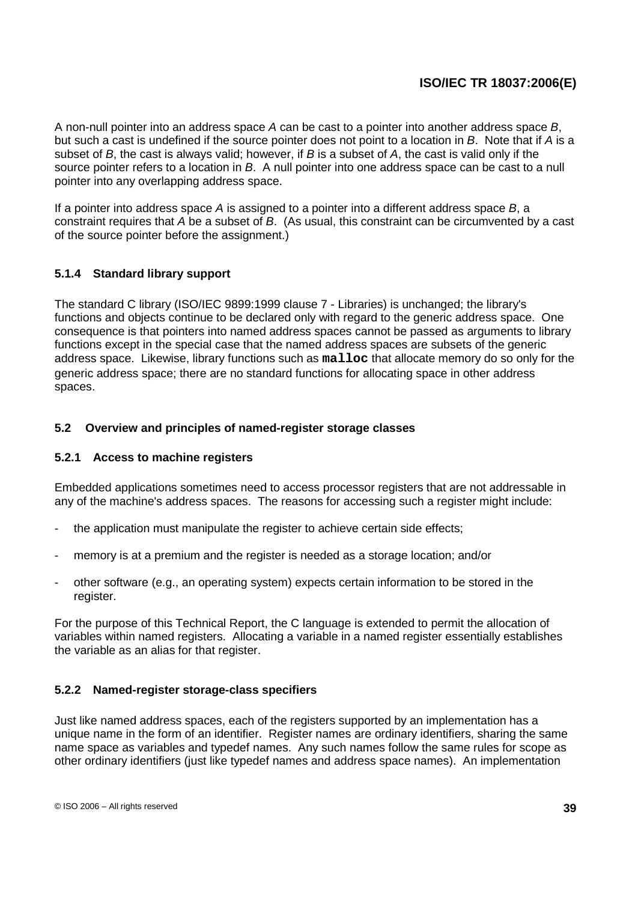A non-null pointer into an address space A can be cast to a pointer into another address space B, but such a cast is undefined if the source pointer does not point to a location in B. Note that if A is a subset of  $B$ , the cast is always valid; however, if  $B$  is a subset of  $A$ , the cast is valid only if the source pointer refers to a location in B. A null pointer into one address space can be cast to a null pointer into any overlapping address space.

If a pointer into address space  $A$  is assigned to a pointer into a different address space  $B$ , a constraint requires that A be a subset of B. (As usual, this constraint can be circumvented by a cast of the source pointer before the assignment.)

## **5.1.4 Standard library support**

The standard C library (ISO/IEC 9899:1999 clause 7 - Libraries) is unchanged; the library's functions and objects continue to be declared only with regard to the generic address space. One consequence is that pointers into named address spaces cannot be passed as arguments to library functions except in the special case that the named address spaces are subsets of the generic address space. Likewise, library functions such as **malloc** that allocate memory do so only for the generic address space; there are no standard functions for allocating space in other address spaces.

### **5.2 Overview and principles of named-register storage classes**

### **5.2.1 Access to machine registers**

Embedded applications sometimes need to access processor registers that are not addressable in any of the machine's address spaces. The reasons for accessing such a register might include:

- the application must manipulate the register to achieve certain side effects;
- memory is at a premium and the register is needed as a storage location; and/or
- other software (e.g., an operating system) expects certain information to be stored in the register.

For the purpose of this Technical Report, the C language is extended to permit the allocation of variables within named registers. Allocating a variable in a named register essentially establishes the variable as an alias for that register.

## **5.2.2 Named-register storage-class specifiers**

Just like named address spaces, each of the registers supported by an implementation has a unique name in the form of an identifier. Register names are ordinary identifiers, sharing the same name space as variables and typedef names. Any such names follow the same rules for scope as other ordinary identifiers (just like typedef names and address space names). An implementation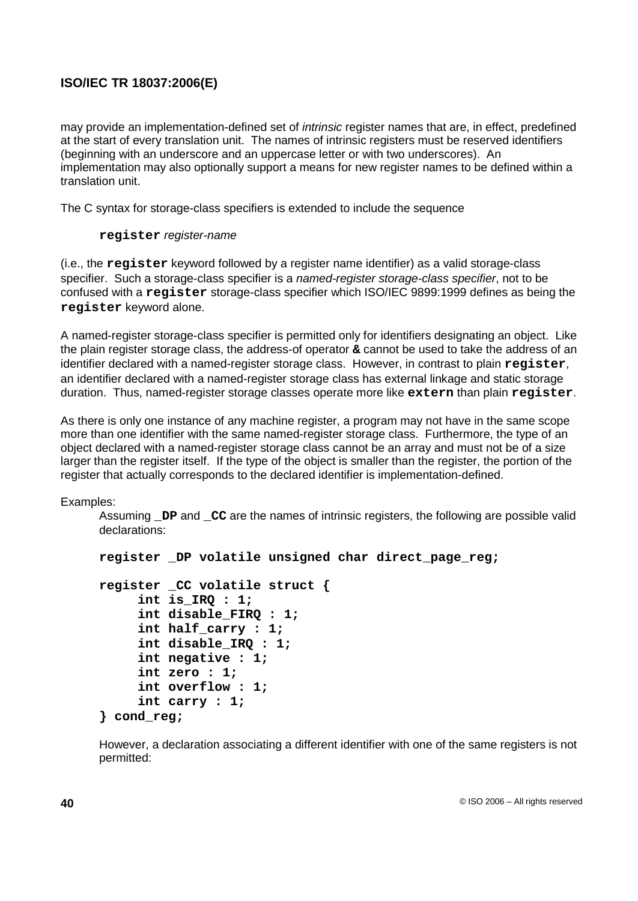may provide an implementation-defined set of intrinsic register names that are, in effect, predefined at the start of every translation unit. The names of intrinsic registers must be reserved identifiers (beginning with an underscore and an uppercase letter or with two underscores). An implementation may also optionally support a means for new register names to be defined within a translation unit.

The C syntax for storage-class specifiers is extended to include the sequence

### **register** register-name

(i.e., the **register** keyword followed by a register name identifier) as a valid storage-class specifier. Such a storage-class specifier is a named-register storage-class specifier, not to be confused with a **register** storage-class specifier which ISO/IEC 9899:1999 defines as being the **register** keyword alone.

A named-register storage-class specifier is permitted only for identifiers designating an object. Like the plain register storage class, the address-of operator **&** cannot be used to take the address of an identifier declared with a named-register storage class. However, in contrast to plain **register**, an identifier declared with a named-register storage class has external linkage and static storage duration. Thus, named-register storage classes operate more like **extern** than plain **register**.

As there is only one instance of any machine register, a program may not have in the same scope more than one identifier with the same named-register storage class. Furthermore, the type of an object declared with a named-register storage class cannot be an array and must not be of a size larger than the register itself. If the type of the object is smaller than the register, the portion of the register that actually corresponds to the declared identifier is implementation-defined.

Examples:

Assuming **\_DP** and **\_CC** are the names of intrinsic registers, the following are possible valid declarations:

```
register _DP volatile unsigned char direct_page_reg;
register _CC volatile struct {
     int is_IRQ : 1;
     int disable_FIRQ : 1;
     int half_carry : 1;
     int disable_IRQ : 1;
     int negative : 1;
     int zero : 1;
     int overflow : 1;
     int carry : 1;
} cond_reg;
```
However, a declaration associating a different identifier with one of the same registers is not permitted: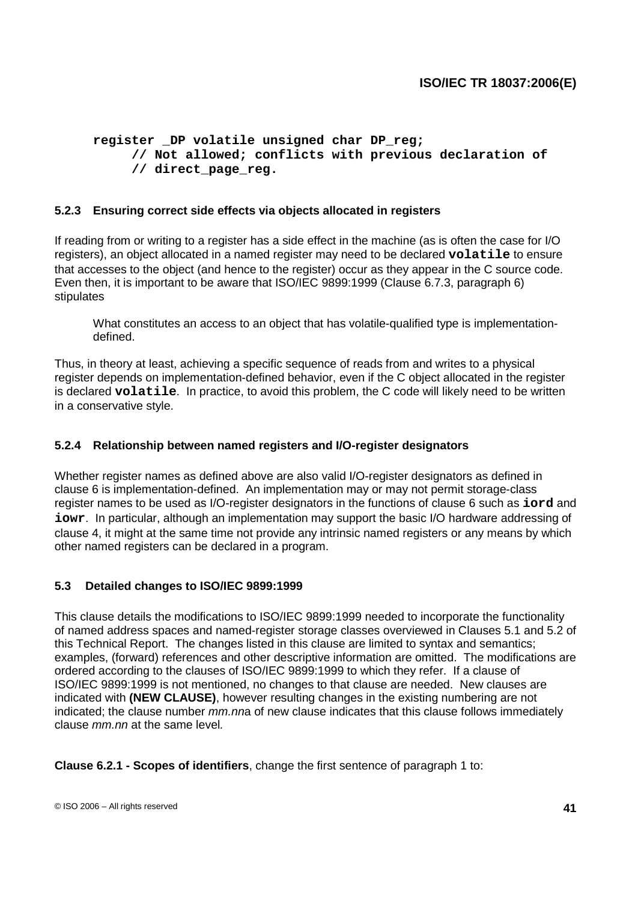```
register _DP volatile unsigned char DP_reg;
     // Not allowed; conflicts with previous declaration of
     // direct_page_reg.
```
### **5.2.3 Ensuring correct side effects via objects allocated in registers**

If reading from or writing to a register has a side effect in the machine (as is often the case for I/O registers), an object allocated in a named register may need to be declared **volatile** to ensure that accesses to the object (and hence to the register) occur as they appear in the C source code. Even then, it is important to be aware that ISO/IEC 9899:1999 (Clause 6.7.3, paragraph 6) stipulates

What constitutes an access to an object that has volatile-qualified type is implementationdefined.

Thus, in theory at least, achieving a specific sequence of reads from and writes to a physical register depends on implementation-defined behavior, even if the C object allocated in the register is declared **volatile**. In practice, to avoid this problem, the C code will likely need to be written in a conservative style.

### **5.2.4 Relationship between named registers and I/O-register designators**

Whether register names as defined above are also valid I/O-register designators as defined in clause 6 is implementation-defined. An implementation may or may not permit storage-class register names to be used as I/O-register designators in the functions of clause 6 such as **iord** and **iowr**. In particular, although an implementation may support the basic I/O hardware addressing of clause 4, it might at the same time not provide any intrinsic named registers or any means by which other named registers can be declared in a program.

### **5.3 Detailed changes to ISO/IEC 9899:1999**

This clause details the modifications to ISO/IEC 9899:1999 needed to incorporate the functionality of named address spaces and named-register storage classes overviewed in Clauses 5.1 and 5.2 of this Technical Report. The changes listed in this clause are limited to syntax and semantics; examples, (forward) references and other descriptive information are omitted. The modifications are ordered according to the clauses of ISO/IEC 9899:1999 to which they refer. If a clause of ISO/IEC 9899:1999 is not mentioned, no changes to that clause are needed. New clauses are indicated with **(NEW CLAUSE)**, however resulting changes in the existing numbering are not indicated; the clause number mm.nna of new clause indicates that this clause follows immediately clause mm.nn at the same level.

**Clause 6.2.1 - Scopes of identifiers**, change the first sentence of paragraph 1 to: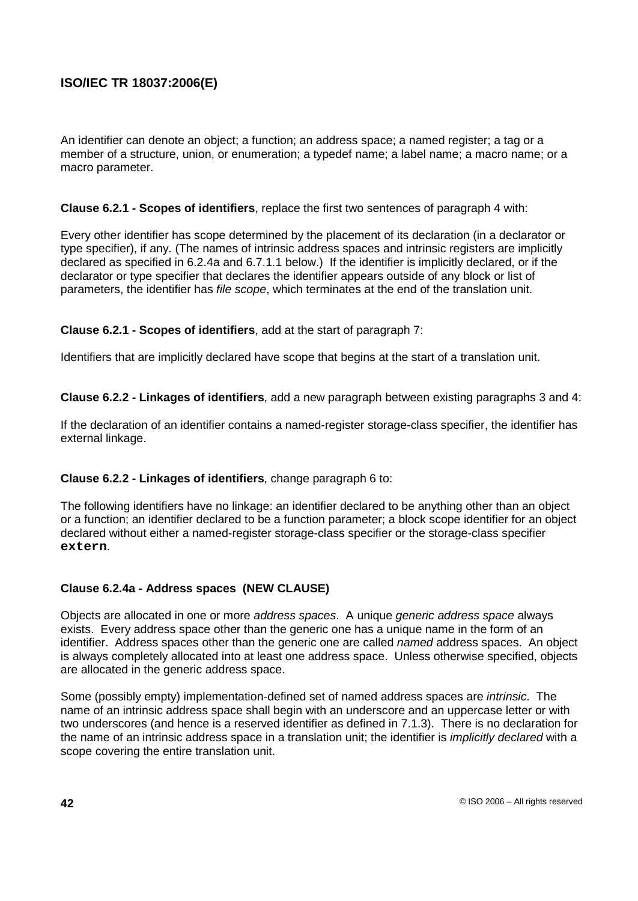An identifier can denote an object; a function; an address space; a named register; a tag or a member of a structure, union, or enumeration; a typedef name; a label name; a macro name; or a macro parameter.

### **Clause 6.2.1 - Scopes of identifiers**, replace the first two sentences of paragraph 4 with:

Every other identifier has scope determined by the placement of its declaration (in a declarator or type specifier), if any. (The names of intrinsic address spaces and intrinsic registers are implicitly declared as specified in 6.2.4a and 6.7.1.1 below.) If the identifier is implicitly declared, or if the declarator or type specifier that declares the identifier appears outside of any block or list of parameters, the identifier has file scope, which terminates at the end of the translation unit.

### **Clause 6.2.1 - Scopes of identifiers**, add at the start of paragraph 7:

Identifiers that are implicitly declared have scope that begins at the start of a translation unit.

**Clause 6.2.2 - Linkages of identifiers**, add a new paragraph between existing paragraphs 3 and 4:

If the declaration of an identifier contains a named-register storage-class specifier, the identifier has external linkage.

## **Clause 6.2.2 - Linkages of identifiers**, change paragraph 6 to:

The following identifiers have no linkage: an identifier declared to be anything other than an object or a function; an identifier declared to be a function parameter; a block scope identifier for an object declared without either a named-register storage-class specifier or the storage-class specifier **extern**.

## **Clause 6.2.4a - Address spaces (NEW CLAUSE)**

Objects are allocated in one or more address spaces. A unique generic address space always exists. Every address space other than the generic one has a unique name in the form of an identifier. Address spaces other than the generic one are called named address spaces. An object is always completely allocated into at least one address space. Unless otherwise specified, objects are allocated in the generic address space.

Some (possibly empty) implementation-defined set of named address spaces are intrinsic. The name of an intrinsic address space shall begin with an underscore and an uppercase letter or with two underscores (and hence is a reserved identifier as defined in 7.1.3). There is no declaration for the name of an intrinsic address space in a translation unit; the identifier is *implicitly declared* with a scope covering the entire translation unit.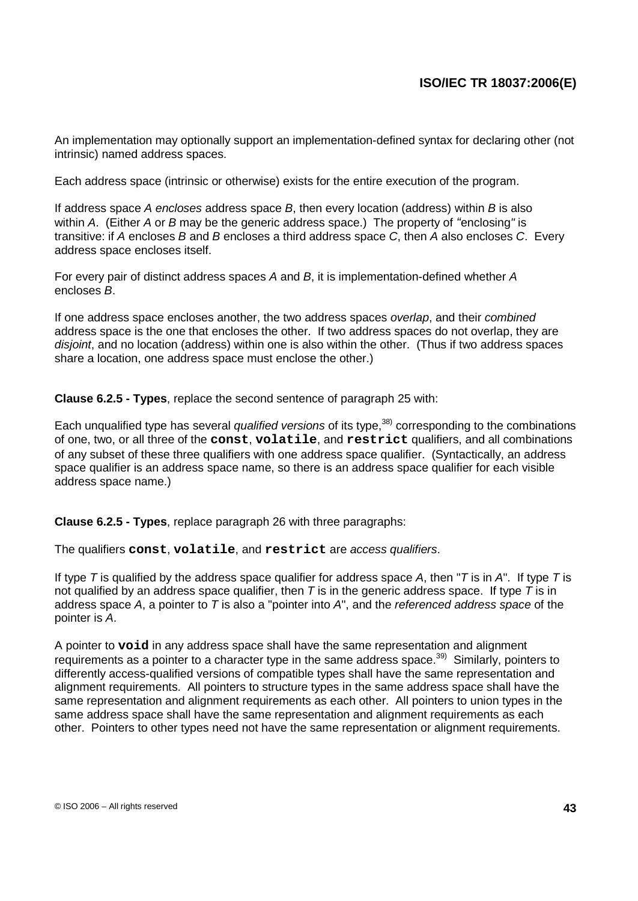An implementation may optionally support an implementation-defined syntax for declaring other (not intrinsic) named address spaces.

Each address space (intrinsic or otherwise) exists for the entire execution of the program.

If address space A encloses address space  $B$ , then every location (address) within  $B$  is also within A. (Either A or B may be the generic address space.) The property of "enclosing" is transitive: if A encloses B and B encloses a third address space C, then A also encloses C. Every address space encloses itself.

For every pair of distinct address spaces A and B, it is implementation-defined whether A encloses B.

If one address space encloses another, the two address spaces overlap, and their combined address space is the one that encloses the other. If two address spaces do not overlap, they are disjoint, and no location (address) within one is also within the other. (Thus if two address spaces share a location, one address space must enclose the other.)

**Clause 6.2.5 - Types**, replace the second sentence of paragraph 25 with:

Each unqualified type has several *qualified versions* of its type,<sup>38)</sup> corresponding to the combinations of one, two, or all three of the **const**, **volatile**, and **restrict** qualifiers, and all combinations of any subset of these three qualifiers with one address space qualifier. (Syntactically, an address space qualifier is an address space name, so there is an address space qualifier for each visible address space name.)

**Clause 6.2.5 - Types**, replace paragraph 26 with three paragraphs:

The qualifiers **const**, **volatile**, and **restrict** are access qualifiers.

If type T is qualified by the address space qualifier for address space A, then "T is in A". If type T is not qualified by an address space qualifier, then  $T$  is in the generic address space. If type  $\overline{T}$  is in address space  $A$ , a pointer to  $T$  is also a "pointer into  $A$ ", and the *referenced address space* of the pointer is A.

A pointer to **void** in any address space shall have the same representation and alignment requirements as a pointer to a character type in the same address space.<sup>39)</sup> Similarly, pointers to differently access-qualified versions of compatible types shall have the same representation and alignment requirements. All pointers to structure types in the same address space shall have the same representation and alignment requirements as each other. All pointers to union types in the same address space shall have the same representation and alignment requirements as each other. Pointers to other types need not have the same representation or alignment requirements.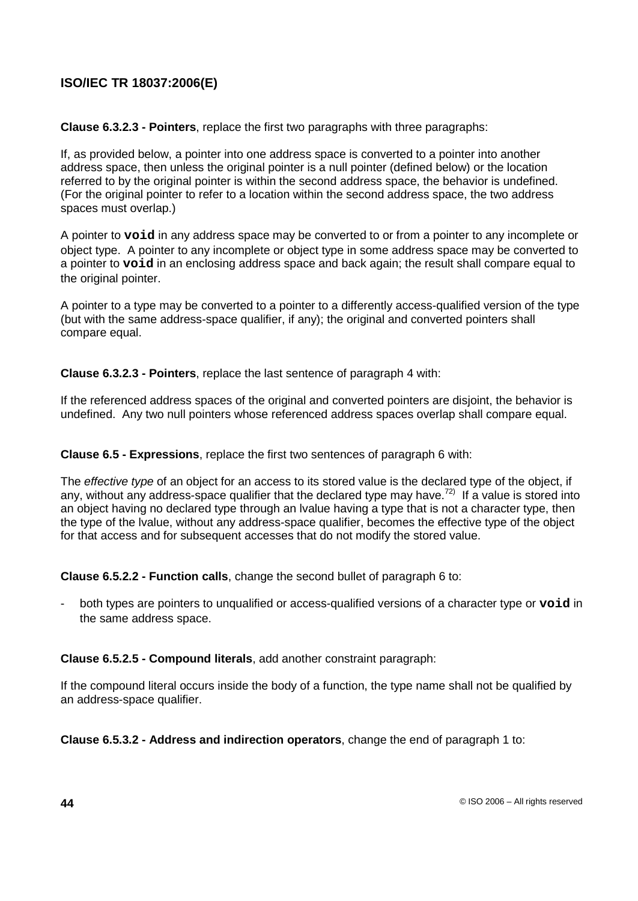**Clause 6.3.2.3 - Pointers**, replace the first two paragraphs with three paragraphs:

If, as provided below, a pointer into one address space is converted to a pointer into another address space, then unless the original pointer is a null pointer (defined below) or the location referred to by the original pointer is within the second address space, the behavior is undefined. (For the original pointer to refer to a location within the second address space, the two address spaces must overlap.)

A pointer to **void** in any address space may be converted to or from a pointer to any incomplete or object type. A pointer to any incomplete or object type in some address space may be converted to a pointer to **void** in an enclosing address space and back again; the result shall compare equal to the original pointer.

A pointer to a type may be converted to a pointer to a differently access-qualified version of the type (but with the same address-space qualifier, if any); the original and converted pointers shall compare equal.

**Clause 6.3.2.3 - Pointers**, replace the last sentence of paragraph 4 with:

If the referenced address spaces of the original and converted pointers are disjoint, the behavior is undefined. Any two null pointers whose referenced address spaces overlap shall compare equal.

**Clause 6.5 - Expressions**, replace the first two sentences of paragraph 6 with:

The effective type of an object for an access to its stored value is the declared type of the object, if any, without any address-space qualifier that the declared type may have.<sup>72)</sup> If a value is stored into an object having no declared type through an lvalue having a type that is not a character type, then the type of the lvalue, without any address-space qualifier, becomes the effective type of the object for that access and for subsequent accesses that do not modify the stored value.

**Clause 6.5.2.2 - Function calls**, change the second bullet of paragraph 6 to:

- both types are pointers to unqualified or access-qualified versions of a character type or **void** in the same address space.

**Clause 6.5.2.5 - Compound literals**, add another constraint paragraph:

If the compound literal occurs inside the body of a function, the type name shall not be qualified by an address-space qualifier.

**Clause 6.5.3.2 - Address and indirection operators**, change the end of paragraph 1 to: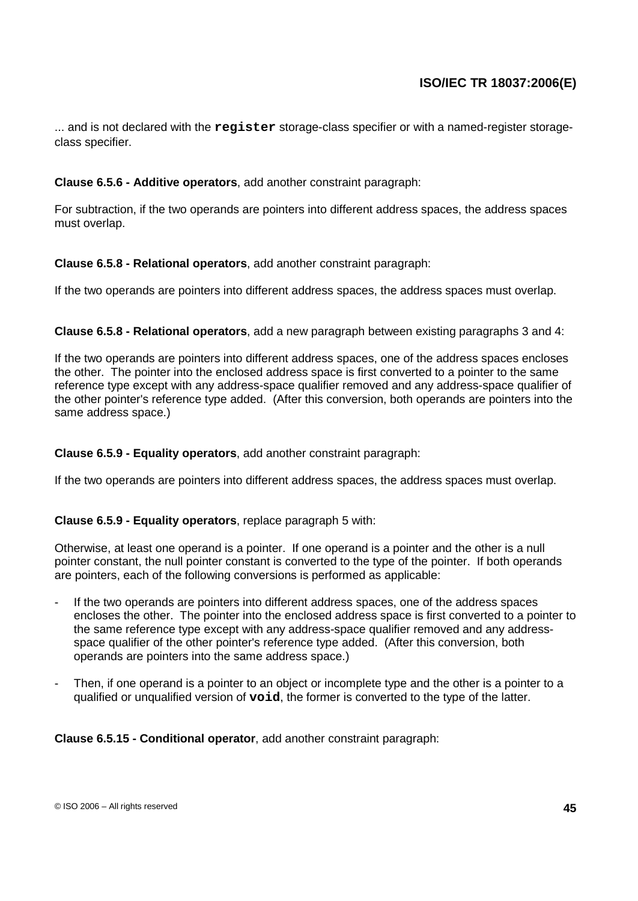... and is not declared with the **register** storage-class specifier or with a named-register storageclass specifier.

## **Clause 6.5.6 - Additive operators**, add another constraint paragraph:

For subtraction, if the two operands are pointers into different address spaces, the address spaces must overlap.

### **Clause 6.5.8 - Relational operators**, add another constraint paragraph:

If the two operands are pointers into different address spaces, the address spaces must overlap.

### **Clause 6.5.8 - Relational operators**, add a new paragraph between existing paragraphs 3 and 4:

If the two operands are pointers into different address spaces, one of the address spaces encloses the other. The pointer into the enclosed address space is first converted to a pointer to the same reference type except with any address-space qualifier removed and any address-space qualifier of the other pointer's reference type added. (After this conversion, both operands are pointers into the same address space.)

### **Clause 6.5.9 - Equality operators**, add another constraint paragraph:

If the two operands are pointers into different address spaces, the address spaces must overlap.

### **Clause 6.5.9 - Equality operators**, replace paragraph 5 with:

Otherwise, at least one operand is a pointer. If one operand is a pointer and the other is a null pointer constant, the null pointer constant is converted to the type of the pointer. If both operands are pointers, each of the following conversions is performed as applicable:

- If the two operands are pointers into different address spaces, one of the address spaces encloses the other. The pointer into the enclosed address space is first converted to a pointer to the same reference type except with any address-space qualifier removed and any addressspace qualifier of the other pointer's reference type added. (After this conversion, both operands are pointers into the same address space.)
- Then, if one operand is a pointer to an object or incomplete type and the other is a pointer to a qualified or unqualified version of **void**, the former is converted to the type of the latter.

**Clause 6.5.15 - Conditional operator**, add another constraint paragraph: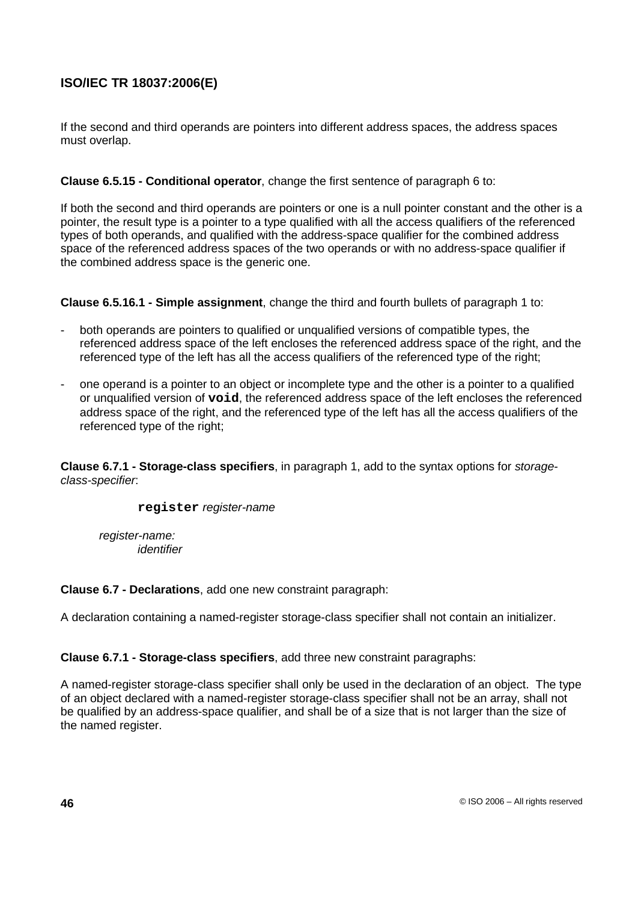If the second and third operands are pointers into different address spaces, the address spaces must overlap.

## **Clause 6.5.15 - Conditional operator**, change the first sentence of paragraph 6 to:

If both the second and third operands are pointers or one is a null pointer constant and the other is a pointer, the result type is a pointer to a type qualified with all the access qualifiers of the referenced types of both operands, and qualified with the address-space qualifier for the combined address space of the referenced address spaces of the two operands or with no address-space qualifier if the combined address space is the generic one.

**Clause 6.5.16.1 - Simple assignment**, change the third and fourth bullets of paragraph 1 to:

- both operands are pointers to qualified or unqualified versions of compatible types, the referenced address space of the left encloses the referenced address space of the right, and the referenced type of the left has all the access qualifiers of the referenced type of the right;
- one operand is a pointer to an object or incomplete type and the other is a pointer to a qualified or unqualified version of **void**, the referenced address space of the left encloses the referenced address space of the right, and the referenced type of the left has all the access qualifiers of the referenced type of the right;

**Clause 6.7.1 - Storage-class specifiers**, in paragraph 1, add to the syntax options for storageclass-specifier:

**register** register-name

register-name: identifier

**Clause 6.7 - Declarations**, add one new constraint paragraph:

A declaration containing a named-register storage-class specifier shall not contain an initializer.

**Clause 6.7.1 - Storage-class specifiers**, add three new constraint paragraphs:

A named-register storage-class specifier shall only be used in the declaration of an object. The type of an object declared with a named-register storage-class specifier shall not be an array, shall not be qualified by an address-space qualifier, and shall be of a size that is not larger than the size of the named register.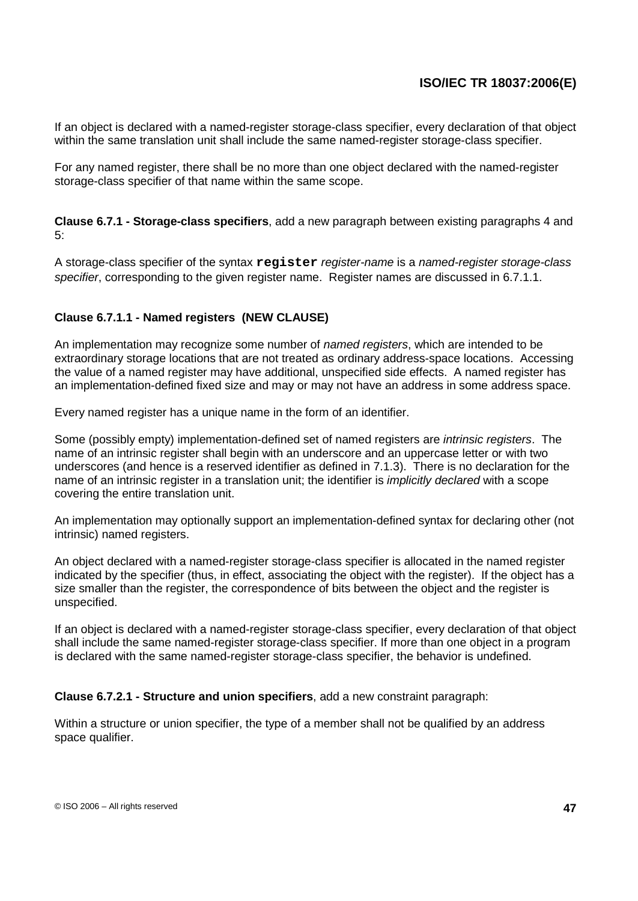If an object is declared with a named-register storage-class specifier, every declaration of that object within the same translation unit shall include the same named-register storage-class specifier.

For any named register, there shall be no more than one object declared with the named-register storage-class specifier of that name within the same scope.

**Clause 6.7.1 - Storage-class specifiers**, add a new paragraph between existing paragraphs 4 and 5:

A storage-class specifier of the syntax **register** register-name is a named-register storage-class specifier, corresponding to the given register name. Register names are discussed in 6.7.1.1.

### **Clause 6.7.1.1 - Named registers (NEW CLAUSE)**

An implementation may recognize some number of named registers, which are intended to be extraordinary storage locations that are not treated as ordinary address-space locations. Accessing the value of a named register may have additional, unspecified side effects. A named register has an implementation-defined fixed size and may or may not have an address in some address space.

Every named register has a unique name in the form of an identifier.

Some (possibly empty) implementation-defined set of named registers are *intrinsic registers*. The name of an intrinsic register shall begin with an underscore and an uppercase letter or with two underscores (and hence is a reserved identifier as defined in 7.1.3). There is no declaration for the name of an intrinsic register in a translation unit; the identifier is *implicitly declared* with a scope covering the entire translation unit.

An implementation may optionally support an implementation-defined syntax for declaring other (not intrinsic) named registers.

An object declared with a named-register storage-class specifier is allocated in the named register indicated by the specifier (thus, in effect, associating the object with the register). If the object has a size smaller than the register, the correspondence of bits between the object and the register is unspecified.

If an object is declared with a named-register storage-class specifier, every declaration of that object shall include the same named-register storage-class specifier. If more than one object in a program is declared with the same named-register storage-class specifier, the behavior is undefined.

### **Clause 6.7.2.1 - Structure and union specifiers**, add a new constraint paragraph:

Within a structure or union specifier, the type of a member shall not be qualified by an address space qualifier.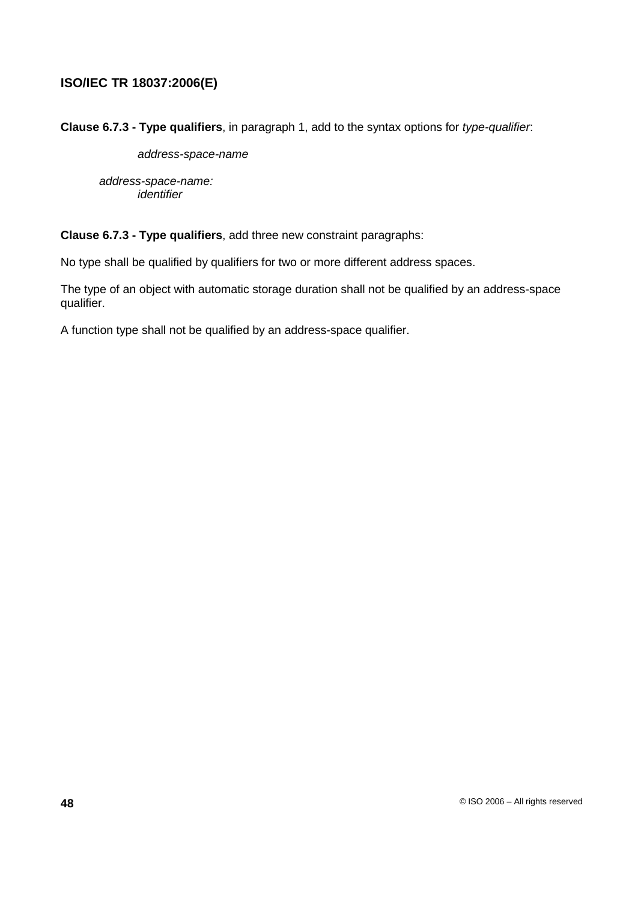**Clause 6.7.3 - Type qualifiers**, in paragraph 1, add to the syntax options for type-qualifier:

address-space-name

address-space-name: identifier

#### **Clause 6.7.3 - Type qualifiers**, add three new constraint paragraphs:

No type shall be qualified by qualifiers for two or more different address spaces.

The type of an object with automatic storage duration shall not be qualified by an address-space qualifier.

A function type shall not be qualified by an address-space qualifier.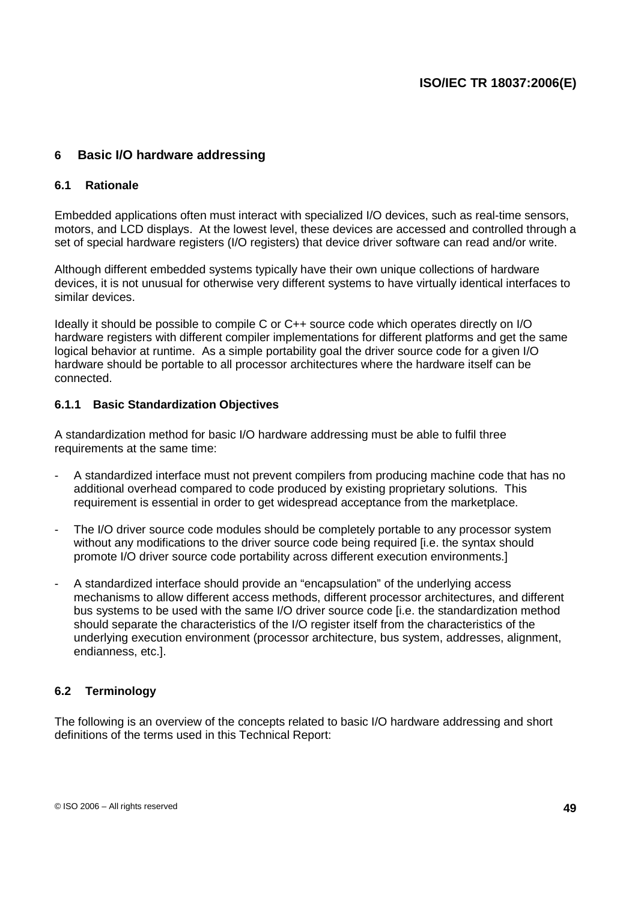# **6 Basic I/O hardware addressing**

### **6.1 Rationale**

Embedded applications often must interact with specialized I/O devices, such as real-time sensors, motors, and LCD displays. At the lowest level, these devices are accessed and controlled through a set of special hardware registers (I/O registers) that device driver software can read and/or write.

Although different embedded systems typically have their own unique collections of hardware devices, it is not unusual for otherwise very different systems to have virtually identical interfaces to similar devices.

Ideally it should be possible to compile C or C++ source code which operates directly on I/O hardware registers with different compiler implementations for different platforms and get the same logical behavior at runtime. As a simple portability goal the driver source code for a given I/O hardware should be portable to all processor architectures where the hardware itself can be connected.

### **6.1.1 Basic Standardization Objectives**

A standardization method for basic I/O hardware addressing must be able to fulfil three requirements at the same time:

- A standardized interface must not prevent compilers from producing machine code that has no additional overhead compared to code produced by existing proprietary solutions. This requirement is essential in order to get widespread acceptance from the marketplace.
- The I/O driver source code modules should be completely portable to any processor system without any modifications to the driver source code being required [i.e. the syntax should promote I/O driver source code portability across different execution environments.]
- A standardized interface should provide an "encapsulation" of the underlying access mechanisms to allow different access methods, different processor architectures, and different bus systems to be used with the same I/O driver source code [i.e. the standardization method should separate the characteristics of the I/O register itself from the characteristics of the underlying execution environment (processor architecture, bus system, addresses, alignment, endianness, etc.].

## **6.2 Terminology**

The following is an overview of the concepts related to basic I/O hardware addressing and short definitions of the terms used in this Technical Report: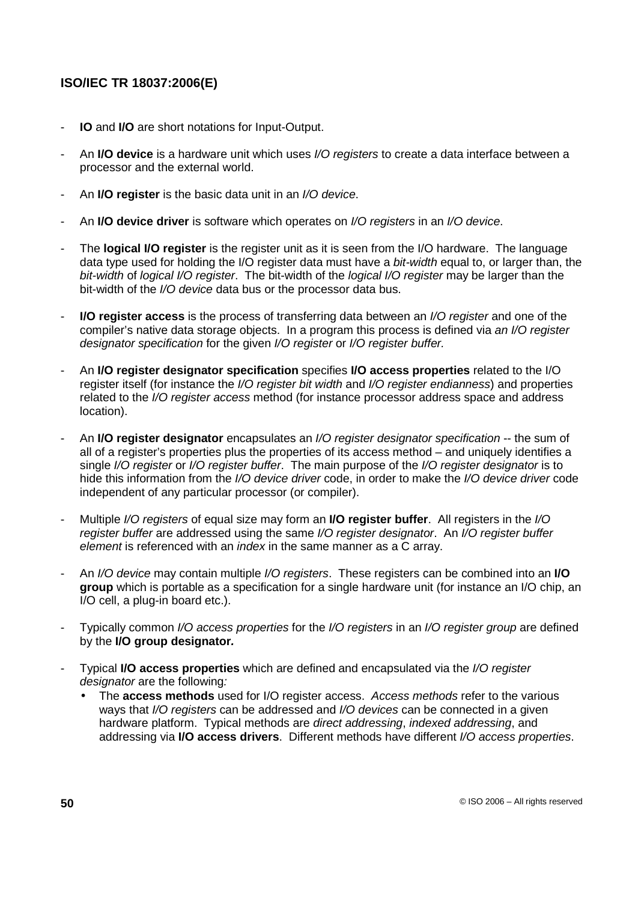- **IO** and **I/O** are short notations for Input-Output.
- An **I/O device** is a hardware unit which uses I/O registers to create a data interface between a processor and the external world.
- An **I/O register** is the basic data unit in an I/O device.
- An **I/O device driver** is software which operates on I/O registers in an I/O device.
- The **logical I/O register** is the register unit as it is seen from the I/O hardware. The language data type used for holding the I/O register data must have a bit-width equal to, or larger than, the bit-width of logical I/O register. The bit-width of the logical I/O register may be larger than the bit-width of the I/O device data bus or the processor data bus.
- **I/O** register access is the process of transferring data between an I/O register and one of the compiler's native data storage objects. In a program this process is defined via an I/O register designator specification for the given I/O register or I/O register buffer.
- An **I/O register designator specification** specifies **I/O access properties** related to the I/O register itself (for instance the *I/O register bit width* and *I/O register endianness*) and properties related to the I/O register access method (for instance processor address space and address location).
- An **I/O register designator** encapsulates an I/O register designator specification -- the sum of all of a register's properties plus the properties of its access method – and uniquely identifies a single *I/O register* or *I/O register buffer.* The main purpose of the *I/O register designator* is to hide this information from the I/O device driver code, in order to make the I/O device driver code independent of any particular processor (or compiler).
- Multiple I/O registers of equal size may form an **I/O register buffer**. All registers in the I/O register buffer are addressed using the same I/O register designator. An I/O register buffer element is referenced with an *index* in the same manner as a C array.
- An I/O device may contain multiple I/O registers. These registers can be combined into an **I/O group** which is portable as a specification for a single hardware unit (for instance an I/O chip, an I/O cell, a plug-in board etc.).
- Typically common I/O access properties for the I/O registers in an I/O register group are defined by the **I/O group designator.**
- Typical **I/O access properties** which are defined and encapsulated via the I/O register designator are the following:
	- The **access methods** used for I/O register access. Access methods refer to the various ways that I/O registers can be addressed and I/O devices can be connected in a given hardware platform. Typical methods are direct addressing, indexed addressing, and addressing via **I/O access drivers**. Different methods have different I/O access properties.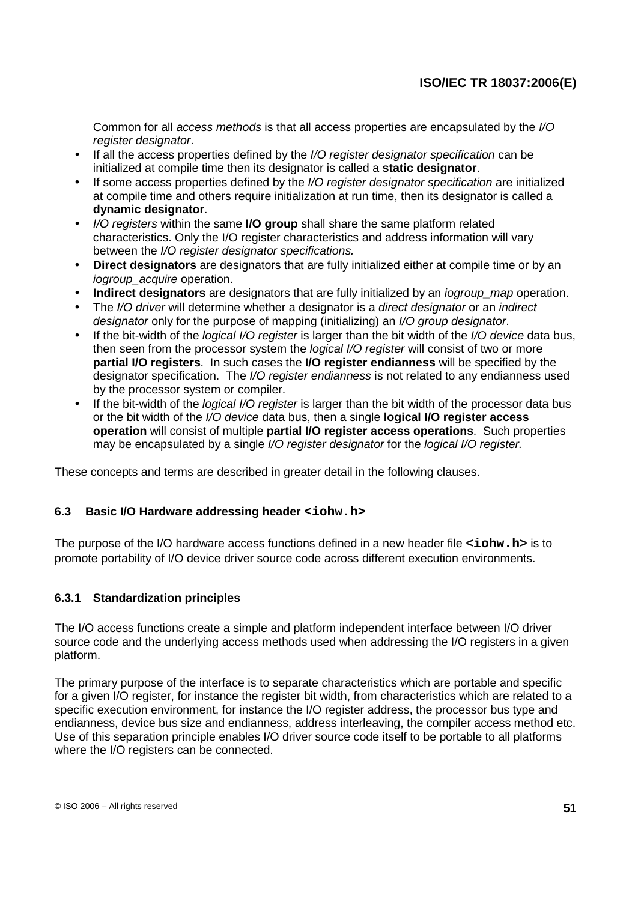Common for all access methods is that all access properties are encapsulated by the I/O register designator.

- If all the access properties defined by the *I/O register designator specification* can be initialized at compile time then its designator is called a **static designator**.
- If some access properties defined by the *I/O register designator specification* are initialized at compile time and others require initialization at run time, then its designator is called a **dynamic designator**.
- I/O registers within the same **I/O group** shall share the same platform related characteristics. Only the I/O register characteristics and address information will vary between the I/O register designator specifications.
- **Direct designators** are designators that are fully initialized either at compile time or by an iogroup acquire operation.
- **Indirect designators** are designators that are fully initialized by an *iogroup* map operation.
- The *I/O driver* will determine whether a designator is a *direct designator* or an *indirect* designator only for the purpose of mapping (initializing) an I/O group designator.
- If the bit-width of the *logical I/O register* is larger than the bit width of the *I/O device* data bus, then seen from the processor system the logical I/O register will consist of two or more **partial I/O registers**. In such cases the **I/O register endianness** will be specified by the designator specification. The I/O register endianness is not related to any endianness used by the processor system or compiler.
- If the bit-width of the *logical I/O register* is larger than the bit width of the processor data bus or the bit width of the I/O device data bus, then a single **logical I/O register access operation** will consist of multiple **partial I/O register access operations**. Such properties may be encapsulated by a single I/O register designator for the logical I/O register.

These concepts and terms are described in greater detail in the following clauses.

## **6.3 Basic I/O Hardware addressing header <iohw.h>**

The purpose of the I/O hardware access functions defined in a new header file **<iohw.h>** is to promote portability of I/O device driver source code across different execution environments.

## **6.3.1 Standardization principles**

The I/O access functions create a simple and platform independent interface between I/O driver source code and the underlying access methods used when addressing the I/O registers in a given platform.

The primary purpose of the interface is to separate characteristics which are portable and specific for a given I/O register, for instance the register bit width, from characteristics which are related to a specific execution environment, for instance the I/O register address, the processor bus type and endianness, device bus size and endianness, address interleaving, the compiler access method etc. Use of this separation principle enables I/O driver source code itself to be portable to all platforms where the I/O registers can be connected.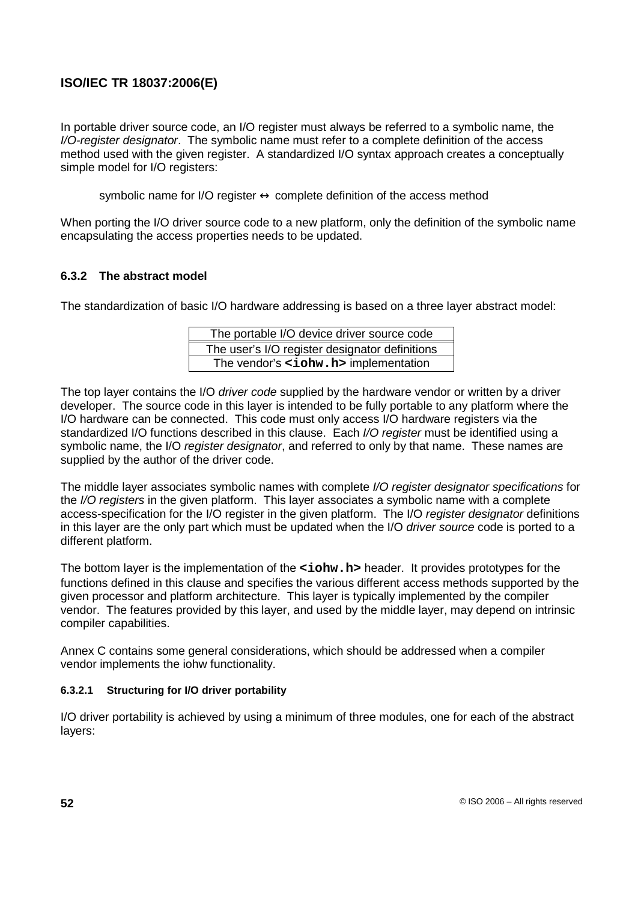In portable driver source code, an I/O register must always be referred to a symbolic name, the I/O-register designator. The symbolic name must refer to a complete definition of the access method used with the given register. A standardized I/O syntax approach creates a conceptually simple model for I/O registers:

symbolic name for I/O register  $\leftrightarrow$  complete definition of the access method

When porting the I/O driver source code to a new platform, only the definition of the symbolic name encapsulating the access properties needs to be updated.

### **6.3.2 The abstract model**

The standardization of basic I/O hardware addressing is based on a three layer abstract model:

| The portable I/O device driver source code     |
|------------------------------------------------|
| The user's I/O register designator definitions |
| The vendor's <iohw.h> implementation</iohw.h>  |

The top layer contains the I/O driver code supplied by the hardware vendor or written by a driver developer. The source code in this layer is intended to be fully portable to any platform where the I/O hardware can be connected. This code must only access I/O hardware registers via the standardized I/O functions described in this clause. Each I/O register must be identified using a symbolic name, the I/O register designator, and referred to only by that name. These names are supplied by the author of the driver code.

The middle layer associates symbolic names with complete I/O register designator specifications for the I/O registers in the given platform. This layer associates a symbolic name with a complete access-specification for the I/O register in the given platform. The I/O register designator definitions in this layer are the only part which must be updated when the I/O driver source code is ported to a different platform.

The bottom layer is the implementation of the **<iohw.h>** header. It provides prototypes for the functions defined in this clause and specifies the various different access methods supported by the given processor and platform architecture. This layer is typically implemented by the compiler vendor. The features provided by this layer, and used by the middle layer, may depend on intrinsic compiler capabilities.

Annex C contains some general considerations, which should be addressed when a compiler vendor implements the iohw functionality.

### **6.3.2.1 Structuring for I/O driver portability**

I/O driver portability is achieved by using a minimum of three modules, one for each of the abstract layers: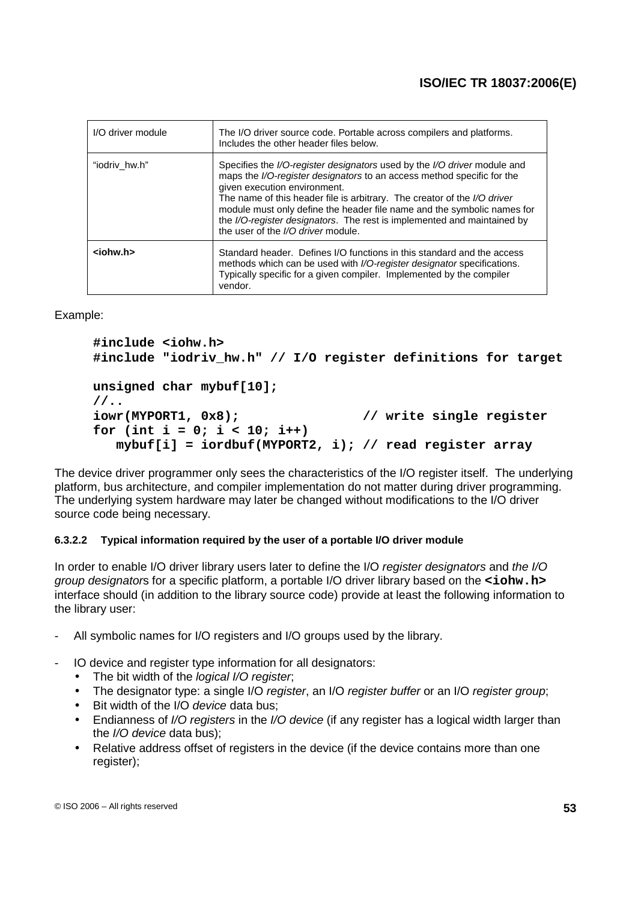| I/O driver module | The I/O driver source code. Portable across compilers and platforms.<br>Includes the other header files below.                                                                                                                                                                                                                                                                                                                                             |
|-------------------|------------------------------------------------------------------------------------------------------------------------------------------------------------------------------------------------------------------------------------------------------------------------------------------------------------------------------------------------------------------------------------------------------------------------------------------------------------|
| "iodriv hw.h"     | Specifies the I/O-register designators used by the I/O driver module and<br>maps the I/O-register designators to an access method specific for the<br>given execution environment.<br>The name of this header file is arbitrary. The creator of the I/O driver<br>module must only define the header file name and the symbolic names for<br>the I/O-register designators. The rest is implemented and maintained by<br>the user of the I/O driver module. |
| $ionw.h$          | Standard header. Defines I/O functions in this standard and the access<br>methods which can be used with I/O-register designator specifications.<br>Typically specific for a given compiler. Implemented by the compiler<br>vendor.                                                                                                                                                                                                                        |

Example:

```
#include <iohw.h>
#include "iodriv_hw.h" // I/O register definitions for target
unsigned char mybuf[10];
//..
iowr(MYPORT1, 0x8); // write single register
for (int i = 0; i < 10; i++)
  mybuf[i] = iordbuf(MYPORT2, i); // read register array
```
The device driver programmer only sees the characteristics of the I/O register itself. The underlying platform, bus architecture, and compiler implementation do not matter during driver programming. The underlying system hardware may later be changed without modifications to the I/O driver source code being necessary.

### **6.3.2.2 Typical information required by the user of a portable I/O driver module**

In order to enable I/O driver library users later to define the I/O register designators and the I/O group designators for a specific platform, a portable I/O driver library based on the **<iohw.h>** interface should (in addition to the library source code) provide at least the following information to the library user:

- All symbolic names for I/O registers and I/O groups used by the library.
- IO device and register type information for all designators:
	- The bit width of the *logical I/O register*;
	- The designator type: a single I/O register, an I/O register buffer or an I/O register group;
	- Bit width of the I/O device data bus;
	- Endianness of I/O registers in the I/O device (if any register has a logical width larger than the I/O device data bus);
	- Relative address offset of registers in the device (if the device contains more than one register);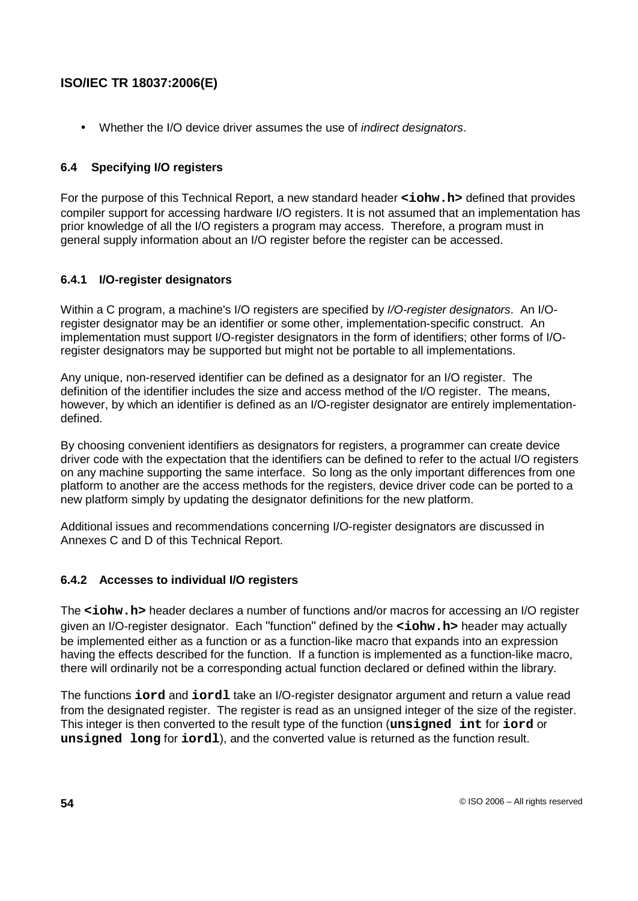• Whether the I/O device driver assumes the use of *indirect designators*.

## **6.4 Specifying I/O registers**

For the purpose of this Technical Report, a new standard header **<iohw.h>** defined that provides compiler support for accessing hardware I/O registers. It is not assumed that an implementation has prior knowledge of all the I/O registers a program may access. Therefore, a program must in general supply information about an I/O register before the register can be accessed.

## **6.4.1 I/O-register designators**

Within a C program, a machine's I/O registers are specified by I/O-register designators. An I/Oregister designator may be an identifier or some other, implementation-specific construct. An implementation must support I/O-register designators in the form of identifiers; other forms of I/Oregister designators may be supported but might not be portable to all implementations.

Any unique, non-reserved identifier can be defined as a designator for an I/O register. The definition of the identifier includes the size and access method of the I/O register. The means, however, by which an identifier is defined as an I/O-register designator are entirely implementationdefined.

By choosing convenient identifiers as designators for registers, a programmer can create device driver code with the expectation that the identifiers can be defined to refer to the actual I/O registers on any machine supporting the same interface. So long as the only important differences from one platform to another are the access methods for the registers, device driver code can be ported to a new platform simply by updating the designator definitions for the new platform.

Additional issues and recommendations concerning I/O-register designators are discussed in Annexes C and D of this Technical Report.

## **6.4.2 Accesses to individual I/O registers**

The <iohw.h> header declares a number of functions and/or macros for accessing an I/O register given an I/O-register designator. Each "function" defined by the **<iohw.h>** header may actually be implemented either as a function or as a function-like macro that expands into an expression having the effects described for the function. If a function is implemented as a function-like macro, there will ordinarily not be a corresponding actual function declared or defined within the library.

The functions **iord** and **iordl** take an I/O-register designator argument and return a value read from the designated register. The register is read as an unsigned integer of the size of the register. This integer is then converted to the result type of the function (**unsigned int** for **iord** or **unsigned long** for **iordl**), and the converted value is returned as the function result.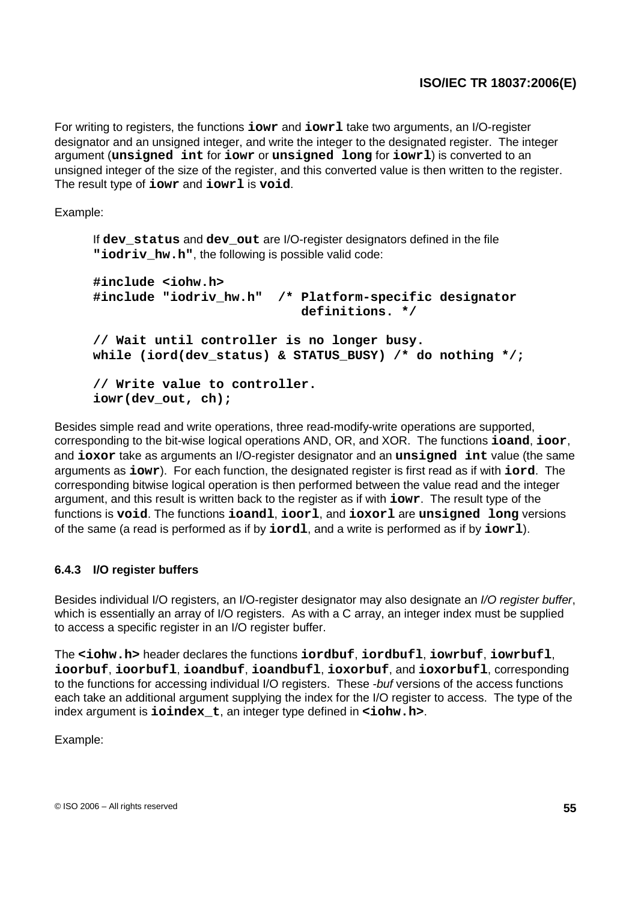For writing to registers, the functions **iowr** and **iowrl** take two arguments, an I/O-register designator and an unsigned integer, and write the integer to the designated register. The integer argument (**unsigned int** for **iowr** or **unsigned long** for **iowrl**) is converted to an unsigned integer of the size of the register, and this converted value is then written to the register. The result type of **iowr** and **iowrl** is **void**.

Example:

If **dev\_status** and **dev\_out** are I/O-register designators defined in the file "iodriv hw.h", the following is possible valid code:

```
#include <iohw.h>
#include "iodriv_hw.h" /* Platform-specific designator
                           definitions. */
// Wait until controller is no longer busy.
while (iord(dev_status) & STATUS_BUSY) /* do nothing */;
// Write value to controller.
iowr(dev_out, ch);
```
Besides simple read and write operations, three read-modify-write operations are supported, corresponding to the bit-wise logical operations AND, OR, and XOR. The functions **ioand**, **ioor**, and **ioxor** take as arguments an I/O-register designator and an **unsigned int** value (the same arguments as **iowr**). For each function, the designated register is first read as if with **iord**. The corresponding bitwise logical operation is then performed between the value read and the integer argument, and this result is written back to the register as if with **iowr**. The result type of the functions is **void**. The functions **ioandl**, **ioorl**, and **ioxorl** are **unsigned long** versions of the same (a read is performed as if by **iordl**, and a write is performed as if by **iowrl**).

## **6.4.3 I/O register buffers**

Besides individual I/O registers, an I/O-register designator may also designate an I/O register buffer, which is essentially an array of I/O registers. As with a C array, an integer index must be supplied to access a specific register in an I/O register buffer.

The **<iohw.h>** header declares the functions **iordbuf**, **iordbufl**, **iowrbuf**, **iowrbufl**, **ioorbuf**, **ioorbufl**, **ioandbuf**, **ioandbufl**, **ioxorbuf**, and **ioxorbufl**, corresponding to the functions for accessing individual I/O registers. These -buf versions of the access functions each take an additional argument supplying the index for the I/O register to access. The type of the index argument is **ioindex\_t**, an integer type defined in **<iohw.h>**.

Example: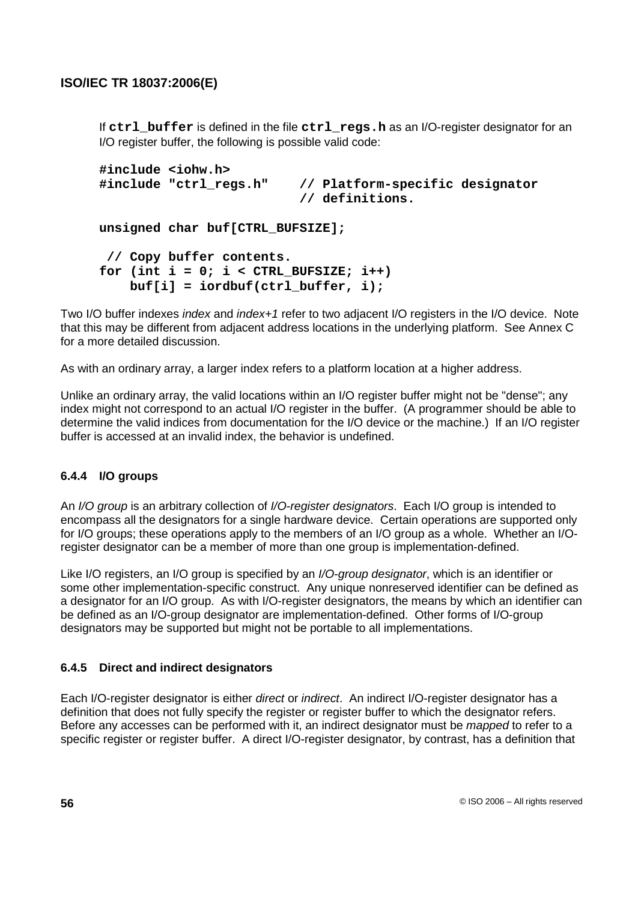If **ctrl** buffer is defined in the file **ctrl** regs.h as an I/O-register designator for an I/O register buffer, the following is possible valid code:

```
#include <iohw.h>
#include "ctrl_regs.h" // Platform-specific designator
                          // definitions.
unsigned char buf[CTRL_BUFSIZE];
 // Copy buffer contents.
for (int i = 0; i < CTRL BUFFIZE; i++)buf[i] = iordbuf(ctrl_buffer, i);
```
Two I/O buffer indexes *index* and *index*+1 refer to two adjacent I/O registers in the I/O device. Note that this may be different from adjacent address locations in the underlying platform. See Annex C for a more detailed discussion.

As with an ordinary array, a larger index refers to a platform location at a higher address.

Unlike an ordinary array, the valid locations within an I/O register buffer might not be "dense"; any index might not correspond to an actual I/O register in the buffer. (A programmer should be able to determine the valid indices from documentation for the I/O device or the machine.) If an I/O register buffer is accessed at an invalid index, the behavior is undefined.

## **6.4.4 I/O groups**

An I/O group is an arbitrary collection of I/O-register designators. Each I/O group is intended to encompass all the designators for a single hardware device. Certain operations are supported only for I/O groups; these operations apply to the members of an I/O group as a whole. Whether an I/Oregister designator can be a member of more than one group is implementation-defined.

Like I/O registers, an I/O group is specified by an I/O-group designator, which is an identifier or some other implementation-specific construct. Any unique nonreserved identifier can be defined as a designator for an I/O group. As with I/O-register designators, the means by which an identifier can be defined as an I/O-group designator are implementation-defined. Other forms of I/O-group designators may be supported but might not be portable to all implementations.

### **6.4.5 Direct and indirect designators**

Each I/O-register designator is either *direct* or *indirect*. An indirect I/O-register designator has a definition that does not fully specify the register or register buffer to which the designator refers. Before any accesses can be performed with it, an indirect designator must be *mapped* to refer to a specific register or register buffer. A direct I/O-register designator, by contrast, has a definition that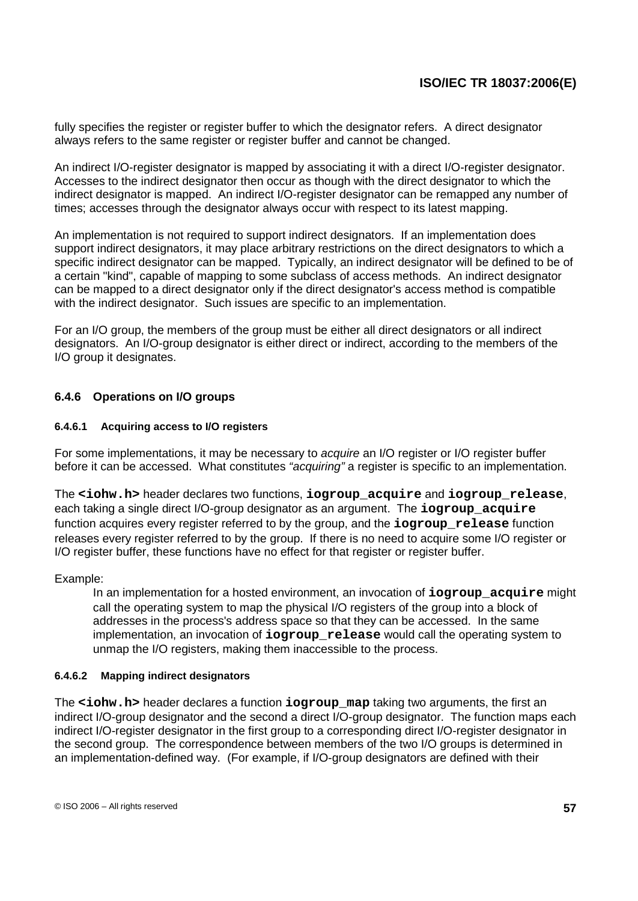fully specifies the register or register buffer to which the designator refers. A direct designator always refers to the same register or register buffer and cannot be changed.

An indirect I/O-register designator is mapped by associating it with a direct I/O-register designator. Accesses to the indirect designator then occur as though with the direct designator to which the indirect designator is mapped. An indirect I/O-register designator can be remapped any number of times; accesses through the designator always occur with respect to its latest mapping.

An implementation is not required to support indirect designators. If an implementation does support indirect designators, it may place arbitrary restrictions on the direct designators to which a specific indirect designator can be mapped. Typically, an indirect designator will be defined to be of a certain "kind", capable of mapping to some subclass of access methods. An indirect designator can be mapped to a direct designator only if the direct designator's access method is compatible with the indirect designator. Such issues are specific to an implementation.

For an I/O group, the members of the group must be either all direct designators or all indirect designators. An I/O-group designator is either direct or indirect, according to the members of the I/O group it designates.

### **6.4.6 Operations on I/O groups**

#### **6.4.6.1 Acquiring access to I/O registers**

For some implementations, it may be necessary to *acquire* an I/O register or I/O register buffer before it can be accessed. What constitutes "acquiring" a register is specific to an implementation.

The **<iohw.h>** header declares two functions, **iogroup\_acquire** and **iogroup\_release**, each taking a single direct I/O-group designator as an argument. The **iogroup\_acquire** function acquires every register referred to by the group, and the **iogroup\_release** function releases every register referred to by the group. If there is no need to acquire some I/O register or I/O register buffer, these functions have no effect for that register or register buffer.

#### Example:

In an implementation for a hosted environment, an invocation of **iogroup\_acquire** might call the operating system to map the physical I/O registers of the group into a block of addresses in the process's address space so that they can be accessed. In the same implementation, an invocation of **iogroup\_release** would call the operating system to unmap the I/O registers, making them inaccessible to the process.

#### **6.4.6.2 Mapping indirect designators**

The **<iohw.h>** header declares a function **iogroup\_map** taking two arguments, the first an indirect I/O-group designator and the second a direct I/O-group designator. The function maps each indirect I/O-register designator in the first group to a corresponding direct I/O-register designator in the second group. The correspondence between members of the two I/O groups is determined in an implementation-defined way. (For example, if I/O-group designators are defined with their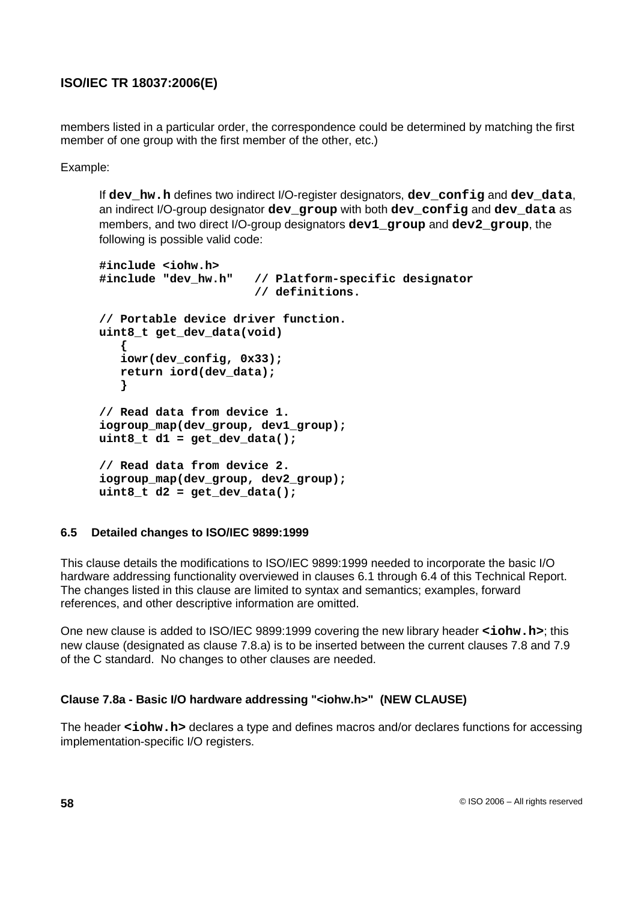members listed in a particular order, the correspondence could be determined by matching the first member of one group with the first member of the other, etc.)

Example:

If **dev\_hw.h** defines two indirect I/O-register designators, **dev\_config** and **dev\_data**, an indirect I/O-group designator **dev\_group** with both **dev\_config** and **dev\_data** as members, and two direct I/O-group designators **dev1\_group** and **dev2\_group**, the following is possible valid code:

```
#include <iohw.h>
#include "dev_hw.h" // Platform-specific designator
                      // definitions.
// Portable device driver function.
uint8_t get_dev_data(void)
   {
   iowr(dev_config, 0x33);
   return iord(dev_data);
   }
// Read data from device 1.
iogroup_map(dev_group, dev1_group);
uint8_t d1 = get_dev_data();
// Read data from device 2.
iogroup_map(dev_group, dev2_group);
uint8_t d2 = get_dev_data();
```
## **6.5 Detailed changes to ISO/IEC 9899:1999**

This clause details the modifications to ISO/IEC 9899:1999 needed to incorporate the basic I/O hardware addressing functionality overviewed in clauses 6.1 through 6.4 of this Technical Report. The changes listed in this clause are limited to syntax and semantics; examples, forward references, and other descriptive information are omitted.

One new clause is added to ISO/IEC 9899:1999 covering the new library header **<iohw.h>**; this new clause (designated as clause 7.8.a) is to be inserted between the current clauses 7.8 and 7.9 of the C standard. No changes to other clauses are needed.

## **Clause 7.8a - Basic I/O hardware addressing "<iohw.h>" (NEW CLAUSE)**

The header **<iohw.h>** declares a type and defines macros and/or declares functions for accessing implementation-specific I/O registers.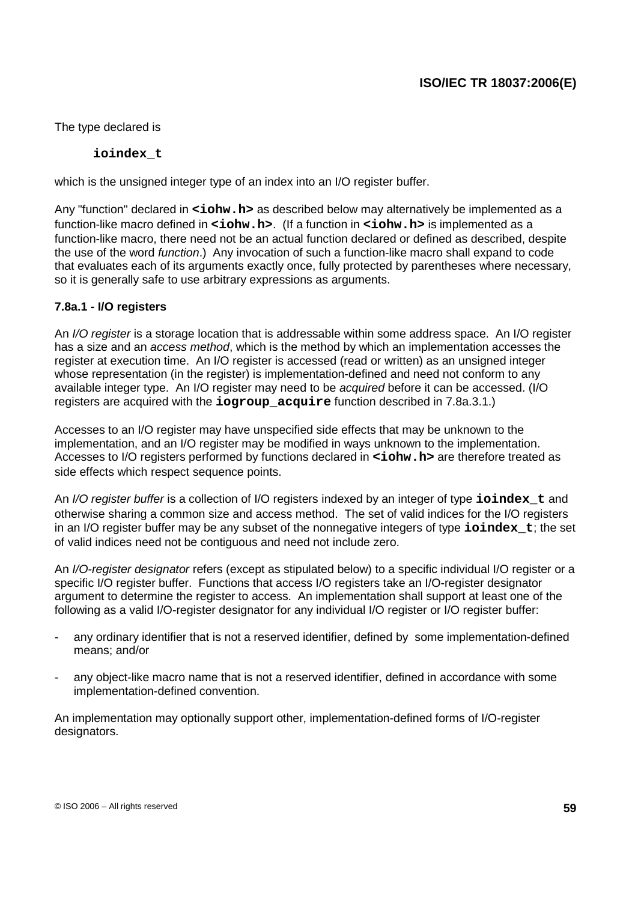The type declared is

**ioindex\_t**

which is the unsigned integer type of an index into an I/O register buffer.

Any "function" declared in **<iohw.h>** as described below may alternatively be implemented as a function-like macro defined in **<iohw.h>**. (If a function in **<iohw.h>** is implemented as a function-like macro, there need not be an actual function declared or defined as described, despite the use of the word function.) Any invocation of such a function-like macro shall expand to code that evaluates each of its arguments exactly once, fully protected by parentheses where necessary, so it is generally safe to use arbitrary expressions as arguments.

### **7.8a.1 - I/O registers**

An I/O register is a storage location that is addressable within some address space. An I/O register has a size and an access method, which is the method by which an implementation accesses the register at execution time. An I/O register is accessed (read or written) as an unsigned integer whose representation (in the register) is implementation-defined and need not conform to any available integer type. An I/O register may need to be acquired before it can be accessed. (I/O registers are acquired with the **iogroup\_acquire** function described in 7.8a.3.1.)

Accesses to an I/O register may have unspecified side effects that may be unknown to the implementation, and an I/O register may be modified in ways unknown to the implementation. Accesses to I/O registers performed by functions declared in **<iohw.h>** are therefore treated as side effects which respect sequence points.

An I/O register buffer is a collection of I/O registers indexed by an integer of type **ioindex\_t** and otherwise sharing a common size and access method. The set of valid indices for the I/O registers in an I/O register buffer may be any subset of the nonnegative integers of type **ioindex\_t**; the set of valid indices need not be contiguous and need not include zero.

An *I/O-register designator* refers (except as stipulated below) to a specific individual I/O register or a specific I/O register buffer. Functions that access I/O registers take an I/O-register designator argument to determine the register to access. An implementation shall support at least one of the following as a valid I/O-register designator for any individual I/O register or I/O register buffer:

- any ordinary identifier that is not a reserved identifier, defined by some implementation-defined means; and/or
- any object-like macro name that is not a reserved identifier, defined in accordance with some implementation-defined convention.

An implementation may optionally support other, implementation-defined forms of I/O-register designators.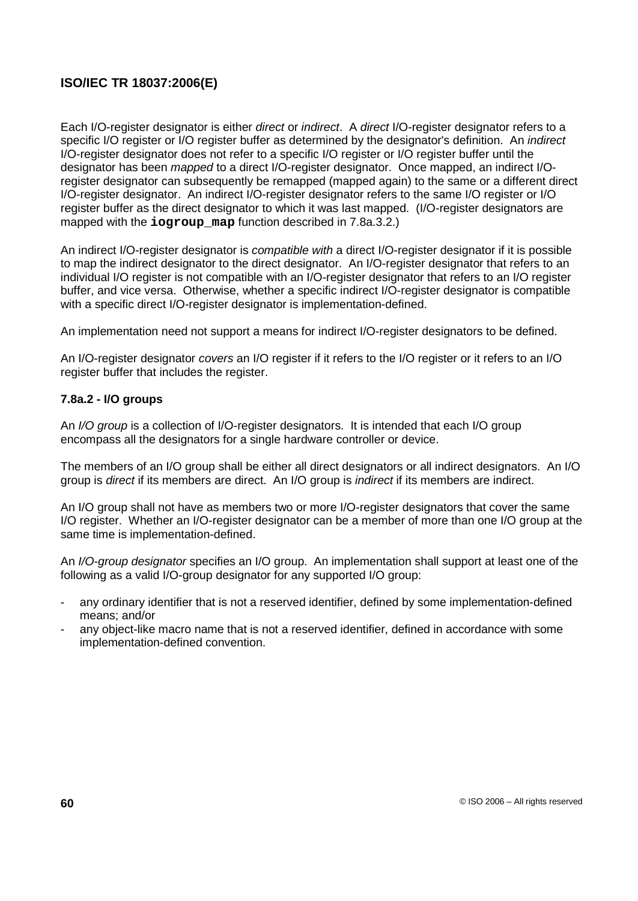Each I/O-register designator is either direct or indirect. A direct I/O-register designator refers to a specific I/O register or I/O register buffer as determined by the designator's definition. An *indirect* I/O-register designator does not refer to a specific I/O register or I/O register buffer until the designator has been mapped to a direct I/O-register designator. Once mapped, an indirect I/Oregister designator can subsequently be remapped (mapped again) to the same or a different direct I/O-register designator. An indirect I/O-register designator refers to the same I/O register or I/O register buffer as the direct designator to which it was last mapped. (I/O-register designators are mapped with the **iogroup** map function described in 7.8a.3.2.)

An indirect I/O-register designator is *compatible with* a direct I/O-register designator if it is possible to map the indirect designator to the direct designator. An I/O-register designator that refers to an individual I/O register is not compatible with an I/O-register designator that refers to an I/O register buffer, and vice versa. Otherwise, whether a specific indirect I/O-register designator is compatible with a specific direct I/O-register designator is implementation-defined.

An implementation need not support a means for indirect I/O-register designators to be defined.

An I/O-register designator covers an I/O register if it refers to the I/O register or it refers to an I/O register buffer that includes the register.

### **7.8a.2 - I/O groups**

An I/O group is a collection of I/O-register designators. It is intended that each I/O group encompass all the designators for a single hardware controller or device.

The members of an I/O group shall be either all direct designators or all indirect designators. An I/O group is direct if its members are direct. An I/O group is indirect if its members are indirect.

An I/O group shall not have as members two or more I/O-register designators that cover the same I/O register. Whether an I/O-register designator can be a member of more than one I/O group at the same time is implementation-defined.

An I/O-group designator specifies an I/O group. An implementation shall support at least one of the following as a valid I/O-group designator for any supported I/O group:

- any ordinary identifier that is not a reserved identifier, defined by some implementation-defined means; and/or
- any object-like macro name that is not a reserved identifier, defined in accordance with some implementation-defined convention.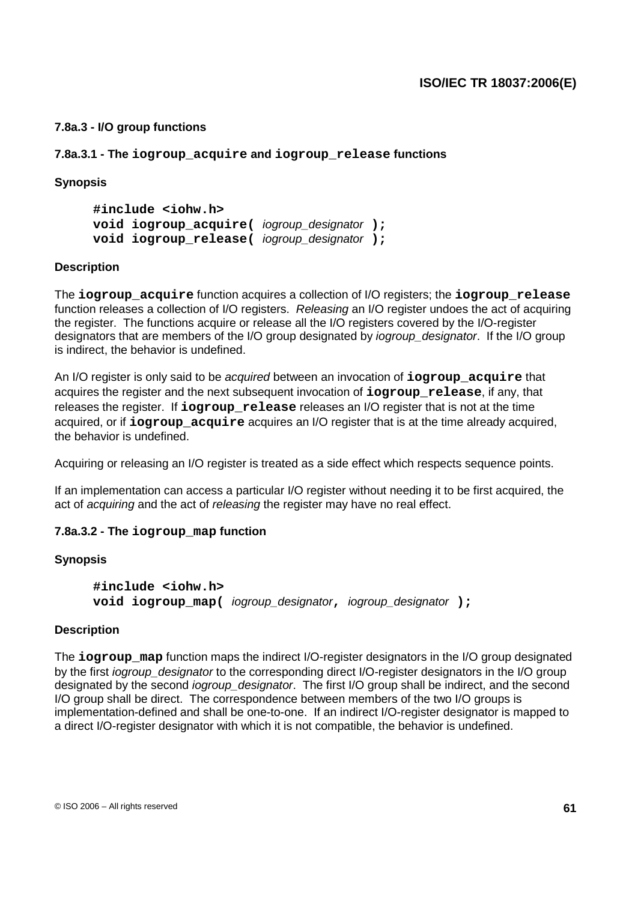### **7.8a.3 - I/O group functions**

**7.8a.3.1 - The iogroup\_acquire and iogroup\_release functions**

#### **Synopsis**

**#include <iohw.h> void iogroup\_acquire(** iogroup\_designator **); void iogroup\_release(** iogroup\_designator **);**

#### **Description**

The **iogroup\_acquire** function acquires a collection of I/O registers; the **iogroup\_release** function releases a collection of I/O registers. Releasing an I/O register undoes the act of acquiring the register. The functions acquire or release all the I/O registers covered by the I/O-register designators that are members of the I/O group designated by *jogroup designator*. If the I/O group is indirect, the behavior is undefined.

An I/O register is only said to be acquired between an invocation of **iogroup\_acquire** that acquires the register and the next subsequent invocation of **iogroup\_release**, if any, that releases the register. If **iogroup\_release** releases an I/O register that is not at the time acquired, or if **iogroup\_acquire** acquires an I/O register that is at the time already acquired, the behavior is undefined.

Acquiring or releasing an I/O register is treated as a side effect which respects sequence points.

If an implementation can access a particular I/O register without needing it to be first acquired, the act of acquiring and the act of releasing the register may have no real effect.

#### **7.8a.3.2 - The iogroup\_map function**

#### **Synopsis**

**#include <iohw.h> void iogroup\_map(** iogroup\_designator**,** iogroup\_designator **);**

#### **Description**

The **iogroup map** function maps the indirect I/O-register designators in the I/O group designated by the first *iogroup* designator to the corresponding direct I/O-register designators in the I/O group designated by the second *iogroup* designator. The first I/O group shall be indirect, and the second I/O group shall be direct. The correspondence between members of the two I/O groups is implementation-defined and shall be one-to-one. If an indirect I/O-register designator is mapped to a direct I/O-register designator with which it is not compatible, the behavior is undefined.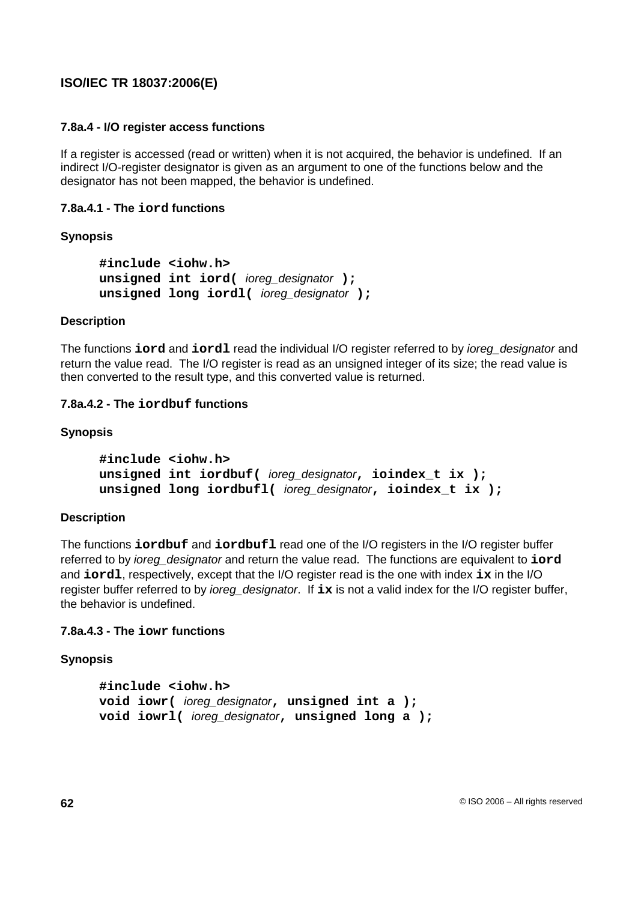### **7.8a.4 - I/O register access functions**

If a register is accessed (read or written) when it is not acquired, the behavior is undefined. If an indirect I/O-register designator is given as an argument to one of the functions below and the designator has not been mapped, the behavior is undefined.

### **7.8a.4.1 - The iord functions**

### **Synopsis**

```
#include <iohw.h>
unsigned int iord( ioreg_designator );
unsigned long iordl( ioreg_designator );
```
### **Description**

The functions **iord** and **iordl** read the individual I/O register referred to by ioreg\_designator and return the value read. The I/O register is read as an unsigned integer of its size; the read value is then converted to the result type, and this converted value is returned.

### **7.8a.4.2 - The iordbuf functions**

### **Synopsis**

```
#include <iohw.h>
unsigned int iordbuf( ioreg_designator, ioindex_t ix );
unsigned long iordbufl( ioreg_designator, ioindex_t ix );
```
### **Description**

The functions **iordbuf** and **iordbufl** read one of the I/O registers in the I/O register buffer referred to by ioreg\_designator and return the value read. The functions are equivalent to **iord** and **iordl**, respectively, except that the I/O register read is the one with index **ix** in the I/O register buffer referred to by ioreg\_designator. If **ix** is not a valid index for the I/O register buffer, the behavior is undefined.

### **7.8a.4.3 - The iowr functions**

```
#include <iohw.h>
void iowr( ioreg_designator, unsigned int a );
void iowrl( ioreg_designator, unsigned long a );
```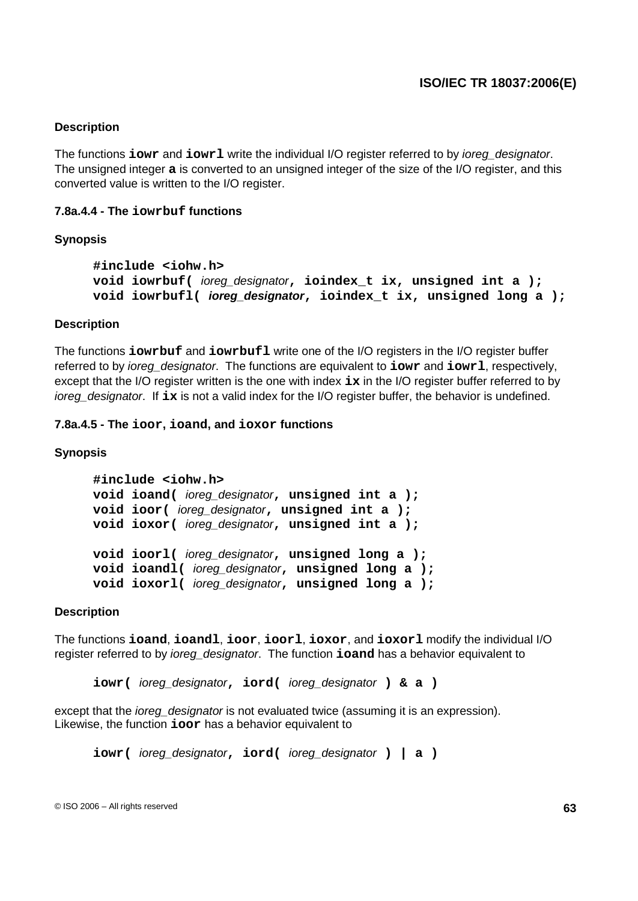#### **Description**

The functions **iowr** and **iowrl** write the individual I/O register referred to by *ioreg* designator. The unsigned integer **a** is converted to an unsigned integer of the size of the I/O register, and this converted value is written to the I/O register.

#### **7.8a.4.4 - The iowrbuf functions**

#### **Synopsis**

```
#include <iohw.h>
void iowrbuf( ioreg_designator, ioindex_t ix, unsigned int a );
void iowrbufl( ioreg_designator, ioindex_t ix, unsigned long a );
```
#### **Description**

The functions **iowrbuf** and **iowrbufl** write one of the I/O registers in the I/O register buffer referred to by ioreg\_designator. The functions are equivalent to **iowr** and **iowrl**, respectively, except that the I/O register written is the one with index **ix** in the I/O register buffer referred to by ioreg designator. If ix is not a valid index for the I/O register buffer, the behavior is undefined.

#### **7.8a.4.5 - The ioor, ioand, and ioxor functions**

#### **Synopsis**

```
#include <iohw.h>
void ioand( ioreg_designator, unsigned int a );
void ioor( ioreg_designator, unsigned int a );
void ioxor( ioreg_designator, unsigned int a );
void ioorl( ioreg_designator, unsigned long a );
void ioandl( ioreg_designator, unsigned long a );
void ioxorl( ioreg_designator, unsigned long a );
```
#### **Description**

The functions **ioand**, **ioandl**, **ioor**, **ioorl**, **ioxor**, and **ioxorl** modify the individual I/O register referred to by ioreg\_designator. The function **ioand** has a behavior equivalent to

**iowr(** ioreg\_designator**, iord(** ioreg\_designator **) & a )**

except that the *ioreg* designator is not evaluated twice (assuming it is an expression). Likewise, the function **ioor** has a behavior equivalent to

**iowr(** ioreg\_designator**, iord(** ioreg\_designator **) | a )**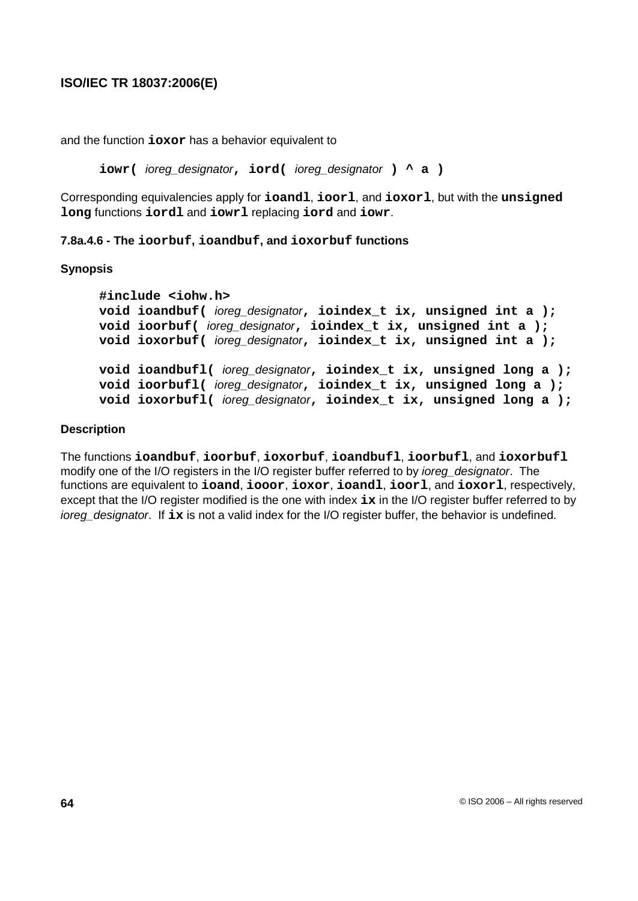and the function **ioxor** has a behavior equivalent to

**iowr(** ioreg\_designator**, iord(** ioreg\_designator **) ^ a )**

Corresponding equivalencies apply for **ioandl**, **ioorl**, and **ioxorl**, but with the **unsigned long** functions **iordl** and **iowrl** replacing **iord** and **iowr**.

**7.8a.4.6 - The ioorbuf, ioandbuf, and ioxorbuf functions**

#### **Synopsis**

```
#include <iohw.h>
void ioandbuf( ioreg_designator, ioindex_t ix, unsigned int a );
void ioorbuf( ioreg_designator, ioindex_t ix, unsigned int a );
void ioxorbuf( ioreg_designator, ioindex_t ix, unsigned int a );
void ioandbufl( ioreg_designator, ioindex_t ix, unsigned long a );
void ioorbufl( ioreg_designator, ioindex_t ix, unsigned long a );
void ioxorbufl( ioreg_designator, ioindex_t ix, unsigned long a );
```
### **Description**

The functions **ioandbuf**, **ioorbuf**, **ioxorbuf**, **ioandbufl**, **ioorbufl**, and **ioxorbufl** modify one of the I/O registers in the I/O register buffer referred to by *ioreg* designator. The functions are equivalent to **ioand**, **iooor**, **ioxor**, **ioandl**, **ioorl**, and **ioxorl**, respectively, except that the I/O register modified is the one with index **ix** in the I/O register buffer referred to by ioreg\_designator. If **ix** is not a valid index for the I/O register buffer, the behavior is undefined.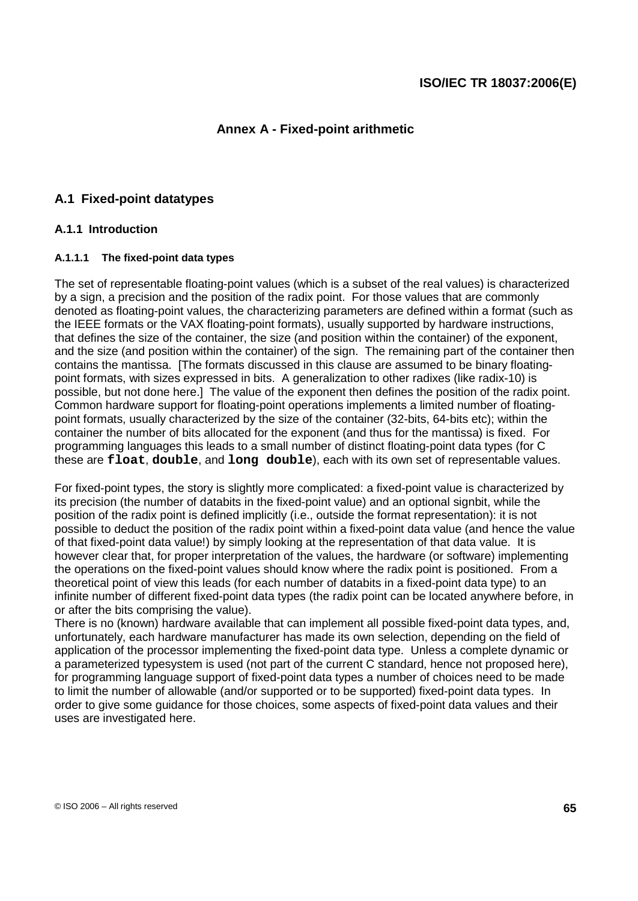## **Annex A - Fixed-point arithmetic**

## **A.1 Fixed-point datatypes**

### **A.1.1 Introduction**

#### **A.1.1.1 The fixed-point data types**

The set of representable floating-point values (which is a subset of the real values) is characterized by a sign, a precision and the position of the radix point. For those values that are commonly denoted as floating-point values, the characterizing parameters are defined within a format (such as the IEEE formats or the VAX floating-point formats), usually supported by hardware instructions, that defines the size of the container, the size (and position within the container) of the exponent, and the size (and position within the container) of the sign. The remaining part of the container then contains the mantissa. [The formats discussed in this clause are assumed to be binary floatingpoint formats, with sizes expressed in bits. A generalization to other radixes (like radix-10) is possible, but not done here.] The value of the exponent then defines the position of the radix point. Common hardware support for floating-point operations implements a limited number of floatingpoint formats, usually characterized by the size of the container (32-bits, 64-bits etc); within the container the number of bits allocated for the exponent (and thus for the mantissa) is fixed. For programming languages this leads to a small number of distinct floating-point data types (for C these are **float**, **double**, and **long double**), each with its own set of representable values.

For fixed-point types, the story is slightly more complicated: a fixed-point value is characterized by its precision (the number of databits in the fixed-point value) and an optional signbit, while the position of the radix point is defined implicitly (i.e., outside the format representation): it is not possible to deduct the position of the radix point within a fixed-point data value (and hence the value of that fixed-point data value!) by simply looking at the representation of that data value. It is however clear that, for proper interpretation of the values, the hardware (or software) implementing the operations on the fixed-point values should know where the radix point is positioned. From a theoretical point of view this leads (for each number of databits in a fixed-point data type) to an infinite number of different fixed-point data types (the radix point can be located anywhere before, in or after the bits comprising the value).

There is no (known) hardware available that can implement all possible fixed-point data types, and, unfortunately, each hardware manufacturer has made its own selection, depending on the field of application of the processor implementing the fixed-point data type. Unless a complete dynamic or a parameterized typesystem is used (not part of the current C standard, hence not proposed here), for programming language support of fixed-point data types a number of choices need to be made to limit the number of allowable (and/or supported or to be supported) fixed-point data types. In order to give some guidance for those choices, some aspects of fixed-point data values and their uses are investigated here.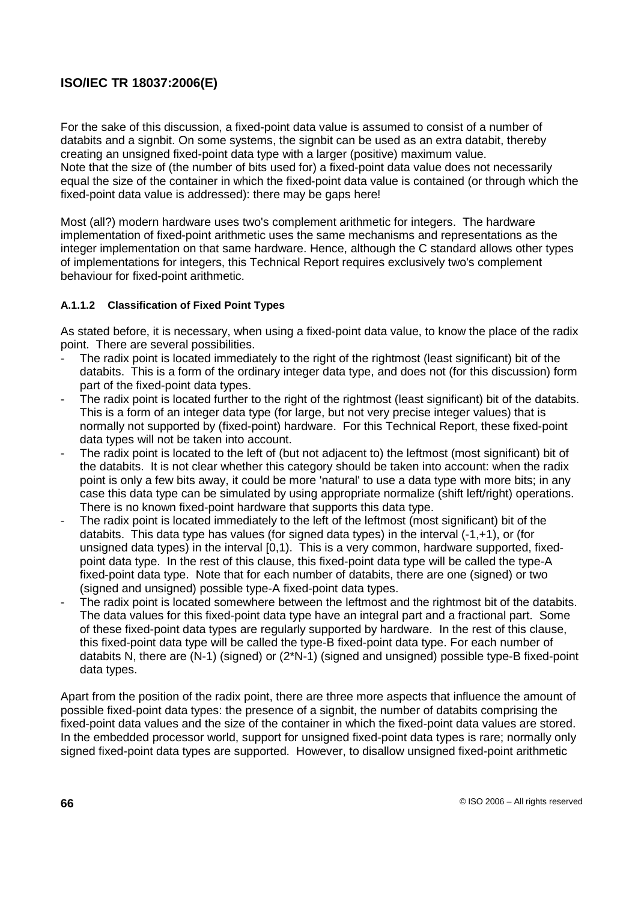For the sake of this discussion, a fixed-point data value is assumed to consist of a number of databits and a signbit. On some systems, the signbit can be used as an extra databit, thereby creating an unsigned fixed-point data type with a larger (positive) maximum value. Note that the size of (the number of bits used for) a fixed-point data value does not necessarily equal the size of the container in which the fixed-point data value is contained (or through which the fixed-point data value is addressed): there may be gaps here!

Most (all?) modern hardware uses two's complement arithmetic for integers. The hardware implementation of fixed-point arithmetic uses the same mechanisms and representations as the integer implementation on that same hardware. Hence, although the C standard allows other types of implementations for integers, this Technical Report requires exclusively two's complement behaviour for fixed-point arithmetic.

### **A.1.1.2 Classification of Fixed Point Types**

As stated before, it is necessary, when using a fixed-point data value, to know the place of the radix point. There are several possibilities.

- The radix point is located immediately to the right of the rightmost (least significant) bit of the databits. This is a form of the ordinary integer data type, and does not (for this discussion) form part of the fixed-point data types.
- The radix point is located further to the right of the rightmost (least significant) bit of the databits. This is a form of an integer data type (for large, but not very precise integer values) that is normally not supported by (fixed-point) hardware. For this Technical Report, these fixed-point data types will not be taken into account.
- The radix point is located to the left of (but not adjacent to) the leftmost (most significant) bit of the databits. It is not clear whether this category should be taken into account: when the radix point is only a few bits away, it could be more 'natural' to use a data type with more bits; in any case this data type can be simulated by using appropriate normalize (shift left/right) operations. There is no known fixed-point hardware that supports this data type.
- The radix point is located immediately to the left of the leftmost (most significant) bit of the databits. This data type has values (for signed data types) in the interval  $(-1,+1)$ , or (for unsigned data types) in the interval [0,1). This is a very common, hardware supported, fixedpoint data type. In the rest of this clause, this fixed-point data type will be called the type-A fixed-point data type. Note that for each number of databits, there are one (signed) or two (signed and unsigned) possible type-A fixed-point data types.
- The radix point is located somewhere between the leftmost and the rightmost bit of the databits. The data values for this fixed-point data type have an integral part and a fractional part. Some of these fixed-point data types are regularly supported by hardware. In the rest of this clause, this fixed-point data type will be called the type-B fixed-point data type. For each number of databits N, there are (N-1) (signed) or (2\*N-1) (signed and unsigned) possible type-B fixed-point data types.

Apart from the position of the radix point, there are three more aspects that influence the amount of possible fixed-point data types: the presence of a signbit, the number of databits comprising the fixed-point data values and the size of the container in which the fixed-point data values are stored. In the embedded processor world, support for unsigned fixed-point data types is rare; normally only signed fixed-point data types are supported. However, to disallow unsigned fixed-point arithmetic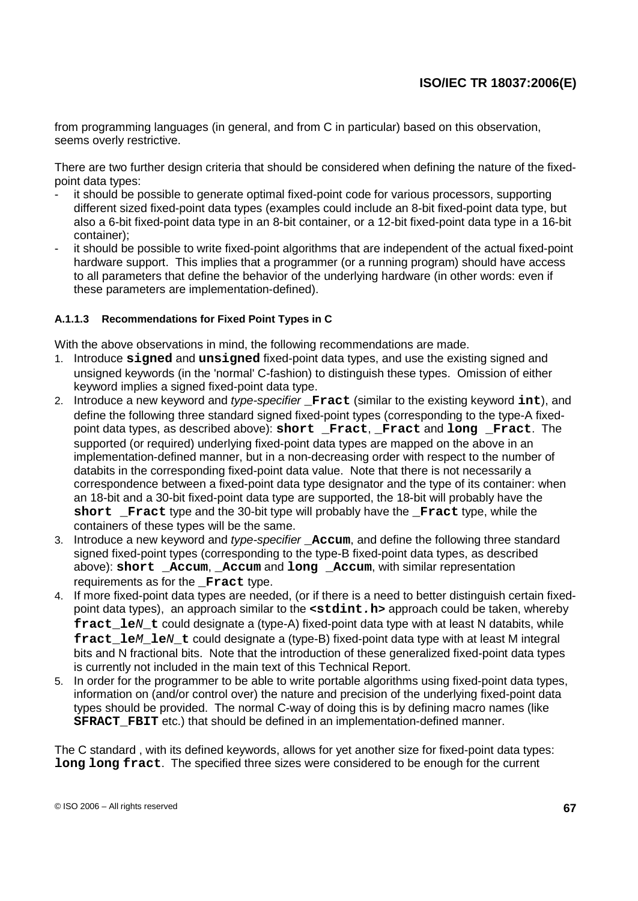from programming languages (in general, and from C in particular) based on this observation, seems overly restrictive.

There are two further design criteria that should be considered when defining the nature of the fixedpoint data types:

- it should be possible to generate optimal fixed-point code for various processors, supporting different sized fixed-point data types (examples could include an 8-bit fixed-point data type, but also a 6-bit fixed-point data type in an 8-bit container, or a 12-bit fixed-point data type in a 16-bit container);
- it should be possible to write fixed-point algorithms that are independent of the actual fixed-point hardware support. This implies that a programmer (or a running program) should have access to all parameters that define the behavior of the underlying hardware (in other words: even if these parameters are implementation-defined).

#### **A.1.1.3 Recommendations for Fixed Point Types in C**

With the above observations in mind, the following recommendations are made.

- 1. Introduce **signed** and **unsigned** fixed-point data types, and use the existing signed and unsigned keywords (in the 'normal' C-fashion) to distinguish these types. Omission of either keyword implies a signed fixed-point data type.
- 2. Introduce a new keyword and type-specifier **\_Fract** (similar to the existing keyword **int**), and define the following three standard signed fixed-point types (corresponding to the type-A fixedpoint data types, as described above): **short \_Fract**, **\_Fract** and **long \_Fract**. The supported (or required) underlying fixed-point data types are mapped on the above in an implementation-defined manner, but in a non-decreasing order with respect to the number of databits in the corresponding fixed-point data value. Note that there is not necessarily a correspondence between a fixed-point data type designator and the type of its container: when an 18-bit and a 30-bit fixed-point data type are supported, the 18-bit will probably have the **short Fract** type and the 30-bit type will probably have the **Fract** type, while the containers of these types will be the same.
- 3. Introduce a new keyword and type-specifier **\_Accum**, and define the following three standard signed fixed-point types (corresponding to the type-B fixed-point data types, as described above): **short \_Accum**, **\_Accum** and **long \_Accum**, with similar representation requirements as for the **Fract** type.
- 4. If more fixed-point data types are needed, (or if there is a need to better distinguish certain fixedpoint data types), an approach similar to the **<stdint.h>** approach could be taken, whereby **fract** le*N* t could designate a (type-A) fixed-point data type with at least N databits, while **fract** le*M* le*N* t could designate a (type-B) fixed-point data type with at least M integral bits and N fractional bits. Note that the introduction of these generalized fixed-point data types is currently not included in the main text of this Technical Report.
- 5. In order for the programmer to be able to write portable algorithms using fixed-point data types, information on (and/or control over) the nature and precision of the underlying fixed-point data types should be provided. The normal C-way of doing this is by defining macro names (like **SFRACT** FBIT etc.) that should be defined in an implementation-defined manner.

The C standard , with its defined keywords, allows for yet another size for fixed-point data types: **long long fract**. The specified three sizes were considered to be enough for the current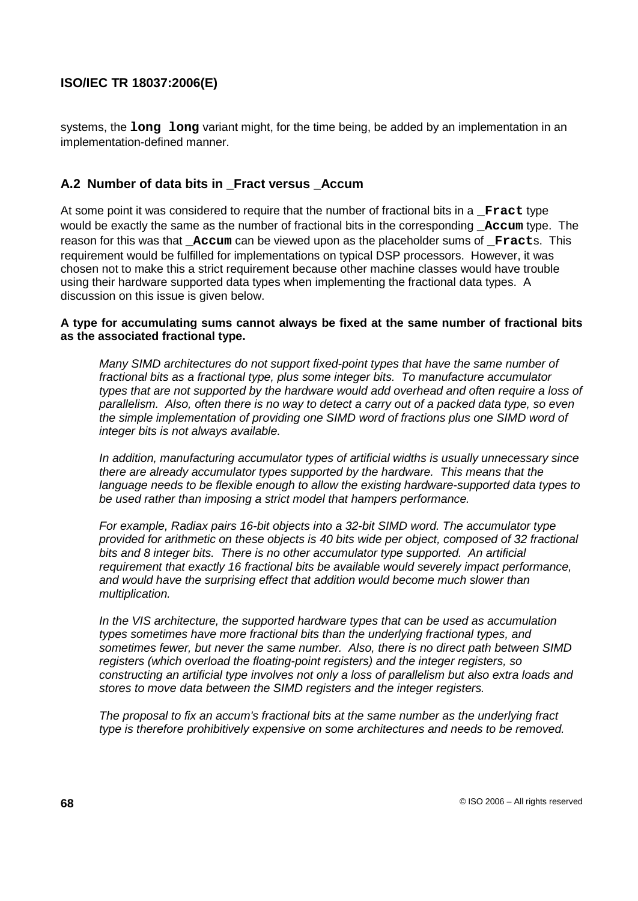systems, the **long long** variant might, for the time being, be added by an implementation in an implementation-defined manner.

### **A.2 Number of data bits in \_Fract versus \_Accum**

At some point it was considered to require that the number of fractional bits in a **Fract** type would be exactly the same as the number of fractional bits in the corresponding **Accum** type. The reason for this was that **Accum** can be viewed upon as the placeholder sums of **Fracts**. This requirement would be fulfilled for implementations on typical DSP processors. However, it was chosen not to make this a strict requirement because other machine classes would have trouble using their hardware supported data types when implementing the fractional data types. A discussion on this issue is given below.

#### **A type for accumulating sums cannot always be fixed at the same number of fractional bits as the associated fractional type.**

Many SIMD architectures do not support fixed-point types that have the same number of fractional bits as a fractional type, plus some integer bits. To manufacture accumulator types that are not supported by the hardware would add overhead and often require a loss of parallelism. Also, often there is no way to detect a carry out of a packed data type, so even the simple implementation of providing one SIMD word of fractions plus one SIMD word of integer bits is not always available.

In addition, manufacturing accumulator types of artificial widths is usually unnecessary since there are already accumulator types supported by the hardware. This means that the language needs to be flexible enough to allow the existing hardware-supported data types to be used rather than imposing a strict model that hampers performance.

For example, Radiax pairs 16-bit objects into a 32-bit SIMD word. The accumulator type provided for arithmetic on these objects is 40 bits wide per object, composed of 32 fractional bits and 8 integer bits. There is no other accumulator type supported. An artificial requirement that exactly 16 fractional bits be available would severely impact performance, and would have the surprising effect that addition would become much slower than multiplication.

In the VIS architecture, the supported hardware types that can be used as accumulation types sometimes have more fractional bits than the underlying fractional types, and sometimes fewer, but never the same number. Also, there is no direct path between SIMD registers (which overload the floating-point registers) and the integer registers, so constructing an artificial type involves not only a loss of parallelism but also extra loads and stores to move data between the SIMD registers and the integer registers.

The proposal to fix an accum's fractional bits at the same number as the underlying fract type is therefore prohibitively expensive on some architectures and needs to be removed.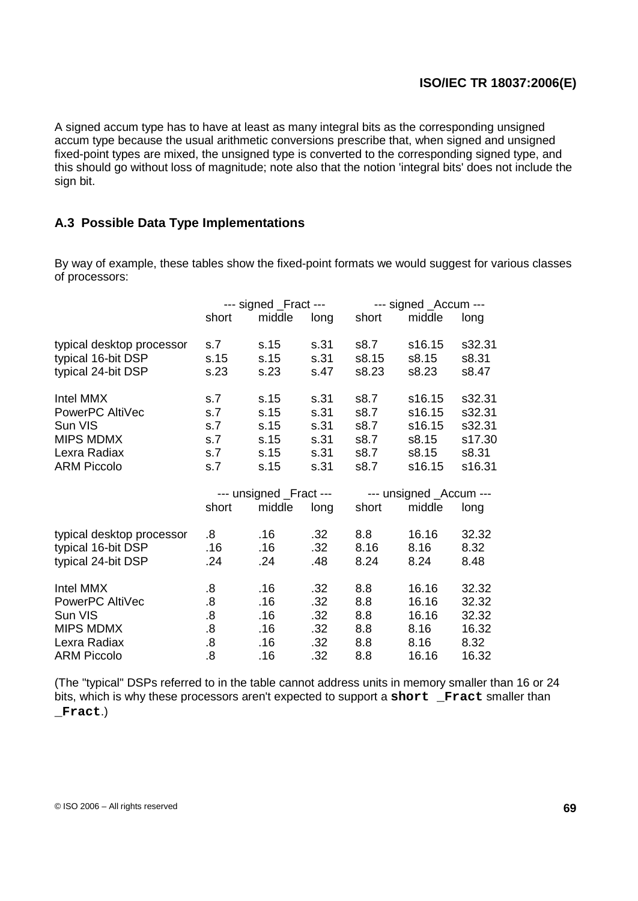A signed accum type has to have at least as many integral bits as the corresponding unsigned accum type because the usual arithmetic conversions prescribe that, when signed and unsigned fixed-point types are mixed, the unsigned type is converted to the corresponding signed type, and this should go without loss of magnitude; note also that the notion 'integral bits' does not include the sign bit.

### **A.3 Possible Data Type Implementations**

By way of example, these tables show the fixed-point formats we would suggest for various classes of processors:

|                           | --- signed _Fract ---   |        |      |       | --- signed _Accum ---   |        |  |  |
|---------------------------|-------------------------|--------|------|-------|-------------------------|--------|--|--|
|                           | short                   | middle | long | short | middle                  | long   |  |  |
| typical desktop processor | s.7                     | s.15   | s.31 | s8.7  | s16.15                  | s32.31 |  |  |
| typical 16-bit DSP        | s.15                    | s.15   | s.31 | s8.15 | s8.15                   | s8.31  |  |  |
| typical 24-bit DSP        | s.23                    | s.23   | s.47 | s8.23 | s8.23                   | s8.47  |  |  |
| Intel MMX                 | s.7                     | s.15   | s.31 | s8.7  | s16.15                  | s32.31 |  |  |
| PowerPC AltiVec           | s.7                     | s.15   | s.31 | s8.7  | s16.15                  | s32.31 |  |  |
| Sun VIS                   | s.7                     | s.15   | s.31 | s8.7  | s16.15                  | s32.31 |  |  |
| <b>MIPS MDMX</b>          | s.7                     | s.15   | s.31 | s8.7  | s8.15                   | s17.30 |  |  |
| Lexra Radiax              | s.7                     | s.15   | s.31 | s8.7  | s8.15                   | s8.31  |  |  |
| <b>ARM Piccolo</b>        | s.7                     | s.15   | s.31 | s8.7  | s16.15                  | s16.31 |  |  |
|                           | --- unsigned _Fract --- |        |      |       | --- unsigned _Accum --- |        |  |  |
|                           | short                   | middle | long | short | middle                  | long   |  |  |
| typical desktop processor | 8.5                     | .16    | .32  | 8.8   | 16.16                   | 32.32  |  |  |
| typical 16-bit DSP        | .16                     | .16    | .32  | 8.16  | 8.16                    | 8.32   |  |  |
| typical 24-bit DSP        | .24                     | .24    | .48  | 8.24  | 8.24                    | 8.48   |  |  |
| Intel MMX                 | $\boldsymbol{.8}$       | .16    | .32  | 8.8   | 16.16                   | 32.32  |  |  |
| PowerPC AltiVec           | .8                      | .16    | .32  | 8.8   | 16.16                   | 32.32  |  |  |
| Sun VIS                   | .8                      | .16    | .32  | 8.8   | 16.16                   | 32.32  |  |  |
| <b>MIPS MDMX</b>          | .8                      | .16    | .32  | 8.8   | 8.16                    | 16.32  |  |  |
| Lexra Radiax              | .8                      | .16    | .32  | 8.8   | 8.16                    | 8.32   |  |  |
| <b>ARM Piccolo</b>        | .8                      | .16    | .32  | 8.8   | 16.16                   | 16.32  |  |  |

(The "typical" DSPs referred to in the table cannot address units in memory smaller than 16 or 24 bits, which is why these processors aren't expected to support a **short \_Fract** smaller than **\_Fract**.)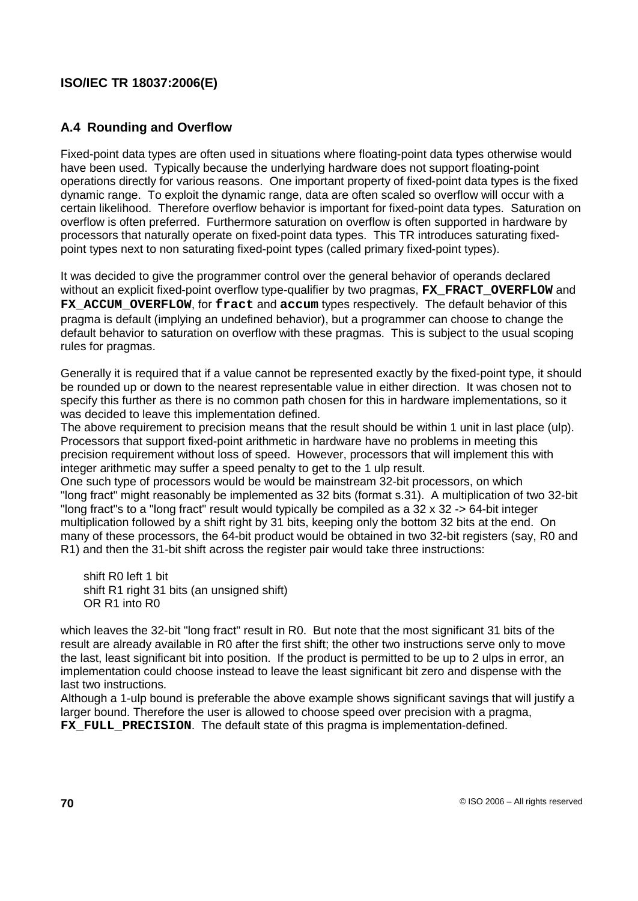## **A.4 Rounding and Overflow**

Fixed-point data types are often used in situations where floating-point data types otherwise would have been used. Typically because the underlying hardware does not support floating-point operations directly for various reasons. One important property of fixed-point data types is the fixed dynamic range. To exploit the dynamic range, data are often scaled so overflow will occur with a certain likelihood. Therefore overflow behavior is important for fixed-point data types. Saturation on overflow is often preferred. Furthermore saturation on overflow is often supported in hardware by processors that naturally operate on fixed-point data types. This TR introduces saturating fixedpoint types next to non saturating fixed-point types (called primary fixed-point types).

It was decided to give the programmer control over the general behavior of operands declared without an explicit fixed-point overflow type-qualifier by two pragmas, **FX\_FRACT\_OVERFLOW** and FX\_ACCUM\_OVERFLOW, for fract and accum types respectively. The default behavior of this pragma is default (implying an undefined behavior), but a programmer can choose to change the default behavior to saturation on overflow with these pragmas. This is subject to the usual scoping rules for pragmas.

Generally it is required that if a value cannot be represented exactly by the fixed-point type, it should be rounded up or down to the nearest representable value in either direction. It was chosen not to specify this further as there is no common path chosen for this in hardware implementations, so it was decided to leave this implementation defined.

The above requirement to precision means that the result should be within 1 unit in last place (ulp). Processors that support fixed-point arithmetic in hardware have no problems in meeting this precision requirement without loss of speed. However, processors that will implement this with integer arithmetic may suffer a speed penalty to get to the 1 ulp result.

One such type of processors would be would be mainstream 32-bit processors, on which "long fract" might reasonably be implemented as 32 bits (format s.31). A multiplication of two 32-bit "long fract"s to a "long fract" result would typically be compiled as a 32 x 32 -> 64-bit integer multiplication followed by a shift right by 31 bits, keeping only the bottom 32 bits at the end. On many of these processors, the 64-bit product would be obtained in two 32-bit registers (say, R0 and R1) and then the 31-bit shift across the register pair would take three instructions:

shift R0 left 1 bit shift R1 right 31 bits (an unsigned shift) OR R1 into R0

which leaves the 32-bit "long fract" result in R0. But note that the most significant 31 bits of the result are already available in R0 after the first shift; the other two instructions serve only to move the last, least significant bit into position. If the product is permitted to be up to 2 ulps in error, an implementation could choose instead to leave the least significant bit zero and dispense with the last two instructions.

Although a 1-ulp bound is preferable the above example shows significant savings that will justify a larger bound. Therefore the user is allowed to choose speed over precision with a pragma, **FX** FULL PRECISION. The default state of this pragma is implementation-defined.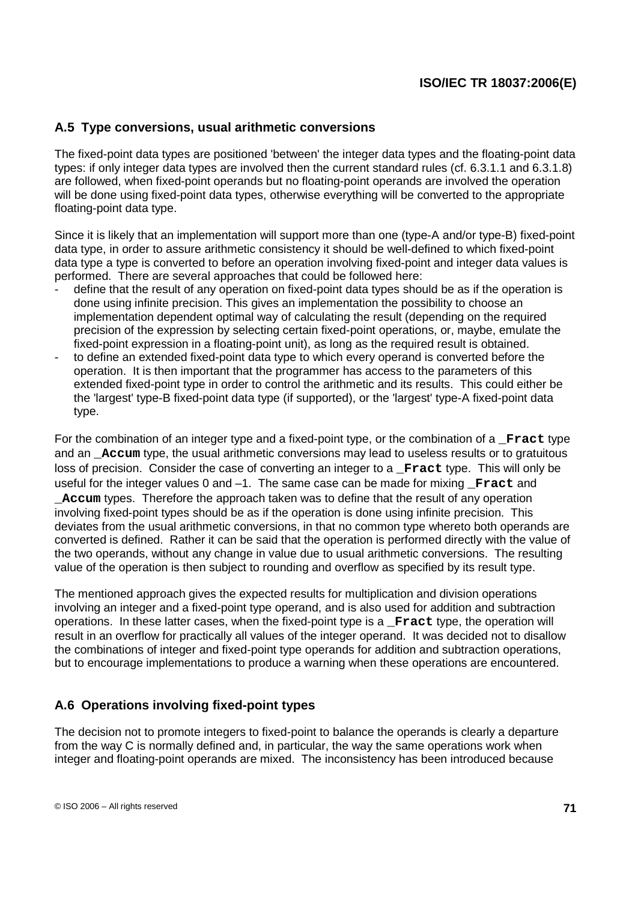### **A.5 Type conversions, usual arithmetic conversions**

The fixed-point data types are positioned 'between' the integer data types and the floating-point data types: if only integer data types are involved then the current standard rules (cf. 6.3.1.1 and 6.3.1.8) are followed, when fixed-point operands but no floating-point operands are involved the operation will be done using fixed-point data types, otherwise everything will be converted to the appropriate floating-point data type.

Since it is likely that an implementation will support more than one (type-A and/or type-B) fixed-point data type, in order to assure arithmetic consistency it should be well-defined to which fixed-point data type a type is converted to before an operation involving fixed-point and integer data values is performed. There are several approaches that could be followed here:

- define that the result of any operation on fixed-point data types should be as if the operation is done using infinite precision. This gives an implementation the possibility to choose an implementation dependent optimal way of calculating the result (depending on the required precision of the expression by selecting certain fixed-point operations, or, maybe, emulate the fixed-point expression in a floating-point unit), as long as the required result is obtained.
- to define an extended fixed-point data type to which every operand is converted before the operation. It is then important that the programmer has access to the parameters of this extended fixed-point type in order to control the arithmetic and its results. This could either be the 'largest' type-B fixed-point data type (if supported), or the 'largest' type-A fixed-point data type.

For the combination of an integer type and a fixed-point type, or the combination of a **\_Fract** type and an **Accum** type, the usual arithmetic conversions may lead to useless results or to gratuitous loss of precision. Consider the case of converting an integer to a **Fract** type. This will only be useful for the integer values 0 and -1. The same case can be made for mixing **Fract** and **\_Accum** types. Therefore the approach taken was to define that the result of any operation involving fixed-point types should be as if the operation is done using infinite precision. This deviates from the usual arithmetic conversions, in that no common type whereto both operands are converted is defined. Rather it can be said that the operation is performed directly with the value of the two operands, without any change in value due to usual arithmetic conversions. The resulting value of the operation is then subject to rounding and overflow as specified by its result type.

The mentioned approach gives the expected results for multiplication and division operations involving an integer and a fixed-point type operand, and is also used for addition and subtraction operations. In these latter cases, when the fixed-point type is a **\_Fract** type, the operation will result in an overflow for practically all values of the integer operand. It was decided not to disallow the combinations of integer and fixed-point type operands for addition and subtraction operations, but to encourage implementations to produce a warning when these operations are encountered.

### **A.6 Operations involving fixed-point types**

The decision not to promote integers to fixed-point to balance the operands is clearly a departure from the way C is normally defined and, in particular, the way the same operations work when integer and floating-point operands are mixed. The inconsistency has been introduced because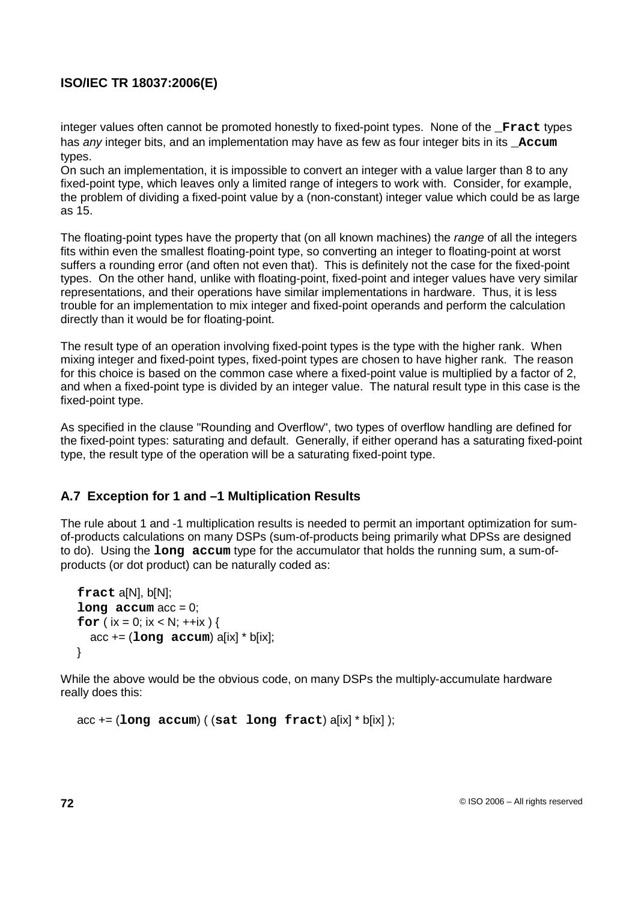integer values often cannot be promoted honestly to fixed-point types. None of the **Fract** types has *any* integer bits, and an implementation may have as few as four integer bits in its **Accum** types.

On such an implementation, it is impossible to convert an integer with a value larger than 8 to any fixed-point type, which leaves only a limited range of integers to work with. Consider, for example, the problem of dividing a fixed-point value by a (non-constant) integer value which could be as large as 15.

The floating-point types have the property that (on all known machines) the range of all the integers fits within even the smallest floating-point type, so converting an integer to floating-point at worst suffers a rounding error (and often not even that). This is definitely not the case for the fixed-point types. On the other hand, unlike with floating-point, fixed-point and integer values have very similar representations, and their operations have similar implementations in hardware. Thus, it is less trouble for an implementation to mix integer and fixed-point operands and perform the calculation directly than it would be for floating-point.

The result type of an operation involving fixed-point types is the type with the higher rank. When mixing integer and fixed-point types, fixed-point types are chosen to have higher rank. The reason for this choice is based on the common case where a fixed-point value is multiplied by a factor of 2, and when a fixed-point type is divided by an integer value. The natural result type in this case is the fixed-point type.

As specified in the clause "Rounding and Overflow", two types of overflow handling are defined for the fixed-point types: saturating and default. Generally, if either operand has a saturating fixed-point type, the result type of the operation will be a saturating fixed-point type.

## **A.7 Exception for 1 and –1 Multiplication Results**

The rule about 1 and -1 multiplication results is needed to permit an important optimization for sumof-products calculations on many DSPs (sum-of-products being primarily what DPSs are designed to do). Using the **long accum** type for the accumulator that holds the running sum, a sum-ofproducts (or dot product) can be naturally coded as:

```
fract a[N], b[N];
\text{long} \text{accum} \text{acc} = 0:
for (ix = 0; ix < N; ++ix) {
  acc += (long accum) a[ix] * b[ix];
}
```
While the above would be the obvious code, on many DSPs the multiply-accumulate hardware really does this:

```
acc += (long accum) ( (sat long fract) a[ix] * b[ix] );
```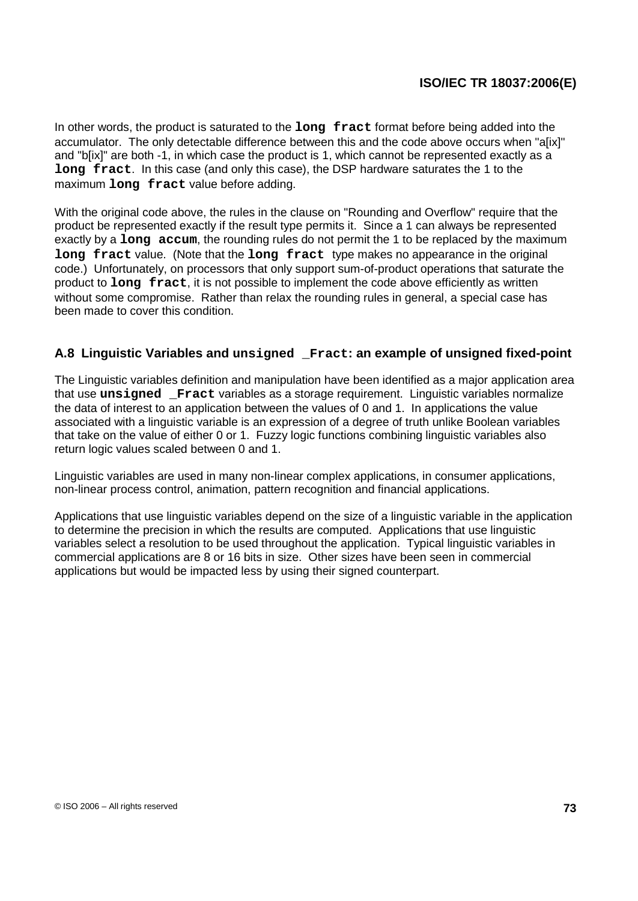In other words, the product is saturated to the **long fract** format before being added into the accumulator. The only detectable difference between this and the code above occurs when "a[ix]" and "b[ix]" are both -1, in which case the product is 1, which cannot be represented exactly as a **long fract**. In this case (and only this case), the DSP hardware saturates the 1 to the maximum **long fract** value before adding.

With the original code above, the rules in the clause on "Rounding and Overflow" require that the product be represented exactly if the result type permits it. Since a 1 can always be represented exactly by a **long accum**, the rounding rules do not permit the 1 to be replaced by the maximum **long fract** value. (Note that the **long fract** type makes no appearance in the original code.) Unfortunately, on processors that only support sum-of-product operations that saturate the product to **long fract**, it is not possible to implement the code above efficiently as written without some compromise. Rather than relax the rounding rules in general, a special case has been made to cover this condition.

### **A.8 Linguistic Variables and unsigned \_Fract: an example of unsigned fixed-point**

The Linguistic variables definition and manipulation have been identified as a major application area that use **unsigned \_Fract** variables as a storage requirement. Linguistic variables normalize the data of interest to an application between the values of 0 and 1. In applications the value associated with a linguistic variable is an expression of a degree of truth unlike Boolean variables that take on the value of either 0 or 1. Fuzzy logic functions combining linguistic variables also return logic values scaled between 0 and 1.

Linguistic variables are used in many non-linear complex applications, in consumer applications, non-linear process control, animation, pattern recognition and financial applications.

Applications that use linguistic variables depend on the size of a linguistic variable in the application to determine the precision in which the results are computed. Applications that use linguistic variables select a resolution to be used throughout the application. Typical linguistic variables in commercial applications are 8 or 16 bits in size. Other sizes have been seen in commercial applications but would be impacted less by using their signed counterpart.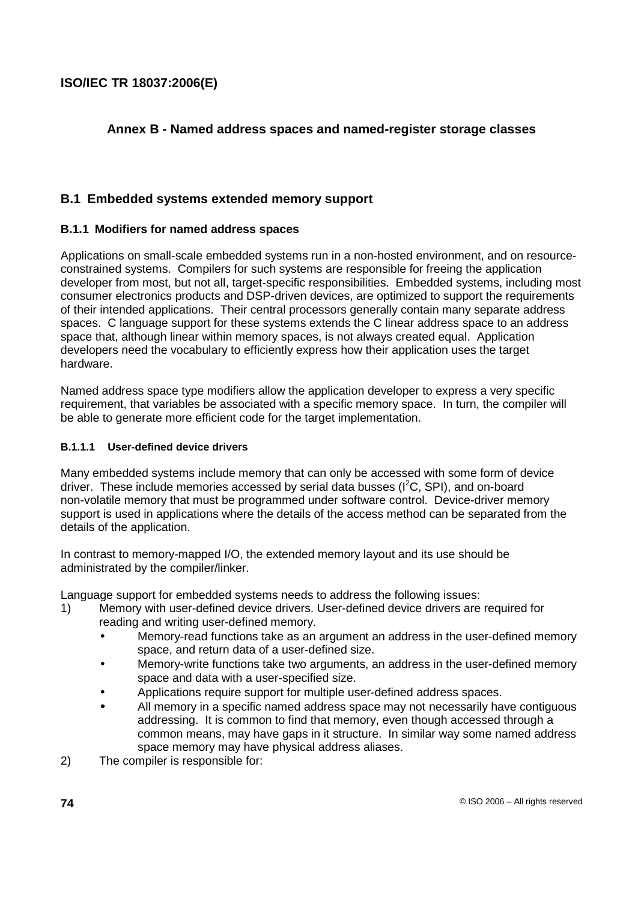## **Annex B - Named address spaces and named-register storage classes**

## **B.1 Embedded systems extended memory support**

### **B.1.1 Modifiers for named address spaces**

Applications on small-scale embedded systems run in a non-hosted environment, and on resourceconstrained systems. Compilers for such systems are responsible for freeing the application developer from most, but not all, target-specific responsibilities. Embedded systems, including most consumer electronics products and DSP-driven devices, are optimized to support the requirements of their intended applications. Their central processors generally contain many separate address spaces. C language support for these systems extends the C linear address space to an address space that, although linear within memory spaces, is not always created equal. Application developers need the vocabulary to efficiently express how their application uses the target hardware.

Named address space type modifiers allow the application developer to express a very specific requirement, that variables be associated with a specific memory space. In turn, the compiler will be able to generate more efficient code for the target implementation.

### **B.1.1.1 User-defined device drivers**

Many embedded systems include memory that can only be accessed with some form of device driver. These include memories accessed by serial data busses (I<sup>2</sup>C, SPI), and on-board non-volatile memory that must be programmed under software control. Device-driver memory support is used in applications where the details of the access method can be separated from the details of the application.

In contrast to memory-mapped I/O, the extended memory layout and its use should be administrated by the compiler/linker.

Language support for embedded systems needs to address the following issues:

- 1) Memory with user-defined device drivers. User-defined device drivers are required for reading and writing user-defined memory.
	- Memory-read functions take as an argument an address in the user-defined memory space, and return data of a user-defined size.
	- Memory-write functions take two arguments, an address in the user-defined memory space and data with a user-specified size.
	- Applications require support for multiple user-defined address spaces.
	- All memory in a specific named address space may not necessarily have contiguous addressing. It is common to find that memory, even though accessed through a common means, may have gaps in it structure. In similar way some named address space memory may have physical address aliases.
- 2) The compiler is responsible for: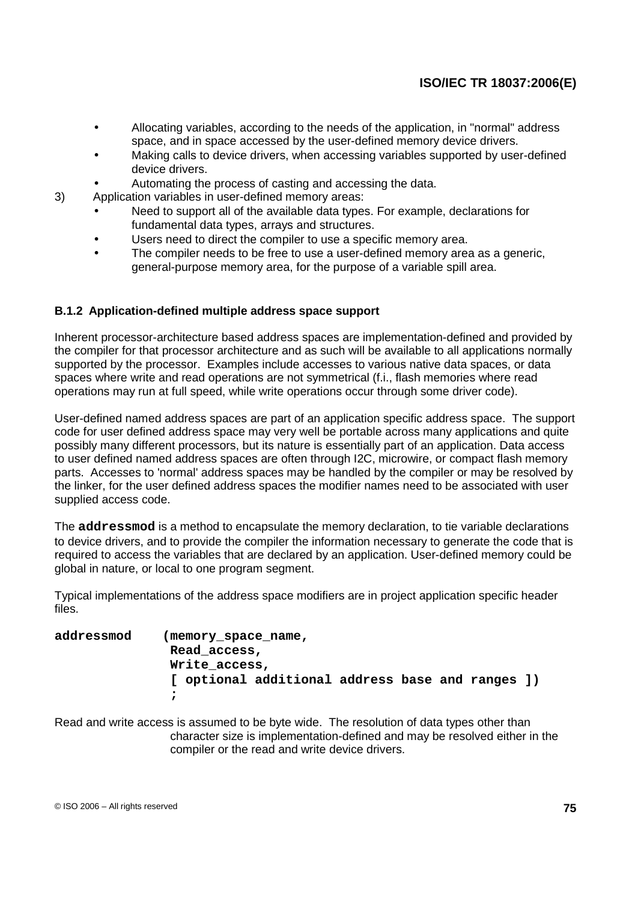- Allocating variables, according to the needs of the application, in "normal" address space, and in space accessed by the user-defined memory device drivers.
- Making calls to device drivers, when accessing variables supported by user-defined device drivers.
- Automating the process of casting and accessing the data.
- 3) Application variables in user-defined memory areas:
	- Need to support all of the available data types. For example, declarations for fundamental data types, arrays and structures.
	- Users need to direct the compiler to use a specific memory area.
	- The compiler needs to be free to use a user-defined memory area as a generic, general-purpose memory area, for the purpose of a variable spill area.

### **B.1.2 Application-defined multiple address space support**

Inherent processor-architecture based address spaces are implementation-defined and provided by the compiler for that processor architecture and as such will be available to all applications normally supported by the processor. Examples include accesses to various native data spaces, or data spaces where write and read operations are not symmetrical (f.i., flash memories where read operations may run at full speed, while write operations occur through some driver code).

User-defined named address spaces are part of an application specific address space. The support code for user defined address space may very well be portable across many applications and quite possibly many different processors, but its nature is essentially part of an application. Data access to user defined named address spaces are often through I2C, microwire, or compact flash memory parts. Accesses to 'normal' address spaces may be handled by the compiler or may be resolved by the linker, for the user defined address spaces the modifier names need to be associated with user supplied access code.

The **addressmod** is a method to encapsulate the memory declaration, to tie variable declarations to device drivers, and to provide the compiler the information necessary to generate the code that is required to access the variables that are declared by an application. User-defined memory could be global in nature, or local to one program segment.

Typical implementations of the address space modifiers are in project application specific header files.

| addressmod | (memory_space_name,                              |  |  |  |  |  |  |  |  |  |  |
|------------|--------------------------------------------------|--|--|--|--|--|--|--|--|--|--|
|            | Read access,                                     |  |  |  |  |  |  |  |  |  |  |
|            | Write access,                                    |  |  |  |  |  |  |  |  |  |  |
|            | [ optional additional address base and ranges ]) |  |  |  |  |  |  |  |  |  |  |
|            |                                                  |  |  |  |  |  |  |  |  |  |  |

Read and write access is assumed to be byte wide. The resolution of data types other than character size is implementation-defined and may be resolved either in the compiler or the read and write device drivers.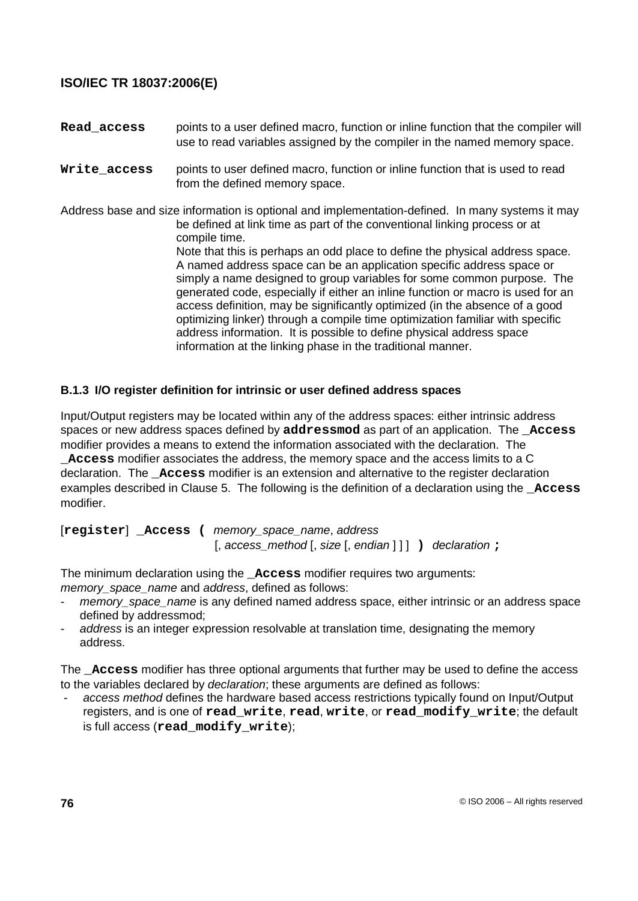**Read\_access** points to a user defined macro, function or inline function that the compiler will use to read variables assigned by the compiler in the named memory space.

**Write\_access** points to user defined macro, function or inline function that is used to read from the defined memory space.

Address base and size information is optional and implementation-defined. In many systems it may be defined at link time as part of the conventional linking process or at compile time. Note that this is perhaps an odd place to define the physical address space. A named address space can be an application specific address space or simply a name designed to group variables for some common purpose. The generated code, especially if either an inline function or macro is used for an access definition, may be significantly optimized (in the absence of a good optimizing linker) through a compile time optimization familiar with specific address information. It is possible to define physical address space information at the linking phase in the traditional manner.

### **B.1.3 I/O register definition for intrinsic or user defined address spaces**

Input/Output registers may be located within any of the address spaces: either intrinsic address spaces or new address spaces defined by **addressmod** as part of an application. The **\_Access** modifier provides a means to extend the information associated with the declaration. The

**\_Access** modifier associates the address, the memory space and the access limits to a C declaration. The **\_Access** modifier is an extension and alternative to the register declaration examples described in Clause 5. The following is the definition of a declaration using the **Access** modifier.

[**register**] **\_Access (** memory\_space\_name, address [, access\_method [, size [, endian ] ] ] **)** declaration **;**

The minimum declaration using the **\_Access** modifier requires two arguments: memory space name and address, defined as follows:

- memory\_space\_name is any defined named address space, either intrinsic or an address space defined by addressmod;
- address is an integer expression resolvable at translation time, designating the memory address.

The **\_Access** modifier has three optional arguments that further may be used to define the access to the variables declared by declaration; these arguments are defined as follows:

access method defines the hardware based access restrictions typically found on Input/Output registers, and is one of **read\_write**, **read**, **write**, or **read\_modify\_write**; the default is full access (**read\_modify\_write**);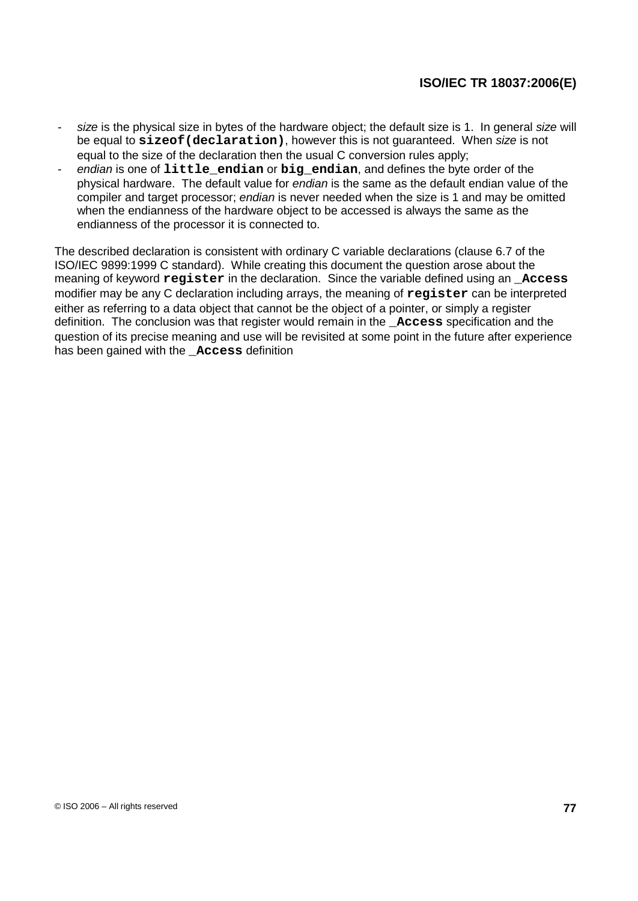- size is the physical size in bytes of the hardware object; the default size is 1. In general size will be equal to **sizeof(declaration)**, however this is not guaranteed. When size is not equal to the size of the declaration then the usual C conversion rules apply;
- endian is one of **little\_endian** or **big\_endian**, and defines the byte order of the physical hardware. The default value for endian is the same as the default endian value of the compiler and target processor; endian is never needed when the size is 1 and may be omitted when the endianness of the hardware object to be accessed is always the same as the endianness of the processor it is connected to.

The described declaration is consistent with ordinary C variable declarations (clause 6.7 of the ISO/IEC 9899:1999 C standard). While creating this document the question arose about the meaning of keyword **register** in the declaration. Since the variable defined using an **\_Access** modifier may be any C declaration including arrays, the meaning of **register** can be interpreted either as referring to a data object that cannot be the object of a pointer, or simply a register definition. The conclusion was that register would remain in the **\_Access** specification and the question of its precise meaning and use will be revisited at some point in the future after experience has been gained with the **Access** definition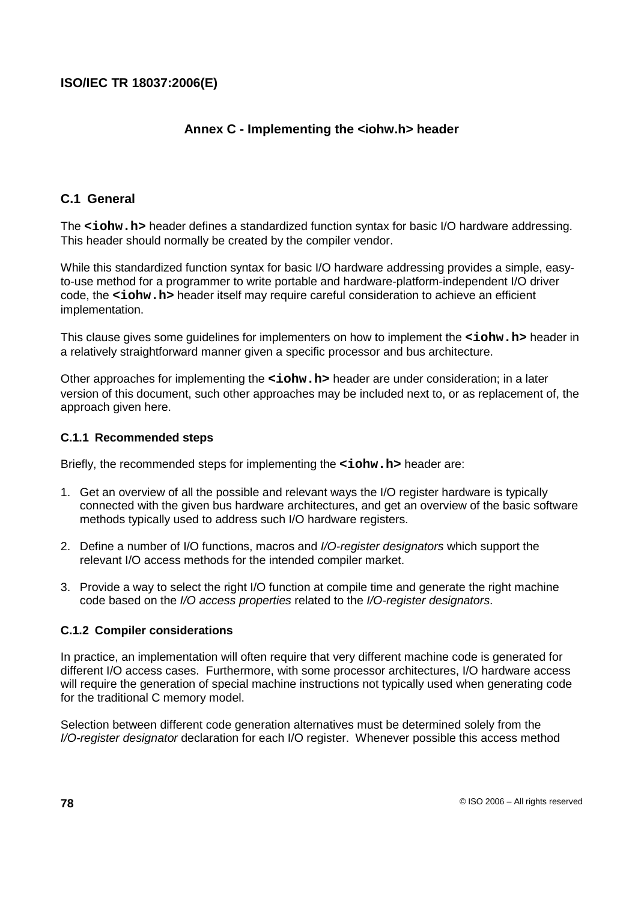## **Annex C - Implementing the <iohw.h> header**

### **C.1 General**

The <iohw.h> header defines a standardized function syntax for basic I/O hardware addressing. This header should normally be created by the compiler vendor.

While this standardized function syntax for basic I/O hardware addressing provides a simple, easyto-use method for a programmer to write portable and hardware-platform-independent I/O driver code, the **<iohw.h>** header itself may require careful consideration to achieve an efficient implementation.

This clause gives some guidelines for implementers on how to implement the **<iohw.h>** header in a relatively straightforward manner given a specific processor and bus architecture.

Other approaches for implementing the **<iohw.h>** header are under consideration; in a later version of this document, such other approaches may be included next to, or as replacement of, the approach given here.

#### **C.1.1 Recommended steps**

Briefly, the recommended steps for implementing the **<iohw.h>** header are:

- 1. Get an overview of all the possible and relevant ways the I/O register hardware is typically connected with the given bus hardware architectures, and get an overview of the basic software methods typically used to address such I/O hardware registers.
- 2. Define a number of I/O functions, macros and I/O-register designators which support the relevant I/O access methods for the intended compiler market.
- 3. Provide a way to select the right I/O function at compile time and generate the right machine code based on the I/O access properties related to the I/O-register designators.

### **C.1.2 Compiler considerations**

In practice, an implementation will often require that very different machine code is generated for different I/O access cases. Furthermore, with some processor architectures, I/O hardware access will require the generation of special machine instructions not typically used when generating code for the traditional C memory model.

Selection between different code generation alternatives must be determined solely from the I/O-register designator declaration for each I/O register. Whenever possible this access method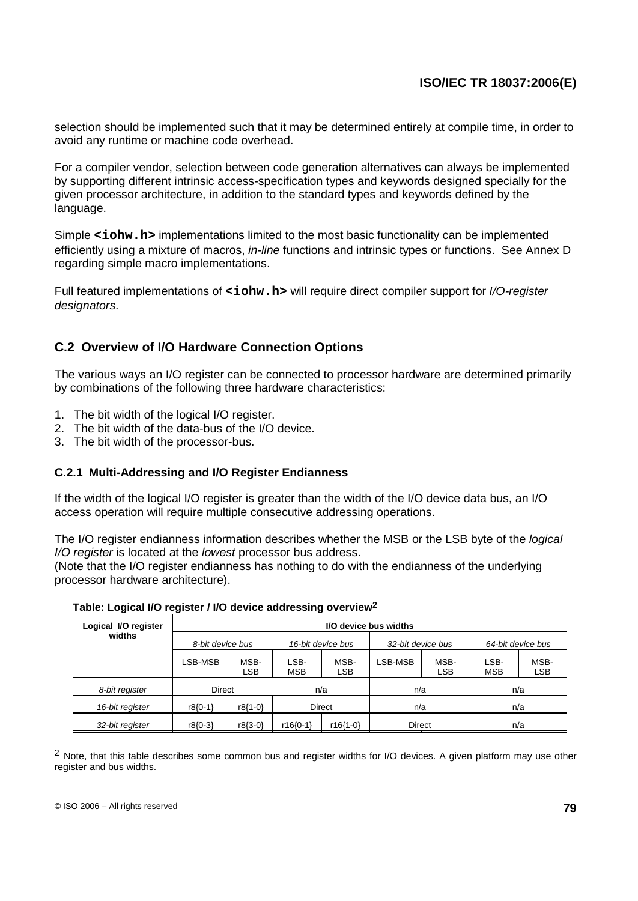selection should be implemented such that it may be determined entirely at compile time, in order to avoid any runtime or machine code overhead.

For a compiler vendor, selection between code generation alternatives can always be implemented by supporting different intrinsic access-specification types and keywords designed specially for the given processor architecture, in addition to the standard types and keywords defined by the language.

Simple <iohw.h> implementations limited to the most basic functionality can be implemented efficiently using a mixture of macros, *in-line* functions and intrinsic types or functions. See Annex D regarding simple macro implementations.

Full featured implementations of <iohw.h> will require direct compiler support for I/O-register designators.

## **C.2 Overview of I/O Hardware Connection Options**

The various ways an I/O register can be connected to processor hardware are determined primarily by combinations of the following three hardware characteristics:

- 1. The bit width of the logical I/O register.
- 2. The bit width of the data-bus of the I/O device.
- 3. The bit width of the processor-bus.

### **C.2.1 Multi-Addressing and I/O Register Endianness**

If the width of the logical I/O register is greater than the width of the I/O device data bus, an I/O access operation will require multiple consecutive addressing operations.

The I/O register endianness information describes whether the MSB or the LSB byte of the logical I/O register is located at the lowest processor bus address.

(Note that the I/O register endianness has nothing to do with the endianness of the underlying processor hardware architecture).

| Logical I/O register | I/O device bus widths |                                       |                        |             |                   |                    |                    |                    |  |  |  |
|----------------------|-----------------------|---------------------------------------|------------------------|-------------|-------------------|--------------------|--------------------|--------------------|--|--|--|
| widths               |                       | 8-bit device bus<br>16-bit device bus |                        |             | 32-bit device bus |                    | 64-bit device bus  |                    |  |  |  |
|                      | LSB-MSB               | MSB-<br><b>LSB</b>                    | LSB-<br><b>MSB</b>     | MSB-<br>LSB | LSB-MSB           | MSB-<br><b>LSB</b> | LSB-<br><b>MSB</b> | MSB-<br><b>LSB</b> |  |  |  |
| 8-bit register       | Direct                |                                       | n/a                    |             | n/a               |                    | n/a                |                    |  |  |  |
| 16-bit register      | r8{0-1}               | $r8{1-0}$                             | Direct                 |             | n/a               |                    | n/a                |                    |  |  |  |
| 32-bit register      | r8{0-3}               | $r8(3-0)$                             | $r16(0-1)$<br>r16{1-0} |             | Direct            |                    | n/a                |                    |  |  |  |

#### **Table: Logical I/O register / I/O device addressing overview2**

<sup>2</sup> Note, that this table describes some common bus and register widths for I/O devices. A given platform may use other register and bus widths.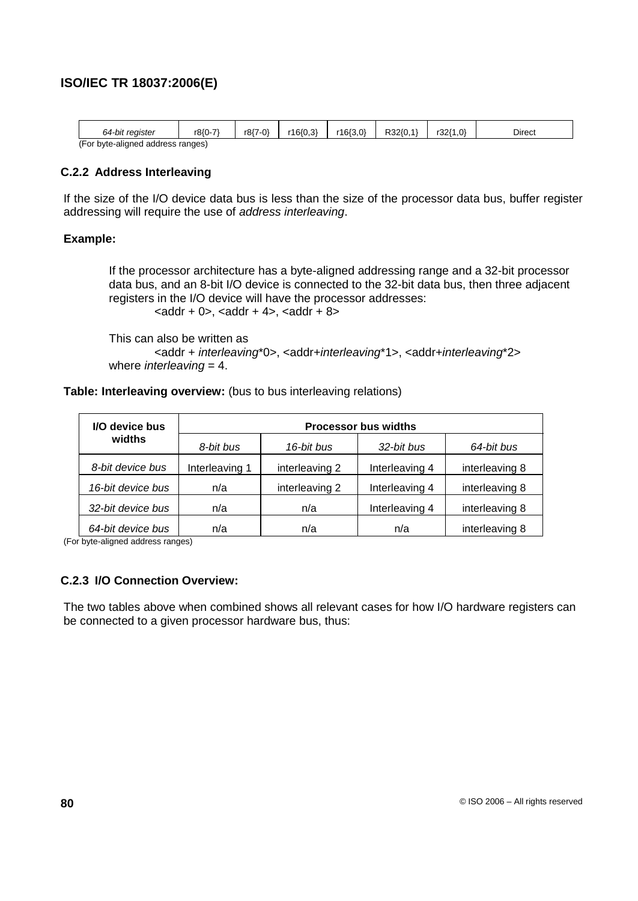| 64-bit register                   | r8{0-7` | r8{7-0} | r16{0,3} | r16(3,0) | R32{0,1 | r32{1.0} | Direct |
|-----------------------------------|---------|---------|----------|----------|---------|----------|--------|
| (For byte-aligned address ranges) |         |         |          |          |         |          |        |

### **C.2.2 Address Interleaving**

If the size of the I/O device data bus is less than the size of the processor data bus, buffer register addressing will require the use of address interleaving.

#### **Example:**

If the processor architecture has a byte-aligned addressing range and a 32-bit processor data bus, and an 8-bit I/O device is connected to the 32-bit data bus, then three adjacent registers in the I/O device will have the processor addresses:  $\alpha$  <addr + 0>, <addr + 4>, <addr + 8>

This can also be written as <addr + interleaving\*0>, <addr+interleaving\*1>, <addr+interleaving\*2> where *interleaving* =  $4$ .

#### **Table: Interleaving overview:** (bus to bus interleaving relations)

| I/O device bus    | <b>Processor bus widths</b> |                |                |                |  |  |  |  |
|-------------------|-----------------------------|----------------|----------------|----------------|--|--|--|--|
| widths            | 8-bit bus                   | 16-bit bus     | 32-bit bus     | 64-bit bus     |  |  |  |  |
| 8-bit device bus  | Interleaving 1              | interleaving 2 | Interleaving 4 | interleaving 8 |  |  |  |  |
| 16-bit device bus | n/a                         | interleaving 2 | Interleaving 4 | interleaving 8 |  |  |  |  |
| 32-bit device bus | n/a                         | n/a            | Interleaving 4 | interleaving 8 |  |  |  |  |
| 64-bit device bus | n/a                         | n/a            | n/a            | interleaving 8 |  |  |  |  |

(For byte-aligned address ranges)

### **C.2.3 I/O Connection Overview:**

The two tables above when combined shows all relevant cases for how I/O hardware registers can be connected to a given processor hardware bus, thus: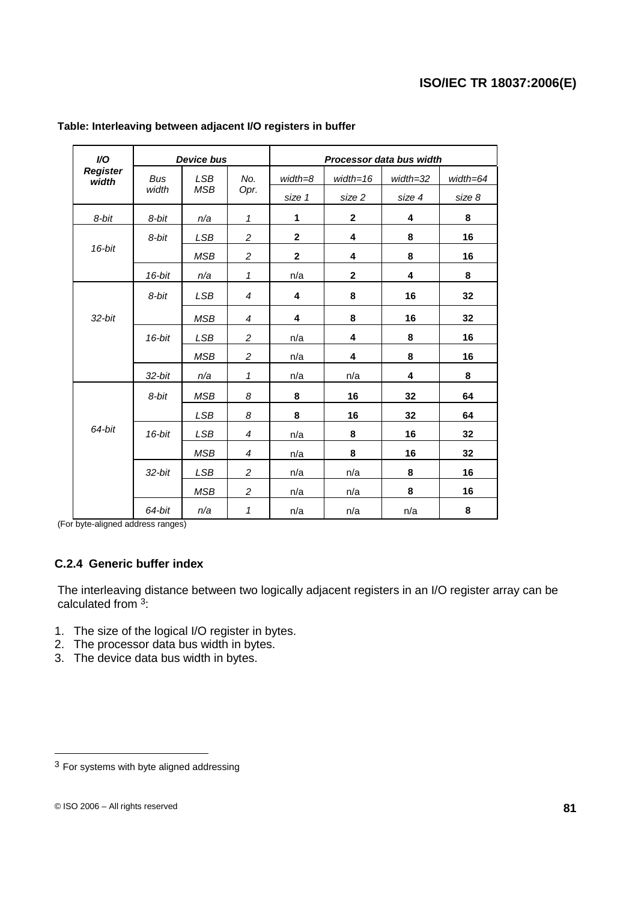| I/O                      |            | <b>Device bus</b> |                | Processor data bus width |              |          |              |  |
|--------------------------|------------|-------------------|----------------|--------------------------|--------------|----------|--------------|--|
| <b>Register</b><br>width | <b>Bus</b> | <b>LSB</b>        | No.            | $width = 8$              | $width=16$   | width=32 | $width = 64$ |  |
|                          | width      | <b>MSB</b>        | Opr.           | size 1                   | size 2       | size 4   | size 8       |  |
| 8-bit                    | 8-bit      | n/a               | $\mathbf{1}$   | 1                        | $\mathbf{2}$ | 4        | 8            |  |
|                          | 8-bit      | <b>LSB</b>        | 2              | $\mathbf{2}$             | 4            | 8        | 16           |  |
| $16$ -bit                |            | <b>MSB</b>        | $\overline{c}$ | $\mathbf{2}$             | 4            | 8        | 16           |  |
|                          | $16$ -bit  | n/a               | $\mathbf{1}$   | n/a                      | $\mathbf{2}$ | 4        | 8            |  |
|                          | 8-bit      | <b>LSB</b>        | $\overline{4}$ | 4                        | 8            | 16       | 32           |  |
| $32$ -bit                |            | <b>MSB</b>        | $\overline{4}$ | 4                        | 8            | 16       | 32           |  |
|                          | $16$ -bit  | <b>LSB</b>        | 2              | n/a                      | 4            | 8        | 16           |  |
|                          |            | <b>MSB</b>        | $\overline{c}$ | n/a                      | 4            | 8        | 16           |  |
|                          | $32$ -bit  | n/a               | $\mathbf{1}$   | n/a                      | n/a          | 4        | 8            |  |
|                          | 8-bit      | <b>MSB</b>        | 8              | 8                        | 16           | 32       | 64           |  |
|                          |            | LSB               | 8              | 8                        | 16           | 32       | 64           |  |
| 64-bit                   | $16$ -bit  | <b>LSB</b>        | $\overline{4}$ | n/a                      | 8            | 16       | 32           |  |
|                          |            | <b>MSB</b>        | 4              | n/a                      | 8            | 16       | 32           |  |
|                          | $32$ -bit  | LSB               | 2              | n/a                      | n/a          | 8        | 16           |  |
|                          |            | <b>MSB</b>        | $\overline{c}$ | n/a                      | n/a          | 8        | 16           |  |
|                          | 64-bit     | n/a               | 1              | n/a                      | n/a          | n/a      | 8            |  |

#### **Table: Interleaving between adjacent I/O registers in buffer**

(For byte-aligned address ranges)

### **C.2.4 Generic buffer index**

The interleaving distance between two logically adjacent registers in an I/O register array can be calculated from <sup>3</sup>:

- 1. The size of the logical I/O register in bytes.
- 2. The processor data bus width in bytes.
- 3. The device data bus width in bytes.

 $3$  For systems with byte aligned addressing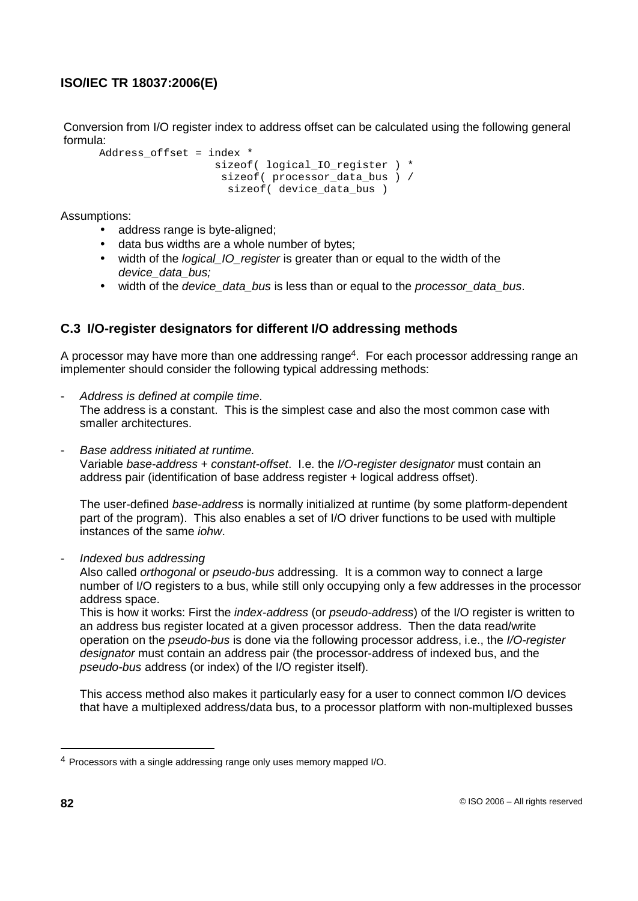Conversion from I/O register index to address offset can be calculated using the following general formula:

```
Address offset = index *
                 sizeof( logical IO register ) *
                  sizeof( processor data bus ) /
                    sizeof( device data bus )
```
Assumptions:

- address range is byte-aligned;
- data bus widths are a whole number of bytes;
- width of the *logical IO register* is greater than or equal to the width of the device data bus:
- width of the device data bus is less than or equal to the processor data bus.

## **C.3 I/O-register designators for different I/O addressing methods**

A processor may have more than one addressing range<sup>4</sup>. For each processor addressing range an implementer should consider the following typical addressing methods:

- Address is defined at compile time. The address is a constant. This is the simplest case and also the most common case with smaller architectures.
- Base address initiated at runtime.

Variable base-address + constant-offset. I.e. the I/O-register designator must contain an address pair (identification of base address register + logical address offset).

The user-defined base-address is normally initialized at runtime (by some platform-dependent part of the program). This also enables a set of I/O driver functions to be used with multiple instances of the same iohw.

- Indexed bus addressing

Also called *orthogonal* or *pseudo-bus* addressing. It is a common way to connect a large number of I/O registers to a bus, while still only occupying only a few addresses in the processor address space.

This is how it works: First the index-address (or pseudo-address) of the I/O register is written to an address bus register located at a given processor address. Then the data read/write operation on the pseudo-bus is done via the following processor address, i.e., the I/O-register designator must contain an address pair (the processor-address of indexed bus, and the pseudo-bus address (or index) of the I/O register itself).

This access method also makes it particularly easy for a user to connect common I/O devices that have a multiplexed address/data bus, to a processor platform with non-multiplexed busses

<sup>4</sup> Processors with a single addressing range only uses memory mapped I/O.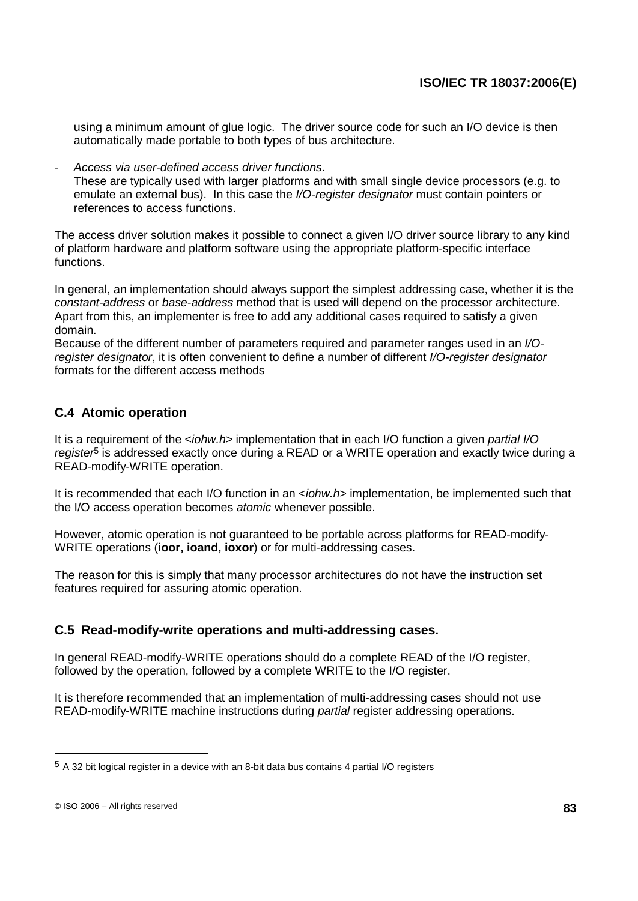using a minimum amount of glue logic. The driver source code for such an I/O device is then automatically made portable to both types of bus architecture.

Access via user-defined access driver functions. These are typically used with larger platforms and with small single device processors (e.g. to emulate an external bus). In this case the I/O-register designator must contain pointers or references to access functions.

The access driver solution makes it possible to connect a given I/O driver source library to any kind of platform hardware and platform software using the appropriate platform-specific interface functions.

In general, an implementation should always support the simplest addressing case, whether it is the constant-address or base-address method that is used will depend on the processor architecture. Apart from this, an implementer is free to add any additional cases required to satisfy a given domain.

Because of the different number of parameters required and parameter ranges used in an I/Oregister designator, it is often convenient to define a number of different I/O-register designator formats for the different access methods

# **C.4 Atomic operation**

It is a requirement of the  *implementation that in each I/O function a given partial I/O* register<sup>5</sup> is addressed exactly once during a READ or a WRITE operation and exactly twice during a READ-modify-WRITE operation.

It is recommended that each I/O function in an <iohw.h> implementation, be implemented such that the I/O access operation becomes atomic whenever possible.

However, atomic operation is not guaranteed to be portable across platforms for READ-modify-WRITE operations (**ioor, ioand, ioxor**) or for multi-addressing cases.

The reason for this is simply that many processor architectures do not have the instruction set features required for assuring atomic operation.

## **C.5 Read-modify-write operations and multi-addressing cases.**

In general READ-modify-WRITE operations should do a complete READ of the I/O register, followed by the operation, followed by a complete WRITE to the I/O register.

It is therefore recommended that an implementation of multi-addressing cases should not use READ-modify-WRITE machine instructions during partial register addressing operations.

<sup>5</sup> A 32 bit logical register in a device with an 8-bit data bus contains 4 partial I/O registers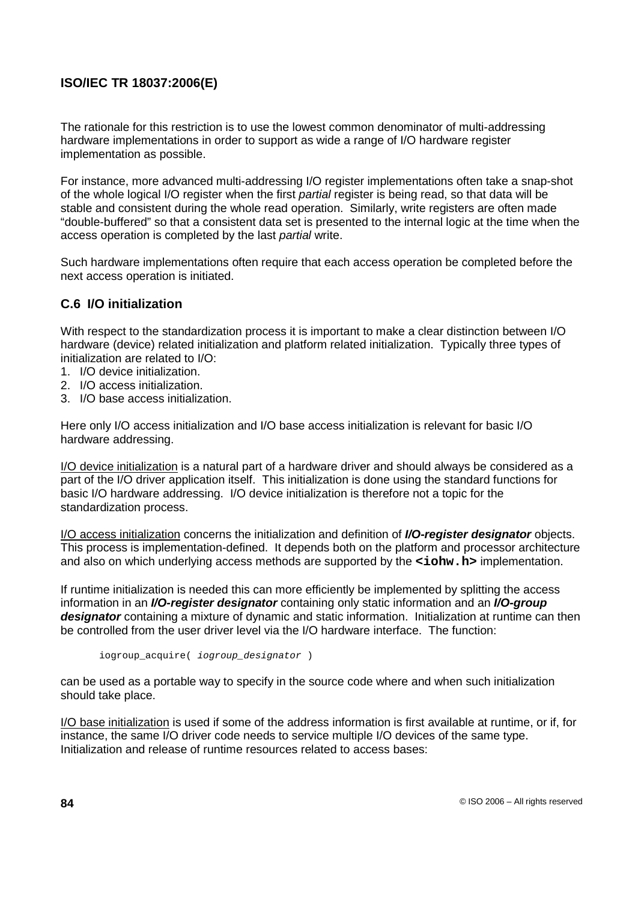The rationale for this restriction is to use the lowest common denominator of multi-addressing hardware implementations in order to support as wide a range of I/O hardware register implementation as possible.

For instance, more advanced multi-addressing I/O register implementations often take a snap-shot of the whole logical I/O register when the first partial register is being read, so that data will be stable and consistent during the whole read operation. Similarly, write registers are often made "double-buffered" so that a consistent data set is presented to the internal logic at the time when the access operation is completed by the last partial write.

Such hardware implementations often require that each access operation be completed before the next access operation is initiated.

## **C.6 I/O initialization**

With respect to the standardization process it is important to make a clear distinction between I/O hardware (device) related initialization and platform related initialization. Typically three types of initialization are related to I/O:

- 1. I/O device initialization.
- 2. I/O access initialization.
- 3. I/O base access initialization.

Here only I/O access initialization and I/O base access initialization is relevant for basic I/O hardware addressing.

I/O device initialization is a natural part of a hardware driver and should always be considered as a part of the I/O driver application itself. This initialization is done using the standard functions for basic I/O hardware addressing. I/O device initialization is therefore not a topic for the standardization process.

I/O access initialization concerns the initialization and definition of **I/O-register designator** objects. This process is implementation-defined. It depends both on the platform and processor architecture and also on which underlying access methods are supported by the **<iohw.h>** implementation.

If runtime initialization is needed this can more efficiently be implemented by splitting the access information in an **I/O-register designator** containing only static information and an **I/O-group designator** containing a mixture of dynamic and static information. Initialization at runtime can then be controlled from the user driver level via the I/O hardware interface. The function:

iogroup\_acquire( iogroup\_designator )

can be used as a portable way to specify in the source code where and when such initialization should take place.

I/O base initialization is used if some of the address information is first available at runtime, or if, for instance, the same I/O driver code needs to service multiple I/O devices of the same type. Initialization and release of runtime resources related to access bases: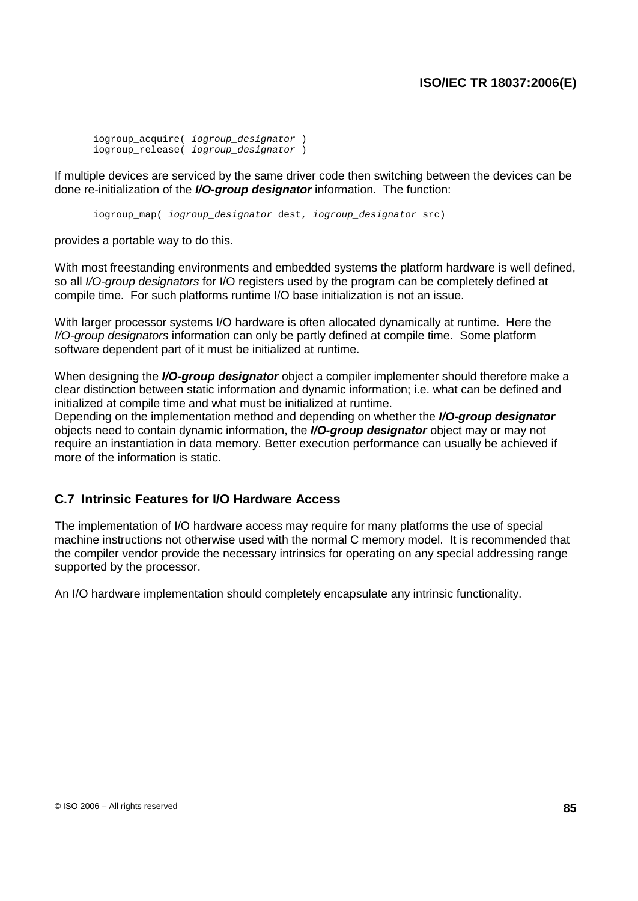iogroup\_acquire( iogroup\_designator ) iogroup\_release( iogroup\_designator )

If multiple devices are serviced by the same driver code then switching between the devices can be done re-initialization of the **I/O-group designator** information. The function:

iogroup\_map( iogroup\_designator dest, iogroup\_designator src)

provides a portable way to do this.

With most freestanding environments and embedded systems the platform hardware is well defined, so all *I/O-group designators* for I/O registers used by the program can be completely defined at compile time. For such platforms runtime I/O base initialization is not an issue.

With larger processor systems I/O hardware is often allocated dynamically at runtime. Here the I/O-group designators information can only be partly defined at compile time. Some platform software dependent part of it must be initialized at runtime.

When designing the **I/O-group designator** object a compiler implementer should therefore make a clear distinction between static information and dynamic information; i.e. what can be defined and initialized at compile time and what must be initialized at runtime.

Depending on the implementation method and depending on whether the **I/O-group designator** objects need to contain dynamic information, the **I/O-group designator** object may or may not require an instantiation in data memory. Better execution performance can usually be achieved if more of the information is static.

### **C.7 Intrinsic Features for I/O Hardware Access**

The implementation of I/O hardware access may require for many platforms the use of special machine instructions not otherwise used with the normal C memory model. It is recommended that the compiler vendor provide the necessary intrinsics for operating on any special addressing range supported by the processor.

An I/O hardware implementation should completely encapsulate any intrinsic functionality.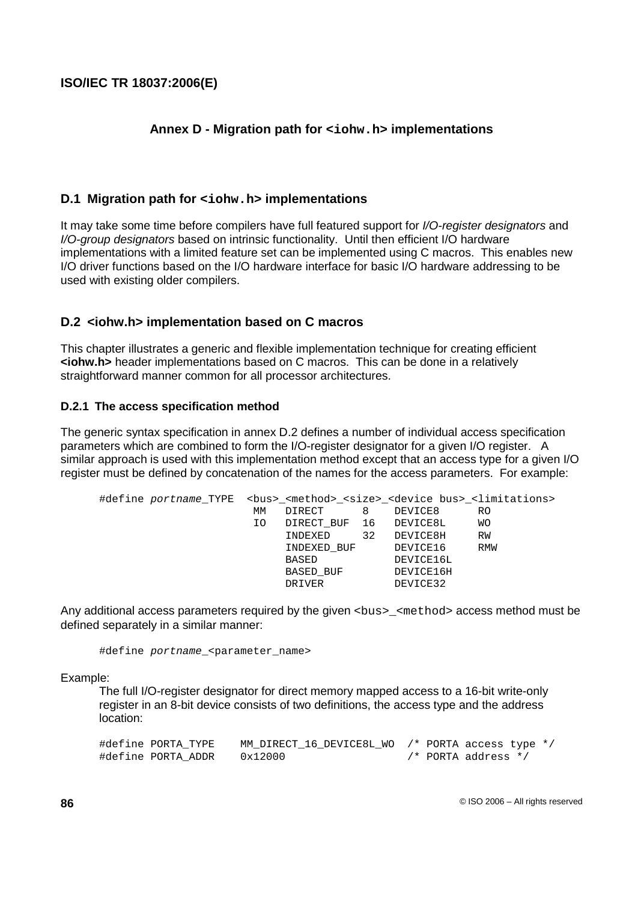## **Annex D - Migration path for <iohw.h> implementations**

### **D.1 Migration path for <iohw.h> implementations**

It may take some time before compilers have full featured support for I/O-register designators and I/O-group designators based on intrinsic functionality. Until then efficient I/O hardware implementations with a limited feature set can be implemented using C macros. This enables new I/O driver functions based on the I/O hardware interface for basic I/O hardware addressing to be used with existing older compilers.

### **D.2 <iohw.h> implementation based on C macros**

This chapter illustrates a generic and flexible implementation technique for creating efficient **<iohw.h>** header implementations based on C macros. This can be done in a relatively straightforward manner common for all processor architectures.

#### **D.2.1 The access specification method**

The generic syntax specification in annex D.2 defines a number of individual access specification parameters which are combined to form the I/O-register designator for a given I/O register. A similar approach is used with this implementation method except that an access type for a given I/O register must be defined by concatenation of the names for the access parameters. For example:

| МM |           | 8      | DEVICE8     | RO                                                                                                                                                             |
|----|-----------|--------|-------------|----------------------------------------------------------------------------------------------------------------------------------------------------------------|
| IΟ |           |        |             | WО                                                                                                                                                             |
|    | INDEXED   | 32     |             | RW                                                                                                                                                             |
|    |           |        | DEVICE16    | RMW                                                                                                                                                            |
|    | BASED     |        | DEVICE16L   |                                                                                                                                                                |
|    | BASED BUF |        | DEVICE16H   |                                                                                                                                                                |
|    | DRIVER    |        | DEVICE32    |                                                                                                                                                                |
|    |           | DIRECT | INDEXED BUF | #define portname_TYPE <bus>_<method>_<size>_<device bus="">_<limitations><br/>DIRECT BUF 16 DEVICE8L<br/>DEVICE8H</limitations></device></size></method></bus> |

Any additional access parameters required by the given <br/>bus-<br/>
semethod> access method must be defined separately in a similar manner:

#define portname <parameter name>

#### Example:

The full I/O-register designator for direct memory mapped access to a 16-bit write-only register in an 8-bit device consists of two definitions, the access type and the address location:

| #define PORTA TYPE | MM DIRECT 16 DEVICE8L WO /* PORTA access type */ |  |                         |  |
|--------------------|--------------------------------------------------|--|-------------------------|--|
| #define PORTA ADDR | 0x12000                                          |  | $/*$ PORTA address $*/$ |  |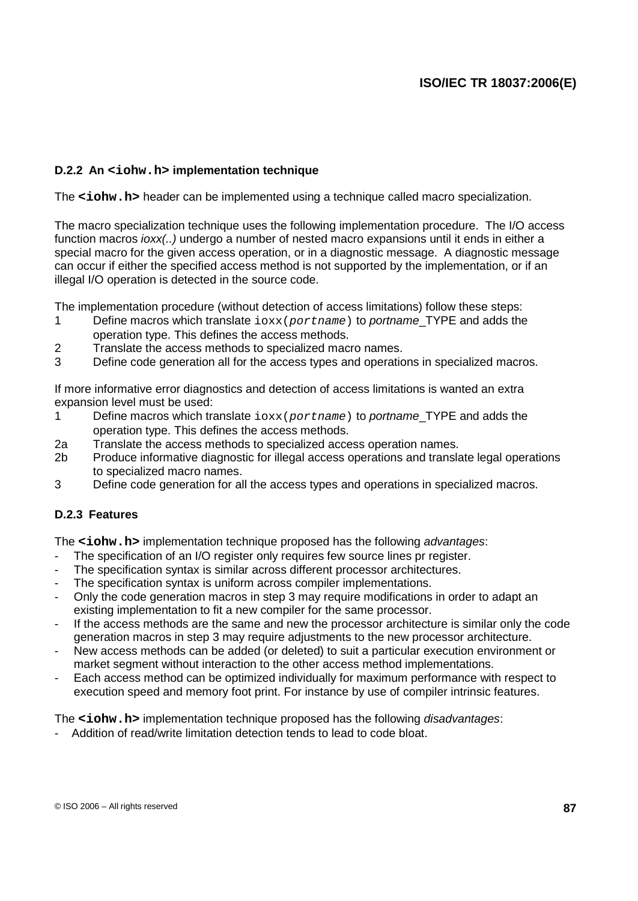### **D.2.2 An <iohw.h> implementation technique**

The **<iohw.h>** header can be implemented using a technique called macro specialization.

The macro specialization technique uses the following implementation procedure. The I/O access function macros *ioxx(..)* undergo a number of nested macro expansions until it ends in either a special macro for the given access operation, or in a diagnostic message. A diagnostic message can occur if either the specified access method is not supported by the implementation, or if an illegal I/O operation is detected in the source code.

The implementation procedure (without detection of access limitations) follow these steps:

- 1 Define macros which translate  $i$  oxx(portname) to portname TYPE and adds the operation type. This defines the access methods.
- 2 Translate the access methods to specialized macro names.
- 3 Define code generation all for the access types and operations in specialized macros.

If more informative error diagnostics and detection of access limitations is wanted an extra expansion level must be used:

- 1 Define macros which translate  $i$ oxx(portname) to portname TYPE and adds the operation type. This defines the access methods.
- 2a Translate the access methods to specialized access operation names.
- 2b Produce informative diagnostic for illegal access operations and translate legal operations to specialized macro names.
- 3 Define code generation for all the access types and operations in specialized macros.

### **D.2.3 Features**

The **<iohw.h>** implementation technique proposed has the following *advantages*:

- The specification of an I/O register only requires few source lines pr register.
- The specification syntax is similar across different processor architectures.
- The specification syntax is uniform across compiler implementations.
- Only the code generation macros in step 3 may require modifications in order to adapt an existing implementation to fit a new compiler for the same processor.
- If the access methods are the same and new the processor architecture is similar only the code generation macros in step 3 may require adjustments to the new processor architecture.
- New access methods can be added (or deleted) to suit a particular execution environment or market segment without interaction to the other access method implementations.
- Each access method can be optimized individually for maximum performance with respect to execution speed and memory foot print. For instance by use of compiler intrinsic features.

The **<iohw.h>** implementation technique proposed has the following *disadvantages*:

- Addition of read/write limitation detection tends to lead to code bloat.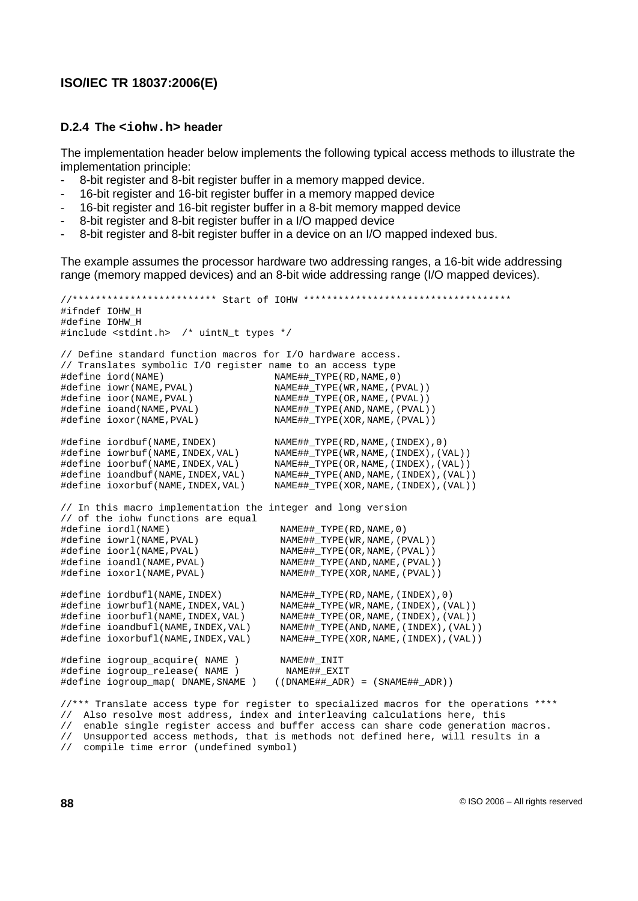#### **D.2.4 The <iohw.h> header**

The implementation header below implements the following typical access methods to illustrate the implementation principle:

- 8-bit register and 8-bit register buffer in a memory mapped device.
- 16-bit register and 16-bit register buffer in a memory mapped device
- 16-bit register and 16-bit register buffer in a 8-bit memory mapped device
- 8-bit register and 8-bit register buffer in a I/O mapped device
- 8-bit register and 8-bit register buffer in a device on an I/O mapped indexed bus.

The example assumes the processor hardware two addressing ranges, a 16-bit wide addressing range (memory mapped devices) and an 8-bit wide addressing range (I/O mapped devices).

```
//************************* Start of IOHW ************************************
#ifndef IOHW_H
#define IOHW_H
#include <stdint.h> /* uintN_t types */
// Define standard function macros for I/O hardware access.
// Translates symbolic I/O register name to an access type
#define iord(NAME) NAME##_TYPE(RD,NAME,0)
#define iowr(NAME,PVAL) NAME##_TYPE(WR,NAME,(PVAL))
#define ioor(NAME,PVAL) NAME##_TYPE(OR,NAME,(PVAL))
#define ioand(NAME,PVAL) NAME##_TYPE(AND,NAME,(PVAL))
\begin{array}{ll}\n&\text{MATE}\n+ \text{MATE} \cup \text{MATE} \cup \text{MATE} \cup \text{MATE} \cup \text{MATE} \cup \text{MATE} \cup \text{MATE} \cup \text{MATE} \cup \text{MATE} \cup \text{MATE} \cup \text{MATE} \cup \text{MATE} \cup \text{MATE} \cup \text{MATE} \cup \text{MATE} \cup \text{MATE} \cup \text{MATE} \cup \text{MATE} \cup \text{MATE} \cup \text{MATE} \cup \text{MATE} \cup \text{MATE} \cup \text{MATE} \cup \text{MATE} \cup \text{MATE} \cup \text{M#define iordbuf(NAME,INDEX) NAME##_TYPE(RD,NAME,(INDEX),0)
#define iowrbuf(NAME,INDEX,VAL) NAME##_TYPE(WR,NAME,(INDEX),(VAL))
#define ioorbuf(NAME,INDEX,VAL) NAME##_TYPE(OR,NAME,(INDEX),(VAL))
#define ioandbuf(NAME,INDEX,VAL) NAME##_TYPE(AND,NAME,(INDEX),(VAL))
#define ioxorbuf(NAME,INDEX,VAL) NAME##_TYPE(XOR,NAME,(INDEX),(VAL))
// In this macro implementation the integer and long version
// of the iohw functions are equal
#define iordl(NAME) NAME##_TYPE(RD,NAME,0)
#define iowrl(NAME,PVAL) NAME##_TYPE(WR,NAME,(PVAL))
#define ioorl(NAME,PVAL) NAME##_TYPE(OR,NAME,(PVAL))
#define ioandl(NAME,PVAL) NAME##_TYPE(AND,NAME,(PVAL))
#define ioxorl(NAME,PVAL) NAME##_TYPE(XOR,NAME,(PVAL))
#define iordbufl(NAME,INDEX) NAME##_TYPE(RD,NAME,(INDEX),0)
#define iowrbufl(NAME,INDEX,VAL) NAME##_TYPE(WR,NAME,(INDEX),(VAL))
#define ioorbufl(NAME,INDEX,VAL) NAME##_TYPE(OR,NAME,(INDEX),(VAL))
#define ioandbufl(NAME,INDEX,VAL) NAME##_TYPE(AND,NAME,(INDEX),(VAL))
#define ioxorbufl(NAME,INDEX,VAL) NAME##_TYPE(XOR,NAME,(INDEX),(VAL))
#define iogroup_acquire( NAME ) NAME##_INIT
\begin{array}{cccc}\n\text{Hole of } & \text{Hole} & \text{Hole} \\
\text{Hole of } & \text{Hole} & \text{Hole} & \text{Hole} \\
\text{Hole of } & \text{Hole} & \text{Hole} & \text{Hole} \\
\text{Hole of } & \text{Hole} & \text{Hole} & \text{Hole} \\
\text{Hole of } & \text{Hole} & \text{Hole} & \text{Hole} & \text{Hole} \\
\text{Hole of } & \text{Hole} & \text{Hole} & \text{Hole} & \text{Hole} \\
\text{Hole of } & \text{Hole} & \text{Hole} & \text{Hole} & \text{#define iogroup_map( DNAME,SNAME ) ((DNAME##_ADR) = (SNAME##_ADR))
```
//\*\*\* Translate access type for register to specialized macros for the operations \*\*\*\* // Also resolve most address, index and interleaving calculations here, this // enable single register access and buffer access can share code generation macros. // Unsupported access methods, that is methods not defined here, will results in a

// compile time error (undefined symbol)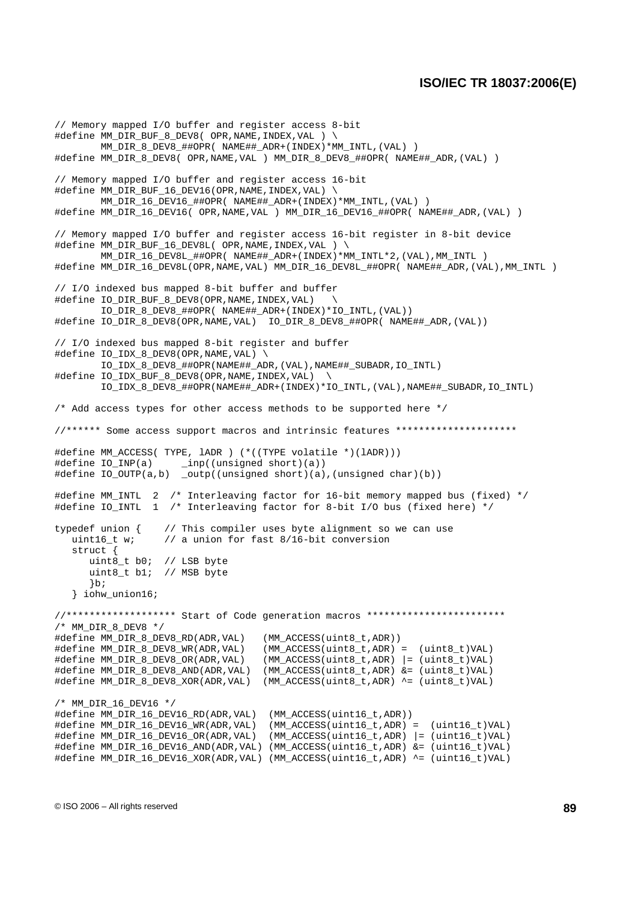// Memory mapped I/O buffer and register access 8-bit #define MM\_DIR\_BUF\_8\_DEV8( OPR,NAME,INDEX,VAL ) \ MM\_DIR\_8\_DEV8\_##OPR( NAME##\_ADR+(INDEX)\*MM\_INTL,(VAL) ) #define MM\_DIR\_8\_DEV8( OPR,NAME,VAL ) MM\_DIR\_8\_DEV8\_##OPR( NAME##\_ADR,(VAL) ) // Memory mapped I/O buffer and register access 16-bit #define MM\_DIR\_BUF\_16\_DEV16(OPR,NAME,INDEX,VAL) \ MM\_DIR\_16\_DEV16\_##OPR( NAME##\_ADR+(INDEX)\*MM\_INTL,(VAL) ) #define MM\_DIR\_16\_DEV16( OPR,NAME,VAL ) MM\_DIR\_16\_DEV16\_##OPR( NAME##\_ADR,(VAL) ) // Memory mapped I/O buffer and register access 16-bit register in 8-bit device #define MM\_DIR\_BUF\_16\_DEV8L( OPR,NAME,INDEX,VAL ) \ MM\_DIR\_16\_DEV8L\_##OPR( NAME##\_ADR+(INDEX)\*MM\_INTL\*2,(VAL),MM\_INTL ) #define MM\_DIR\_16\_DEV8L(OPR,NAME,VAL) MM\_DIR\_16\_DEV8L\_##OPR( NAME##\_ADR,(VAL),MM\_INTL ) // I/O indexed bus mapped 8-bit buffer and buffer #define IO\_DIR\_BUF\_8\_DEV8(OPR,NAME, INDEX, VAL) IO\_DIR\_8\_DEV8\_##OPR( NAME##\_ADR+(INDEX)\*IO\_INTL,(VAL)) #define IO\_DIR\_8\_DEV8(OPR,NAME,VAL) IO\_DIR\_8\_DEV8\_##OPR( NAME##\_ADR,(VAL)) // I/O indexed bus mapped 8-bit register and buffer #define IO\_IDX\_8\_DEV8(OPR,NAME,VAL) \ IO\_IDX\_8\_DEV8\_##OPR(NAME##\_ADR,(VAL),NAME##\_SUBADR,IO\_INTL) #define IO\_IDX\_BUF\_8\_DEV8(OPR,NAME,INDEX,VAL) \ IO\_IDX\_8\_DEV8\_##OPR(NAME##\_ADR+(INDEX)\*IO\_INTL,(VAL),NAME##\_SUBADR,IO\_INTL) /\* Add access types for other access methods to be supported here \*/ //\*\*\*\*\*\* Some access support macros and intrinsic features \*\*\*\*\*\*\*\*\*\*\*\*\*\*\*\*\*\*\*\*\* #define MM\_ACCESS( TYPE, lADR ) (\*((TYPE volatile \*)(lADR))) #define IO\_INP(a) \_inp((unsigned short)(a)) #define IO\_OUTP(a,b) \_outp((unsigned short)(a),(unsigned char)(b)) #define MM\_INTL 2 /\* Interleaving factor for 16-bit memory mapped bus (fixed) \*/ #define IO\_INTL 1 /\* Interleaving factor for 8-bit I/O bus (fixed here) \*/ typedef union { // This compiler uses byte alignment so we can use uint16\_t w; // a union for fast 8/16-bit conversion struct { uint8\_t b0; // LSB byte uint8\_t b1; // MSB byte }b; } iohw\_union16; //\*\*\*\*\*\*\*\*\*\*\*\*\*\*\*\*\*\*\* Start of Code generation macros \*\*\*\*\*\*\*\*\*\*\*\*\*\*\*\*\*\*\*\*\*\*\*\*  $/*$  MM\_DIR\_8\_DEV8  $*/$ #define MM\_DIR\_8\_DEV8\_RD(ADR,VAL) (MM\_ACCESS(uint8\_t,ADR)) #define MM\_DIR\_8\_DEV8\_WR(ADR,VAL) (MM\_ACCESS(uint8\_t,ADR) = (uint8\_t)VAL) #define MM\_DIR\_8\_DEV8\_OR(ADR,VAL) (MM\_ACCESS(uint8\_t,ADR) |= (uint8\_t)VAL) #define MM\_DIR\_8\_DEV8\_AND(ADR,VAL) (MM\_ACCESS(uint8\_t,ADR) &= (uint8\_t)VAL) #define MM\_DIR\_8\_DEV8\_XOR(ADR,VAL) (MM\_ACCESS(uint8\_t,ADR) ^= (uint8\_t)VAL) /\* MM\_DIR\_16\_DEV16 \*/ #define MM\_DIR\_16\_DEV16\_RD(ADR,VAL) (MM\_ACCESS(uint16\_t,ADR)) #define MM\_DIR\_16\_DEV16\_WR(ADR,VAL) (MM\_ACCESS(uint16\_t,ADR) = (uint16\_t)VAL) #define MM\_DIR\_16\_DEV16\_OR(ADR,VAL) (MM\_ACCESS(uint16\_t,ADR) |= (uint16\_t)VAL) #define MM\_DIR\_16\_DEV16\_AND(ADR,VAL) (MM\_ACCESS(uint16\_t,ADR) &= (uint16\_t)VAL) #define MM\_DIR\_16\_DEV16\_XOR(ADR,VAL) (MM\_ACCESS(uint16\_t,ADR) ^= (uint16\_t)VAL)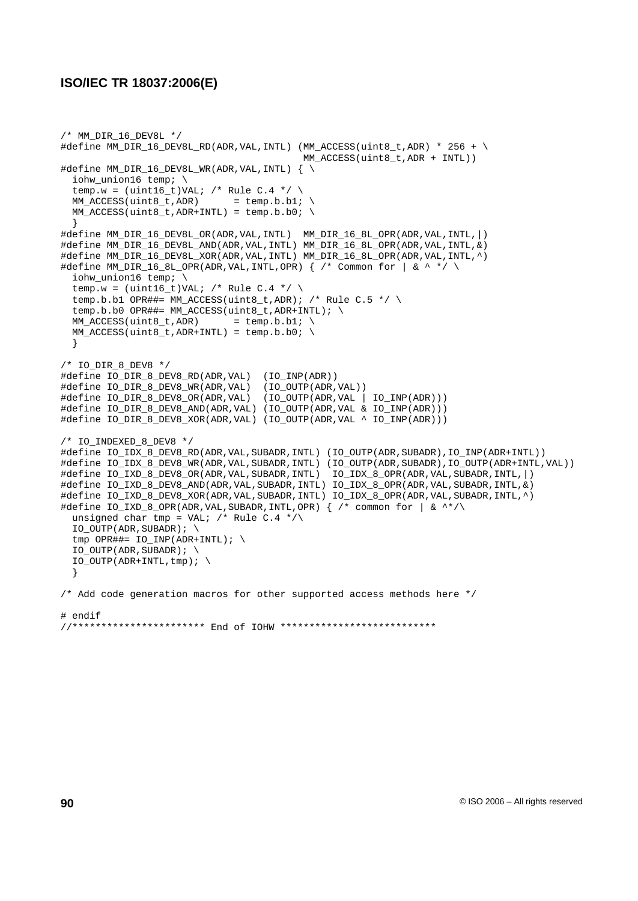```
/* MM_DIR_16_DEV8L */
#define MM_DIR_16_DEV8L_RD(ADR,VAL,INTL) (MM_ACCESS(uint8_t,ADR) * 256 + \
                                          MM_ACCESS(uint8_t,ADR + INTL))
#define MM_DIR_16_DEV8L_WR(ADR,VAL,INTL) { \
 iohw_union16 temp; \
  temp.w = (uint16_t)VAL; /* Rule C.4 */ \
 MM\_ACCESS(uint8_t, ADR) = temp.b.b1;
 MM\_ACCESS(uint8_t,ADR+INTL) = temp.b.b0; \
  }
#define MM_DIR_16_DEV8L_OR(ADR,VAL,INTL) MM_DIR_16_8L_OPR(ADR,VAL,INTL,|)
#define MM_DIR_16_DEV8L_AND(ADR,VAL,INTL) MM_DIR_16_8L_OPR(ADR,VAL,INTL,&)
#define MM_DIR_16_DEV8L_XOR(ADR,VAL,INTL) MM_DIR_16_8L_OPR(ADR,VAL,INTL,^)
#define MM_DIR_16_8L_OPR(ADR, VAL, INTL, OPR) \{ /* Common for | \& \wedge * \rangleiohw_union16 temp; \
  temp.w = (uint16_t)VAL; /* Rule C.4 */ \
  temp.b.b1 OPR##= MM_ACCESS(uint8_t,ADR); /* Rule C.5 */ \
  temp.b.b0 OPR##= MM_ACCESS(uint8_t,ADR+INTL); \
 MM\_ACCESS(uint8_t,ADR) = temp.b.bl; \
 MM\_ACCESS(uint8_t,ADR+INTL) = temp.b.b0; \
 }
/* IO_DIR_8_DEV8 */
#define IO_DIR_8_DEV8_RD(ADR,VAL) (IO_INP(ADR))
#define IO_DIR_8_DEV8_WR(ADR,VAL) (IO_OUTP(ADR,VAL))
#define IO_DIR_8_DEV8_OR(ADR,VAL) (IO_OUTP(ADR,VAL | IO_INP(ADR)))
#define IO_DIR_8_DEV8_AND(ADR,VAL) (IO_OUTP(ADR,VAL & IO_INP(ADR)))
#define IO_DIR_8_DEV8_XOR(ADR,VAL) (IO_OUTP(ADR,VAL ^ IO_INP(ADR)))
/* IO_INDEXED_8_DEV8 */
#define IO_IDX_8_DEV8_RD(ADR,VAL,SUBADR,INTL) (IO_OUTP(ADR,SUBADR),IO_INP(ADR+INTL))
#define IO_IDX_8_DEV8_WR(ADR,VAL,SUBADR,INTL) (IO_OUTP(ADR,SUBADR),IO_OUTP(ADR+INTL,VAL))
#define IO_IXD_8_DEV8_OR(ADR,VAL,SUBADR,INTL) IO_IDX_8_OPR(ADR,VAL,SUBADR,INTL,|)
#define IO_IXD_8_DEV8_AND(ADR,VAL,SUBADR,INTL) IO_IDX_8_OPR(ADR,VAL,SUBADR,INTL,&)
#define IO_IXD_8_DEV8_XOR(ADR,VAL,SUBADR,INTL) IO_IDX_8_OPR(ADR,VAL,SUBADR,INTL,^)
#define IO_IXD_8_OPR(ADR,VAL,SUBADR,INTL,OPR) { /* common for | & ^*/\
 unsigned char tmp = VAL; /* Rule C.4 */\
 IO_OUTP(ADR, SUBADR); \ \ \ \ \tmp OPR##= IO_INP(ADR+INTL); \
 IO_OUTP(ADR, SUBADR); \ \ \ \ \IO_OUTP(ADR+INTL,tmp); \ \ \ \ \ \}
/* Add code generation macros for other supported access methods here */
# endif
//*********************** End of IOHW ***************************
```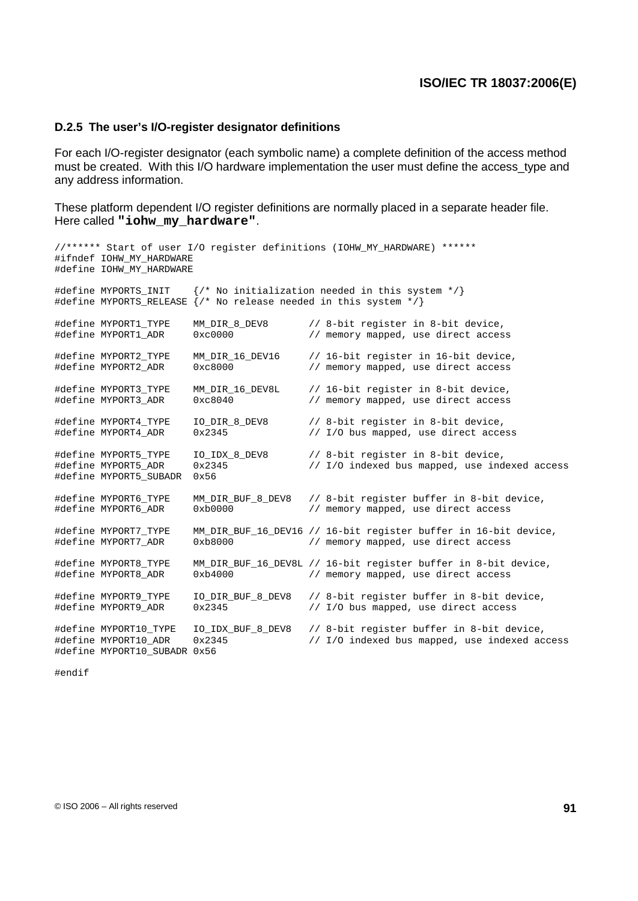#### **D.2.5 The user's I/O-register designator definitions**

For each I/O-register designator (each symbolic name) a complete definition of the access method must be created. With this I/O hardware implementation the user must define the access\_type and any address information.

These platform dependent I/O register definitions are normally placed in a separate header file. Here called **"iohw\_my\_hardware"**.

```
//****** Start of user I/O register definitions (IOHW_MY_HARDWARE) ******
#ifndef IOHW MY HARDWARE
#define IOHW_MY_HARDWARE
#define MYPORTS_INIT {/* No initialization needed in this system */}
#define MYPORTS_RELEASE \{ /* No release needed in this system */}
#define MYPORT1_TYPE MM_DIR_8_DEV8 // 8-bit register in 8-bit device,
                                           // memory mapped, use direct access
#define MYPORT2_TYPE MM_DIR_16_DEV16 // 16-bit register in 16-bit device,<br>#define MYPORT2_ADR 0xc8000 // memory mapped, use direct access
                                           // memory mapped, use direct access
#define MYPORT3_TYPE MM_DIR_16_DEV8L // 16-bit register in 8-bit device,
#define MYPORT3_ADR 0xc8040 // memory mapped, use direct access
#define MYPORT4_TYPE IO_DIR_8_DEV8 // 8-bit register in 8-bit device,
#define MYPORT4_ADR 0x2345 // I/O bus mapped, use direct access
#define MYPORT5_TYPE IO_IDX_8_DEV8 // 8-bit register in 8-bit device,
#define MYPORT5_ADR 0x2345 // I/O indexed bus mapped, use indexed access
#define MYPORT5_SUBADR 0x56
#define MYPORT6_TYPE MM_DIR_BUF_8_DEV8 // 8-bit register buffer in 8-bit device,
#define MYPORT6_ADR 0xb0000 // memory mapped, use direct access
#define MYPORT7_TYPE MM_DIR_BUF_16_DEV16 // 16-bit register buffer in 16-bit device,
#define MYPORT7_ADR 0xb8000 // memory mapped, use direct access
#define MYPORT8_TYPE MM_DIR_BUF_16_DEV8L // 16-bit register buffer in 8-bit device,
#define MYPORT8_ADR 0xb4000 // memory mapped, use direct access
#define MYPORT9_TYPE IO_DIR_BUF_8_DEV8 // 8-bit register buffer in 8-bit device,<br>#define MYPORT9 ADR 0x2345 // I/O bus mapped, use direct access
                                           // I/O bus mapped, use direct access
#define MYPORT10_TYPE IO_IDX_BUF_8_DEV8 // 8-bit register buffer in 8-bit device,
                                           1/ I/O indexed bus mapped, use indexed access
#define MYPORT10_SUBADR 0x56
```
#endif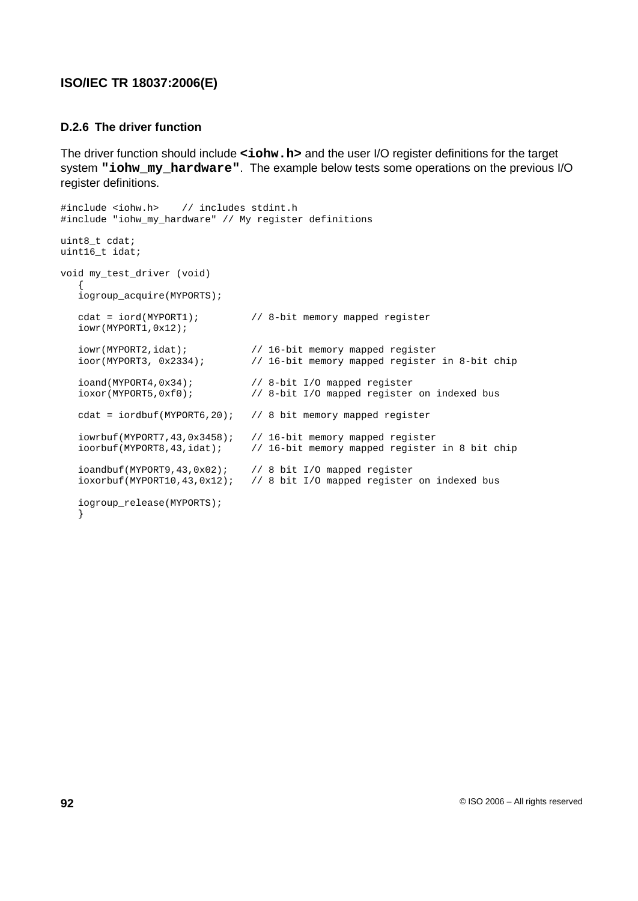#### **D.2.6 The driver function**

The driver function should include <iohw.h> and the user I/O register definitions for the target system **"iohw\_my\_hardware"**. The example below tests some operations on the previous I/O register definitions.

```
#include <iohw.h> // includes stdint.h
#include "iohw my hardware" // My register definitions
uint8_t cdat;
uint16_t idat;
void my_test_driver (void)
   {
   iogroup_acquire(MYPORTS);
  cdat = iord(MYPORT1); // 8-bit memory mapped register
  iowr(MYPORT1,0x12);
   iowr(MYPORT2,idat); // 16-bit memory mapped register
   ioor(MYPORT3, 0x2334); // 16-bit memory mapped register in 8-bit chip
  ioand(MYPORT4,0x34); <br>ioxor(MYPORT5,0xf0); // 8-bit I/O mapped register
                              // 8-bit I/O mapped register on indexed bus
  cdat = iordbuf(MYPORT6,20); // 8 bit memory mapped register
   iowrbuf(MYPORT7,43,0x3458); // 16-bit memory mapped register
   ioorbuf(MYPORT8,43,idat); // 16-bit memory mapped register in 8 bit chip
   ioandbuf(MYPORT9,43,0x02); // 8 bit I/O mapped register
   ioxorbuf(MYPORT10,43,0x12); // 8 bit I/O mapped register on indexed bus
   iogroup_release(MYPORTS);
   }
```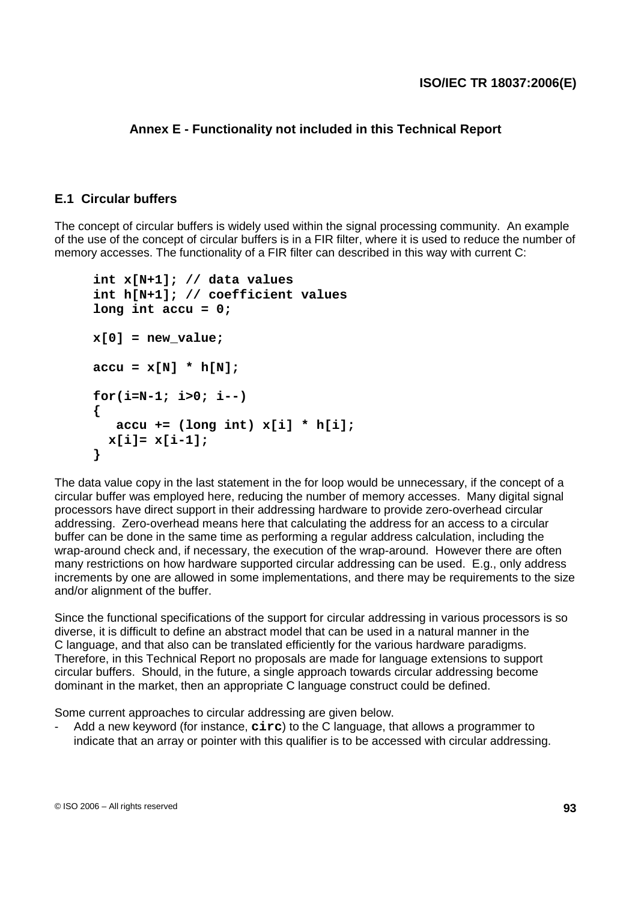## **Annex E - Functionality not included in this Technical Report**

### **E.1 Circular buffers**

The concept of circular buffers is widely used within the signal processing community. An example of the use of the concept of circular buffers is in a FIR filter, where it is used to reduce the number of memory accesses. The functionality of a FIR filter can described in this way with current C:

```
int x[N+1]; // data values
int h[N+1]; // coefficient values
long int accu = 0;
x[0] = new value;
accu = x[N] * h[N];
for(i=N-1; i>0; i--)
{
   accu += (long int) x[i] * h[i];
  x[i]= x[i-1];
}
```
The data value copy in the last statement in the for loop would be unnecessary, if the concept of a circular buffer was employed here, reducing the number of memory accesses. Many digital signal processors have direct support in their addressing hardware to provide zero-overhead circular addressing. Zero-overhead means here that calculating the address for an access to a circular buffer can be done in the same time as performing a regular address calculation, including the wrap-around check and, if necessary, the execution of the wrap-around. However there are often many restrictions on how hardware supported circular addressing can be used. E.g., only address increments by one are allowed in some implementations, and there may be requirements to the size and/or alignment of the buffer.

Since the functional specifications of the support for circular addressing in various processors is so diverse, it is difficult to define an abstract model that can be used in a natural manner in the C language, and that also can be translated efficiently for the various hardware paradigms. Therefore, in this Technical Report no proposals are made for language extensions to support circular buffers. Should, in the future, a single approach towards circular addressing become dominant in the market, then an appropriate C language construct could be defined.

Some current approaches to circular addressing are given below.

- Add a new keyword (for instance, **circ**) to the C language, that allows a programmer to indicate that an array or pointer with this qualifier is to be accessed with circular addressing.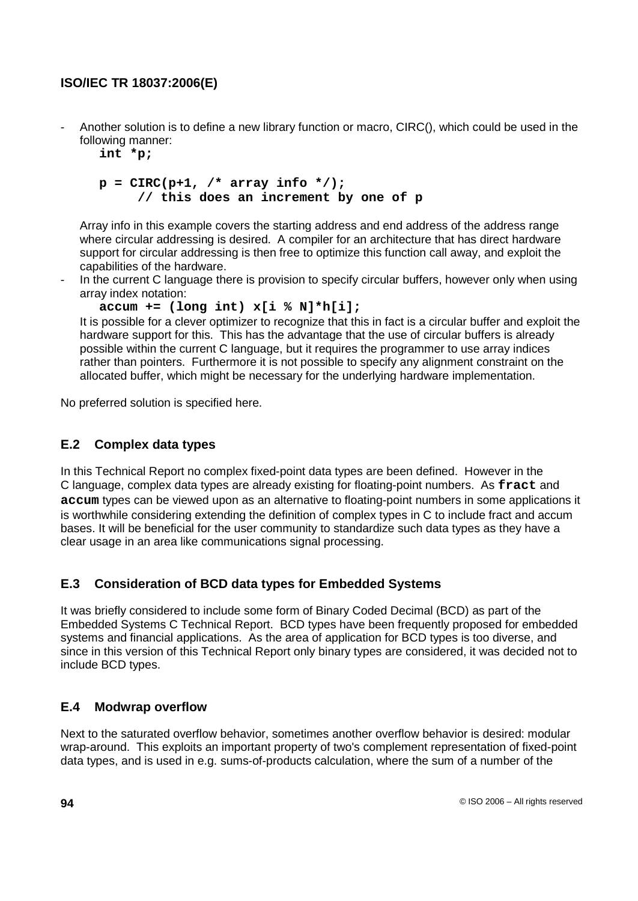- Another solution is to define a new library function or macro, CIRC(), which could be used in the following manner:

```
int *p;
```

```
p = CIRC(p+1, /* array info */);
     // this does an increment by one of p
```
Array info in this example covers the starting address and end address of the address range where circular addressing is desired. A compiler for an architecture that has direct hardware support for circular addressing is then free to optimize this function call away, and exploit the capabilities of the hardware.

In the current C language there is provision to specify circular buffers, however only when using array index notation:

```
accum += (long int) x[i % N]*h[i];
```
It is possible for a clever optimizer to recognize that this in fact is a circular buffer and exploit the hardware support for this. This has the advantage that the use of circular buffers is already possible within the current C language, but it requires the programmer to use array indices rather than pointers. Furthermore it is not possible to specify any alignment constraint on the allocated buffer, which might be necessary for the underlying hardware implementation.

No preferred solution is specified here.

# **E.2 Complex data types**

In this Technical Report no complex fixed-point data types are been defined. However in the C language, complex data types are already existing for floating-point numbers. As **fract** and **accum** types can be viewed upon as an alternative to floating-point numbers in some applications it is worthwhile considering extending the definition of complex types in C to include fract and accum bases. It will be beneficial for the user community to standardize such data types as they have a clear usage in an area like communications signal processing.

## **E.3 Consideration of BCD data types for Embedded Systems**

It was briefly considered to include some form of Binary Coded Decimal (BCD) as part of the Embedded Systems C Technical Report. BCD types have been frequently proposed for embedded systems and financial applications. As the area of application for BCD types is too diverse, and since in this version of this Technical Report only binary types are considered, it was decided not to include BCD types.

# **E.4 Modwrap overflow**

Next to the saturated overflow behavior, sometimes another overflow behavior is desired: modular wrap-around. This exploits an important property of two's complement representation of fixed-point data types, and is used in e.g. sums-of-products calculation, where the sum of a number of the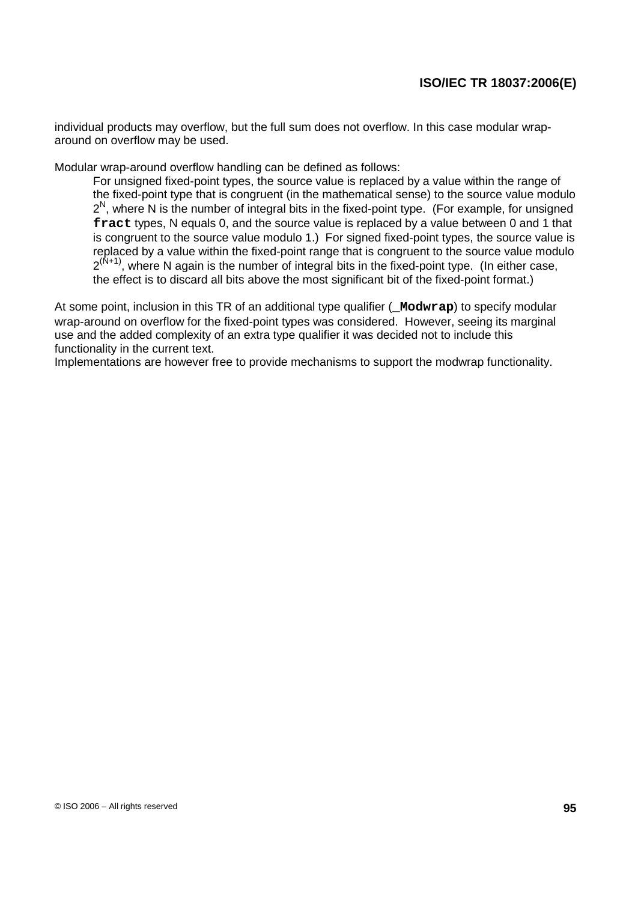individual products may overflow, but the full sum does not overflow. In this case modular wraparound on overflow may be used.

Modular wrap-around overflow handling can be defined as follows:

For unsigned fixed-point types, the source value is replaced by a value within the range of the fixed-point type that is congruent (in the mathematical sense) to the source value modulo  $2^N$ , where N is the number of integral bits in the fixed-point type. (For example, for unsigned **fract** types, N equals 0, and the source value is replaced by a value between 0 and 1 that is congruent to the source value modulo 1.) For signed fixed-point types, the source value is replaced by a value within the fixed-point range that is congruent to the source value modulo  $2^{(N+1)}$ , where N again is the number of integral bits in the fixed-point type. (In either case, the effect is to discard all bits above the most significant bit of the fixed-point format.)

At some point, inclusion in this TR of an additional type qualifier (**\_Modwrap**) to specify modular wrap-around on overflow for the fixed-point types was considered. However, seeing its marginal use and the added complexity of an extra type qualifier it was decided not to include this functionality in the current text.

Implementations are however free to provide mechanisms to support the modwrap functionality.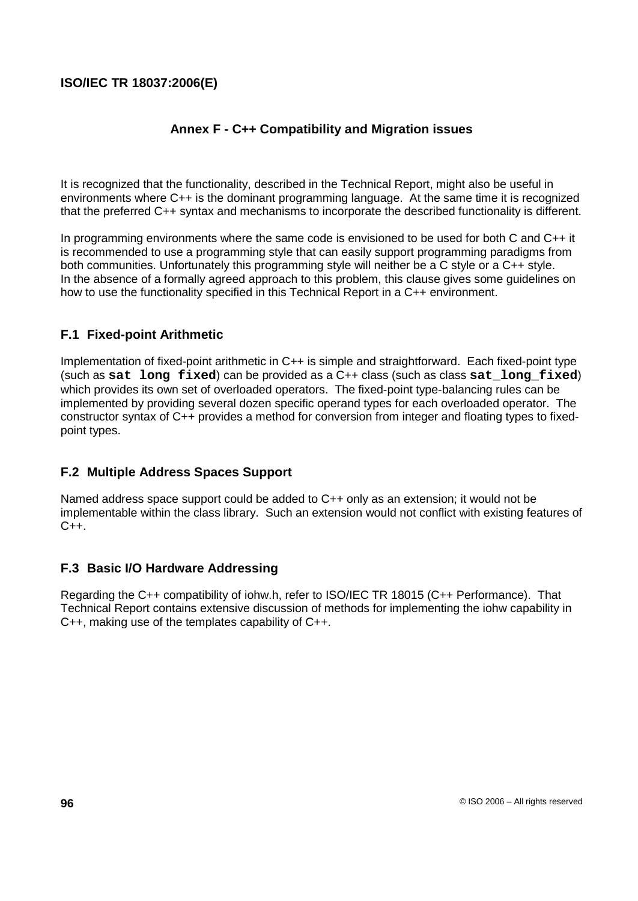# **Annex F - C++ Compatibility and Migration issues**

It is recognized that the functionality, described in the Technical Report, might also be useful in environments where C++ is the dominant programming language. At the same time it is recognized that the preferred C++ syntax and mechanisms to incorporate the described functionality is different.

In programming environments where the same code is envisioned to be used for both C and C++ it is recommended to use a programming style that can easily support programming paradigms from both communities. Unfortunately this programming style will neither be a C style or a C++ style. In the absence of a formally agreed approach to this problem, this clause gives some guidelines on how to use the functionality specified in this Technical Report in a C++ environment.

## **F.1 Fixed-point Arithmetic**

Implementation of fixed-point arithmetic in C++ is simple and straightforward. Each fixed-point type (such as **sat long fixed**) can be provided as a C++ class (such as class **sat\_long\_fixed**) which provides its own set of overloaded operators. The fixed-point type-balancing rules can be implemented by providing several dozen specific operand types for each overloaded operator. The constructor syntax of C++ provides a method for conversion from integer and floating types to fixedpoint types.

## **F.2 Multiple Address Spaces Support**

Named address space support could be added to C++ only as an extension; it would not be implementable within the class library. Such an extension would not conflict with existing features of  $C++$ 

### **F.3 Basic I/O Hardware Addressing**

Regarding the C++ compatibility of iohw.h, refer to ISO/IEC TR 18015 (C++ Performance). That Technical Report contains extensive discussion of methods for implementing the iohw capability in C++, making use of the templates capability of C++.